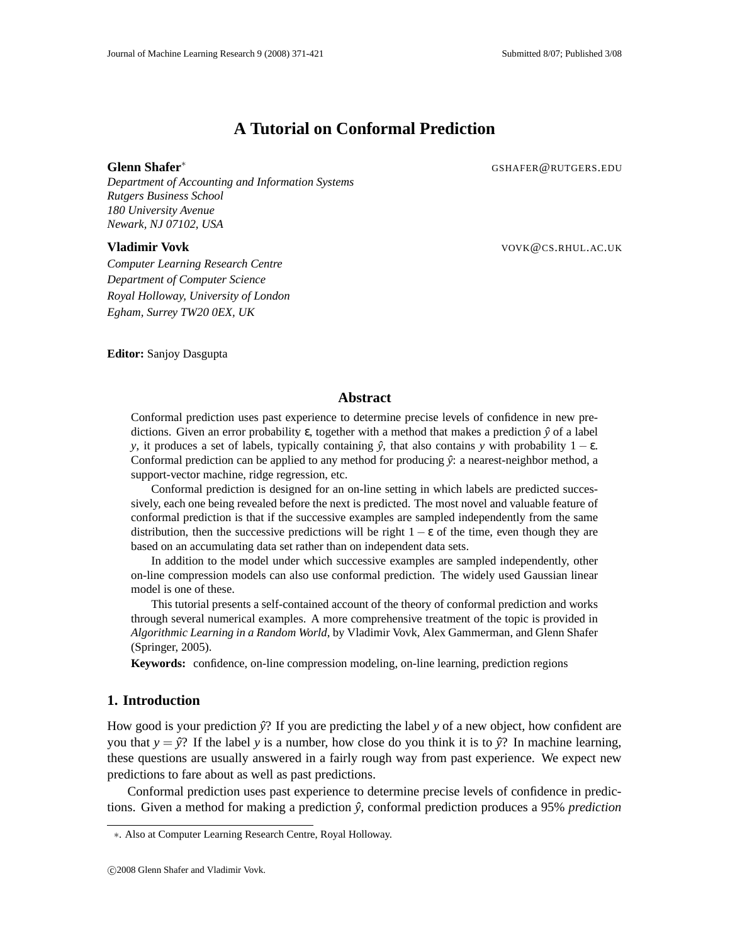# **A Tutorial on Conformal Prediction**

**Glenn Shafer**<sup>∗</sup> GSHAFER @RUTGERS.EDU

*Department of Accounting and Information Systems Rutgers Business School 180 University Avenue Newark, NJ 07102, USA*

**Vladimir Vovk** VOVK@CS.RHUL.AC.UK

*Computer Learning Research Centre Department of Computer Science Royal Holloway, University of London Egham, Surrey TW20 0EX, UK*

**Editor:** Sanjoy Dasgupta

# **Abstract**

Conformal prediction uses past experience to determine precise levels of confidence in new predictions. Given an error probability ε, together with a method that makes a prediction *ŷ* of a label *y*, it produces a set of labels, typically containing  $\hat{y}$ , that also contains *y* with probability  $1 - \varepsilon$ . Conformal prediction can be applied to any method for producing  $\hat{y}$ : a nearest-neighbor method, a support-vector machine, ridge regression, etc.

Conformal prediction is designed for an on-line setting in which labels are predicted successively, each one being revealed before the next is predicted. The most novel and valuable feature of conformal prediction is that if the successive examples are sampled independently from the same distribution, then the successive predictions will be right  $1 - \varepsilon$  of the time, even though they are based on an accumulating data set rather than on independent data sets.

In addition to the model under which successive examples are sampled independently, other on-line compression models can also use conformal prediction. The widely used Gaussian linear model is one of these.

This tutorial presents a self-contained account of the theory of conformal prediction and works through several numerical examples. A more comprehensive treatment of the topic is provided in *Algorithmic Learning in a Random World*, by Vladimir Vovk, Alex Gammerman, and Glenn Shafer (Springer, 2005).

**Keywords:** confidence, on-line compression modeling, on-line learning, prediction regions

# **1. Introduction**

How good is your prediction  $\hat{y}$ ? If you are predicting the label *y* of a new object, how confident are you that  $y = \hat{y}$ ? If the label *y* is a number, how close do you think it is to  $\hat{y}$ ? In machine learning, these questions are usually answered in a fairly rough way from past experience. We expect new predictions to fare about as well as past predictions.

Conformal prediction uses past experience to determine precise levels of confidence in predictions. Given a method for making a prediction *y*ˆ, conformal prediction produces a 95% *prediction*

<sup>∗</sup>. Also at Computer Learning Research Centre, Royal Holloway.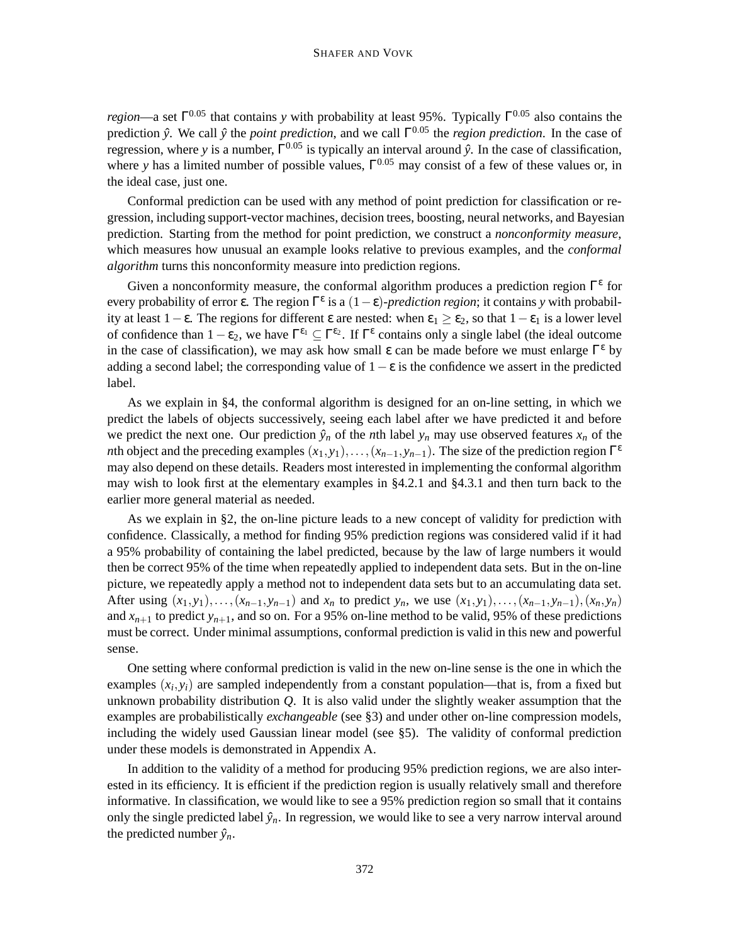*region*—a set  $\Gamma^{0.05}$  that contains *y* with probability at least 95%. Typically  $\Gamma^{0.05}$  also contains the prediction *y*ˆ. We call *y*ˆ the *point prediction*, and we call Γ <sup>0</sup>.<sup>05</sup> the *region prediction*. In the case of regression, where *y* is a number, Γ<sup>0.05</sup> is typically an interval around  $\hat{y}$ . In the case of classification, where *y* has a limited number of possible values,  $\Gamma^{0.05}$  may consist of a few of these values or, in the ideal case, just one.

Conformal prediction can be used with any method of point prediction for classification or regression, including support-vector machines, decision trees, boosting, neural networks, and Bayesian prediction. Starting from the method for point prediction, we construct a *nonconformity measure*, which measures how unusual an example looks relative to previous examples, and the *conformal algorithm* turns this nonconformity measure into prediction regions.

Given a nonconformity measure, the conformal algorithm produces a prediction region  $\Gamma^{\epsilon}$  for every probability of error  $\varepsilon$ . The region  $\Gamma^{\varepsilon}$  is a  $(1-\varepsilon)$ -*prediction region*; it contains *y* with probability at least  $1-\epsilon$ . The regions for different  $\epsilon$  are nested: when  $\epsilon_1 \geq \epsilon_2$ , so that  $1-\epsilon_1$  is a lower level of confidence than  $1-\epsilon_2$ , we have  $\Gamma^{\epsilon_1} \subseteq \Gamma^{\epsilon_2}$ . If  $\Gamma^{\epsilon}$  contains only a single label (the ideal outcome in the case of classification), we may ask how small  $\varepsilon$  can be made before we must enlarge  $\Gamma^{\varepsilon}$  by adding a second label; the corresponding value of  $1-\epsilon$  is the confidence we assert in the predicted label.

As we explain in §4, the conformal algorithm is designed for an on-line setting, in which we predict the labels of objects successively, seeing each label after we have predicted it and before we predict the next one. Our prediction  $\hat{y}_n$  of the *n*th label  $y_n$  may use observed features  $x_n$  of the *n*th object and the preceding examples  $(x_1, y_1), \ldots, (x_{n-1}, y_{n-1})$ . The size of the prediction region  $\Gamma^{\epsilon}$ may also depend on these details. Readers most interested in implementing the conformal algorithm may wish to look first at the elementary examples in §4.2.1 and §4.3.1 and then turn back to the earlier more general material as needed.

As we explain in §2, the on-line picture leads to a new concept of validity for prediction with confidence. Classically, a method for finding 95% prediction regions was considered valid if it had a 95% probability of containing the label predicted, because by the law of large numbers it would then be correct 95% of the time when repeatedly applied to independent data sets. But in the on-line picture, we repeatedly apply a method not to independent data sets but to an accumulating data set. After using  $(x_1, y_1), \ldots, (x_{n-1}, y_{n-1})$  and  $x_n$  to predict  $y_n$ , we use  $(x_1, y_1), \ldots, (x_{n-1}, y_{n-1}), (x_n, y_n)$ and  $x_{n+1}$  to predict  $y_{n+1}$ , and so on. For a 95% on-line method to be valid, 95% of these predictions must be correct. Under minimal assumptions, conformal prediction is valid in this new and powerful sense.

One setting where conformal prediction is valid in the new on-line sense is the one in which the examples  $(x_i, y_i)$  are sampled independently from a constant population—that is, from a fixed but unknown probability distribution *Q*. It is also valid under the slightly weaker assumption that the examples are probabilistically *exchangeable* (see §3) and under other on-line compression models, including the widely used Gaussian linear model (see §5). The validity of conformal prediction under these models is demonstrated in Appendix A.

In addition to the validity of a method for producing 95% prediction regions, we are also interested in its efficiency. It is efficient if the prediction region is usually relatively small and therefore informative. In classification, we would like to see a 95% prediction region so small that it contains only the single predicted label  $\hat{y}_n$ . In regression, we would like to see a very narrow interval around the predicted number  $\hat{y}_n$ .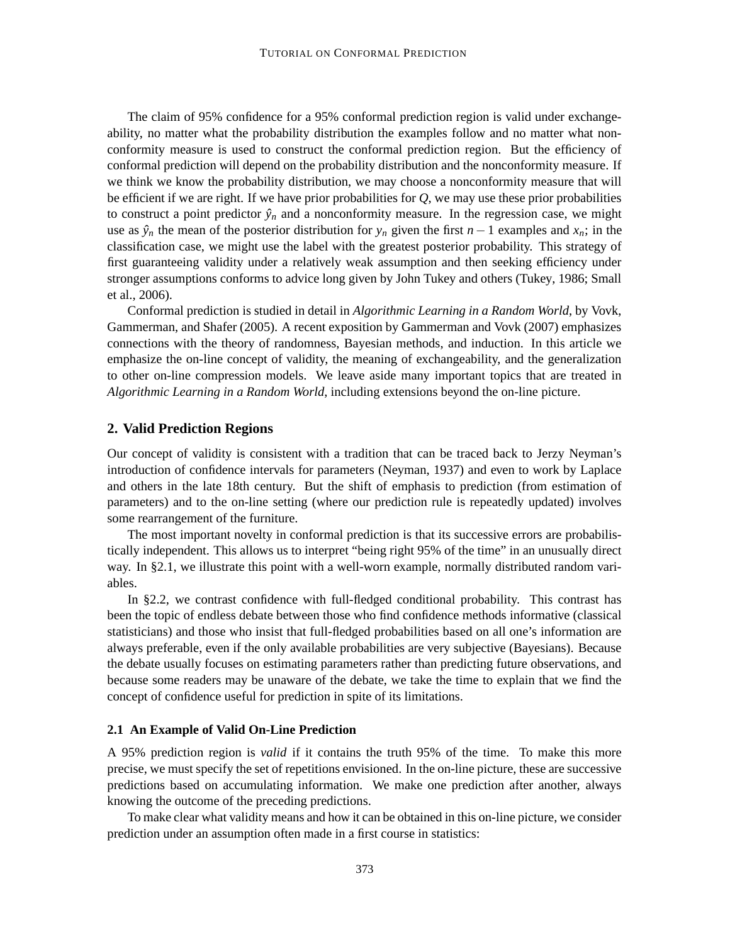The claim of 95% confidence for a 95% conformal prediction region is valid under exchangeability, no matter what the probability distribution the examples follow and no matter what nonconformity measure is used to construct the conformal prediction region. But the efficiency of conformal prediction will depend on the probability distribution and the nonconformity measure. If we think we know the probability distribution, we may choose a nonconformity measure that will be efficient if we are right. If we have prior probabilities for *Q*, we may use these prior probabilities to construct a point predictor  $\hat{y}_n$  and a nonconformity measure. In the regression case, we might use as  $\hat{y}_n$  the mean of the posterior distribution for  $y_n$  given the first *n* − 1 examples and  $x_n$ ; in the classification case, we might use the label with the greatest posterior probability. This strategy of first guaranteeing validity under a relatively weak assumption and then seeking efficiency under stronger assumptions conforms to advice long given by John Tukey and others (Tukey, 1986; Small et al., 2006).

Conformal prediction is studied in detail in *Algorithmic Learning in a Random World*, by Vovk, Gammerman, and Shafer (2005). A recent exposition by Gammerman and Vovk (2007) emphasizes connections with the theory of randomness, Bayesian methods, and induction. In this article we emphasize the on-line concept of validity, the meaning of exchangeability, and the generalization to other on-line compression models. We leave aside many important topics that are treated in *Algorithmic Learning in a Random World*, including extensions beyond the on-line picture.

## **2. Valid Prediction Regions**

Our concept of validity is consistent with a tradition that can be traced back to Jerzy Neyman's introduction of confidence intervals for parameters (Neyman, 1937) and even to work by Laplace and others in the late 18th century. But the shift of emphasis to prediction (from estimation of parameters) and to the on-line setting (where our prediction rule is repeatedly updated) involves some rearrangement of the furniture.

The most important novelty in conformal prediction is that its successive errors are probabilistically independent. This allows us to interpret "being right 95% of the time" in an unusually direct way. In §2.1, we illustrate this point with a well-worn example, normally distributed random variables.

In §2.2, we contrast confidence with full-fledged conditional probability. This contrast has been the topic of endless debate between those who find confidence methods informative (classical statisticians) and those who insist that full-fledged probabilities based on all one's information are always preferable, even if the only available probabilities are very subjective (Bayesians). Because the debate usually focuses on estimating parameters rather than predicting future observations, and because some readers may be unaware of the debate, we take the time to explain that we find the concept of confidence useful for prediction in spite of its limitations.

#### **2.1 An Example of Valid On-Line Prediction**

A 95% prediction region is *valid* if it contains the truth 95% of the time. To make this more precise, we must specify the set of repetitions envisioned. In the on-line picture, these are successive predictions based on accumulating information. We make one prediction after another, always knowing the outcome of the preceding predictions.

To make clear what validity means and how it can be obtained in this on-line picture, we consider prediction under an assumption often made in a first course in statistics: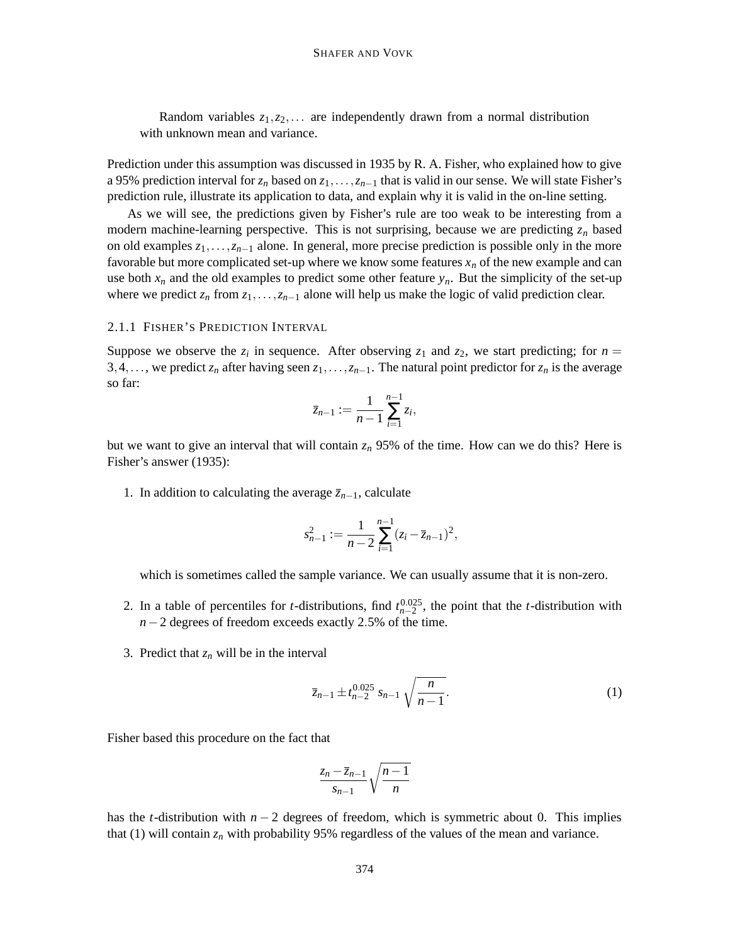Random variables *z*1,*z*2,... are independently drawn from a normal distribution with unknown mean and variance.

Prediction under this assumption was discussed in 1935 by R. A. Fisher, who explained how to give a 95% prediction interval for *z<sup>n</sup>* based on *z*1,...,*zn*−<sup>1</sup> that is valid in our sense. We will state Fisher's prediction rule, illustrate its application to data, and explain why it is valid in the on-line setting.

As we will see, the predictions given by Fisher's rule are too weak to be interesting from a modern machine-learning perspective. This is not surprising, because we are predicting  $z_n$  based on old examples *z*1,...,*zn*−<sup>1</sup> alone. In general, more precise prediction is possible only in the more favorable but more complicated set-up where we know some features  $x_n$  of the new example and can use both  $x_n$  and the old examples to predict some other feature  $y_n$ . But the simplicity of the set-up where we predict  $z_n$  from  $z_1, \ldots, z_{n-1}$  alone will help us make the logic of valid prediction clear.

#### 2.1.1 FISHER'S PREDICTION INTERVAL

Suppose we observe the  $z_i$  in sequence. After observing  $z_1$  and  $z_2$ , we start predicting; for  $n =$ 3,4,..., we predict  $z_n$  after having seen  $z_1, \ldots, z_{n-1}$ . The natural point predictor for  $z_n$  is the average so far:

$$
\bar{z}_{n-1} := \frac{1}{n-1} \sum_{i=1}^{n-1} z_i,
$$

but we want to give an interval that will contain *z<sup>n</sup>* 95% of the time. How can we do this? Here is Fisher's answer (1935):

1. In addition to calculating the average  $\overline{z}_{n-1}$ , calculate

$$
s_{n-1}^2 := \frac{1}{n-2} \sum_{i=1}^{n-1} (z_i - \overline{z}_{n-1})^2,
$$

which is sometimes called the sample variance. We can usually assume that it is non-zero.

- 2. In a table of percentiles for *t*-distributions, find  $t_{n-2}^{0.025}$ , the point that the *t*-distribution with *n*−2 degrees of freedom exceeds exactly 2.5% of the time.
- 3. Predict that  $z_n$  will be in the interval

$$
\bar{z}_{n-1} \pm t_{n-2}^{0.025} s_{n-1} \sqrt{\frac{n}{n-1}}.
$$
 (1)

Fisher based this procedure on the fact that

$$
\frac{z_n - \overline{z}_{n-1}}{s_{n-1}} \sqrt{\frac{n-1}{n}}
$$

has the *t*-distribution with  $n - 2$  degrees of freedom, which is symmetric about 0. This implies that (1) will contain  $z_n$  with probability 95% regardless of the values of the mean and variance.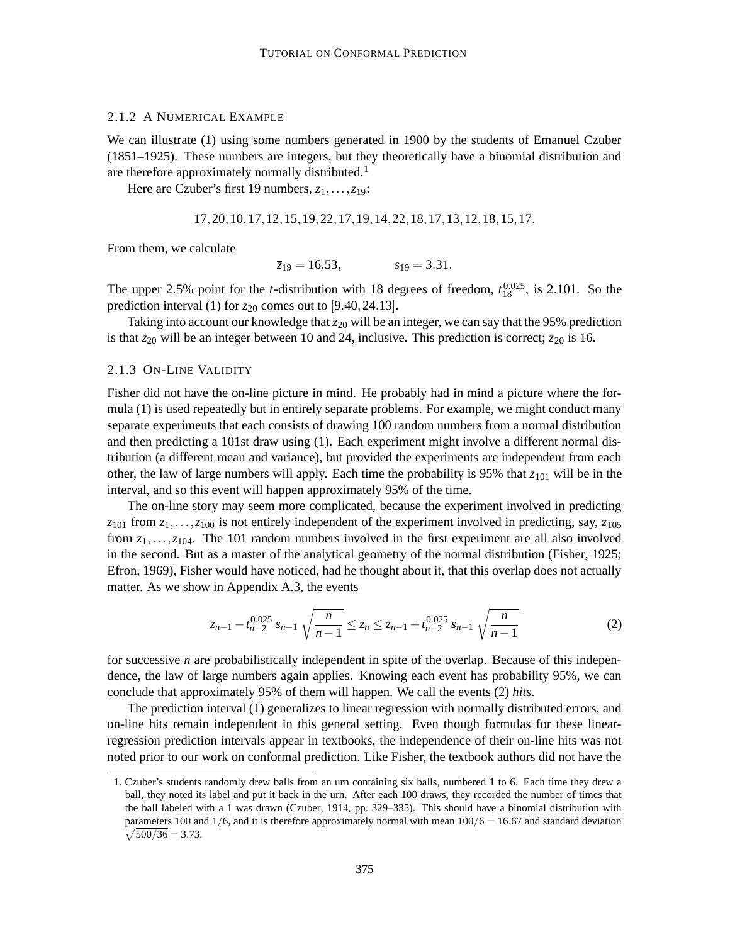## 2.1.2 A NUMERICAL EXAMPLE

We can illustrate (1) using some numbers generated in 1900 by the students of Emanuel Czuber (1851–1925). These numbers are integers, but they theoretically have a binomial distribution and are therefore approximately normally distributed.<sup>1</sup>

Here are Czuber's first 19 numbers, *z*1,...,*z*19:

$$
17, 20, 10, 17, 12, 15, 19, 22, 17, 19, 14, 22, 18, 17, 13, 12, 18, 15, 17.
$$

From them, we calculate

$$
\overline{z}_{19} = 16.53,
$$
  $s_{19} = 3.31.$ 

The upper 2.5% point for the *t*-distribution with 18 degrees of freedom,  $t_{18}^{0.025}$ , is 2.101. So the prediction interval (1) for  $z_{20}$  comes out to [9.40, 24.13].

Taking into account our knowledge that  $z_{20}$  will be an integer, we can say that the 95% prediction is that  $z_{20}$  will be an integer between 10 and 24, inclusive. This prediction is correct;  $z_{20}$  is 16.

#### 2.1.3 ON-LINE VALIDITY

Fisher did not have the on-line picture in mind. He probably had in mind a picture where the formula (1) is used repeatedly but in entirely separate problems. For example, we might conduct many separate experiments that each consists of drawing 100 random numbers from a normal distribution and then predicting a 101st draw using (1). Each experiment might involve a different normal distribution (a different mean and variance), but provided the experiments are independent from each other, the law of large numbers will apply. Each time the probability is 95% that  $z_{101}$  will be in the interval, and so this event will happen approximately 95% of the time.

The on-line story may seem more complicated, because the experiment involved in predicting  $z_{101}$  from  $z_1, \ldots, z_{100}$  is not entirely independent of the experiment involved in predicting, say,  $z_{105}$ from  $z_1, \ldots, z_{104}$ . The 101 random numbers involved in the first experiment are all also involved in the second. But as a master of the analytical geometry of the normal distribution (Fisher, 1925; Efron, 1969), Fisher would have noticed, had he thought about it, that this overlap does not actually matter. As we show in Appendix A.3, the events

$$
\overline{z}_{n-1} - t_{n-2}^{0.025} s_{n-1} \sqrt{\frac{n}{n-1}} \le z_n \le \overline{z}_{n-1} + t_{n-2}^{0.025} s_{n-1} \sqrt{\frac{n}{n-1}}
$$
(2)

for successive *n* are probabilistically independent in spite of the overlap. Because of this independence, the law of large numbers again applies. Knowing each event has probability 95%, we can conclude that approximately 95% of them will happen. We call the events (2) *hits*.

The prediction interval (1) generalizes to linear regression with normally distributed errors, and on-line hits remain independent in this general setting. Even though formulas for these linearregression prediction intervals appear in textbooks, the independence of their on-line hits was not noted prior to our work on conformal prediction. Like Fisher, the textbook authors did not have the

<sup>1.</sup> Czuber's students randomly drew balls from an urn containing six balls, numbered 1 to 6. Each time they drew a ball, they noted its label and put it back in the urn. After each 100 draws, they recorded the number of times that the ball labeled with a 1 was drawn (Czuber, 1914, pp. 329–335). This should have a binomial distribution with parameters 100 and  $1/6$ , and it is therefore approximately normal with mean  $100/6 = 16.67$  and standard deviation  $\sqrt{500/36} = 3.73.$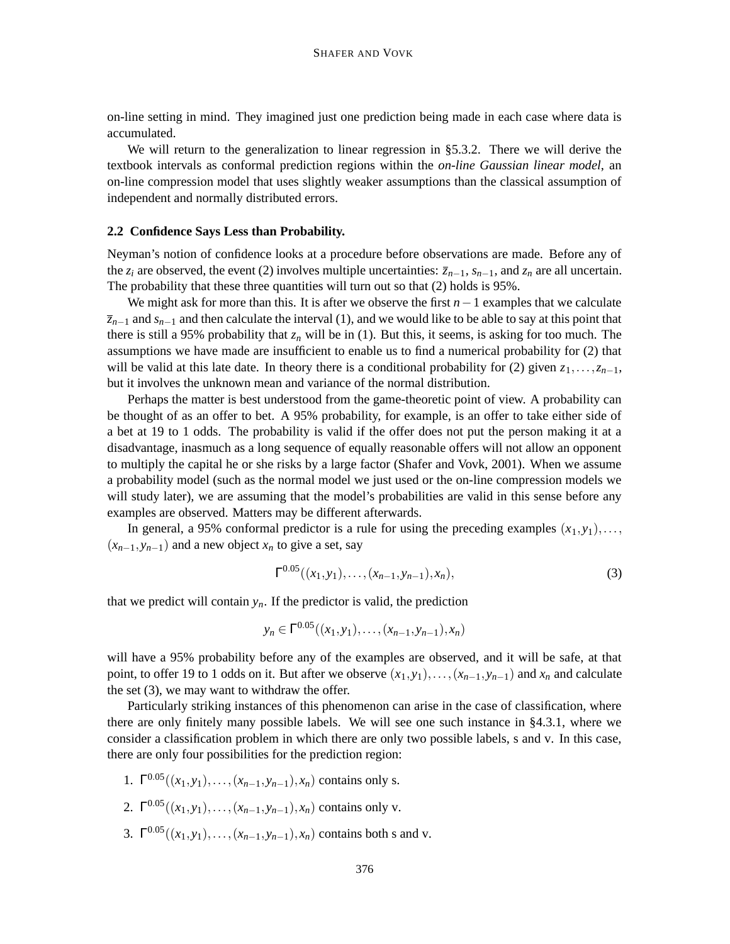on-line setting in mind. They imagined just one prediction being made in each case where data is accumulated.

We will return to the generalization to linear regression in §5.3.2. There we will derive the textbook intervals as conformal prediction regions within the *on-line Gaussian linear model*, an on-line compression model that uses slightly weaker assumptions than the classical assumption of independent and normally distributed errors.

#### **2.2 Confidence Says Less than Probability.**

Neyman's notion of confidence looks at a procedure before observations are made. Before any of the *z<sub>i</sub>* are observed, the event (2) involves multiple uncertainties:  $\bar{z}_{n-1}$ ,  $s_{n-1}$ , and  $z_n$  are all uncertain. The probability that these three quantities will turn out so that (2) holds is 95%.

We might ask for more than this. It is after we observe the first *n*−1 examples that we calculate *zn*−<sup>1</sup> and *sn*−<sup>1</sup> and then calculate the interval (1), and we would like to be able to say at this point that there is still a 95% probability that  $z<sub>n</sub>$  will be in (1). But this, it seems, is asking for too much. The assumptions we have made are insufficient to enable us to find a numerical probability for (2) that will be valid at this late date. In theory there is a conditional probability for (2) given  $z_1, \ldots, z_{n-1}$ , but it involves the unknown mean and variance of the normal distribution.

Perhaps the matter is best understood from the game-theoretic point of view. A probability can be thought of as an offer to bet. A 95% probability, for example, is an offer to take either side of a bet at 19 to 1 odds. The probability is valid if the offer does not put the person making it at a disadvantage, inasmuch as a long sequence of equally reasonable offers will not allow an opponent to multiply the capital he or she risks by a large factor (Shafer and Vovk, 2001). When we assume a probability model (such as the normal model we just used or the on-line compression models we will study later), we are assuming that the model's probabilities are valid in this sense before any examples are observed. Matters may be different afterwards.

In general, a 95% conformal predictor is a rule for using the preceding examples  $(x_1, y_1), \ldots$ ,  $(x_{n-1}, y_{n-1})$  and a new object  $x_n$  to give a set, say

$$
\Gamma^{0.05}((x_1, y_1), \ldots, (x_{n-1}, y_{n-1}), x_n), \tag{3}
$$

that we predict will contain  $y_n$ . If the predictor is valid, the prediction

$$
y_n \in \Gamma^{0.05}((x_1, y_1), \ldots, (x_{n-1}, y_{n-1}), x_n)
$$

will have a 95% probability before any of the examples are observed, and it will be safe, at that point, to offer 19 to 1 odds on it. But after we observe  $(x_1, y_1), \ldots, (x_{n-1}, y_{n-1})$  and  $x_n$  and calculate the set (3), we may want to withdraw the offer.

Particularly striking instances of this phenomenon can arise in the case of classification, where there are only finitely many possible labels. We will see one such instance in §4.3.1, where we consider a classification problem in which there are only two possible labels, s and v. In this case, there are only four possibilities for the prediction region:

- 1.  $\Gamma^{0.05}((x_1, y_1), \ldots, (x_{n-1}, y_{n-1}), x_n)$  contains only s.
- 2.  $\Gamma^{0.05}((x_1, y_1), \ldots, (x_{n-1}, y_{n-1}), x_n)$  contains only v.
- 3.  $\Gamma^{0.05}((x_1, y_1), \ldots, (x_{n-1}, y_{n-1}), x_n)$  contains both s and v.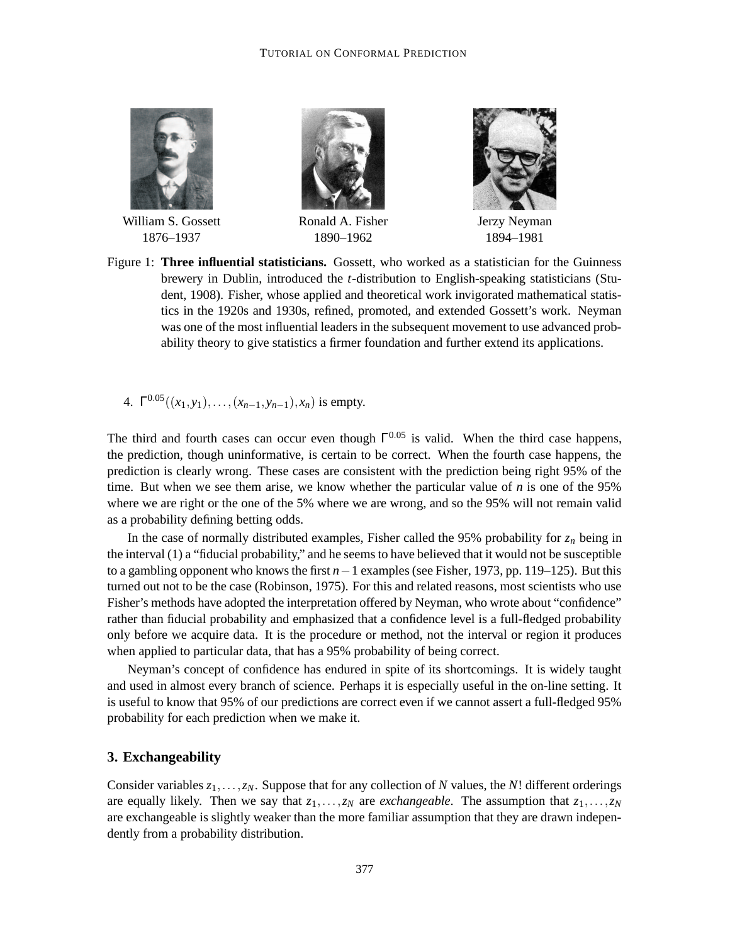

William S. Gossett 1876–1937



Ronald A. Fisher 1890–1962



Jerzy Neyman 1894–1981

- Figure 1: **Three influential statisticians.** Gossett, who worked as a statistician for the Guinness brewery in Dublin, introduced the *t*-distribution to English-speaking statisticians (Student, 1908). Fisher, whose applied and theoretical work invigorated mathematical statistics in the 1920s and 1930s, refined, promoted, and extended Gossett's work. Neyman was one of the most influential leaders in the subsequent movement to use advanced probability theory to give statistics a firmer foundation and further extend its applications.
	- 4. Γ <sup>0</sup>.05((*x*1, *y*1),...,(*xn*−1, *yn*−1), *xn*) is empty.

The third and fourth cases can occur even though  $\Gamma^{0.05}$  is valid. When the third case happens, the prediction, though uninformative, is certain to be correct. When the fourth case happens, the prediction is clearly wrong. These cases are consistent with the prediction being right 95% of the time. But when we see them arise, we know whether the particular value of *n* is one of the 95% where we are right or the one of the 5% where we are wrong, and so the 95% will not remain valid as a probability defining betting odds.

In the case of normally distributed examples, Fisher called the 95% probability for  $z_n$  being in the interval (1) a "fiducial probability," and he seemsto have believed that it would not be susceptible to a gambling opponent who knows the first *n*−1 examples (see Fisher, 1973, pp. 119–125). But this turned out not to be the case (Robinson, 1975). For this and related reasons, most scientists who use Fisher's methods have adopted the interpretation offered by Neyman, who wrote about "confidence" rather than fiducial probability and emphasized that a confidence level is a full-fledged probability only before we acquire data. It is the procedure or method, not the interval or region it produces when applied to particular data, that has a 95% probability of being correct.

Neyman's concept of confidence has endured in spite of its shortcomings. It is widely taught and used in almost every branch of science. Perhaps it is especially useful in the on-line setting. It is useful to know that 95% of our predictions are correct even if we cannot assert a full-fledged 95% probability for each prediction when we make it.

## **3. Exchangeability**

Consider variables *z*1,...,*zN*. Suppose that for any collection of *N* values, the *N*! different orderings are equally likely. Then we say that *z*1,...,*z<sup>N</sup>* are *exchangeable*. The assumption that *z*1,...,*z<sup>N</sup>* are exchangeable is slightly weaker than the more familiar assumption that they are drawn independently from a probability distribution.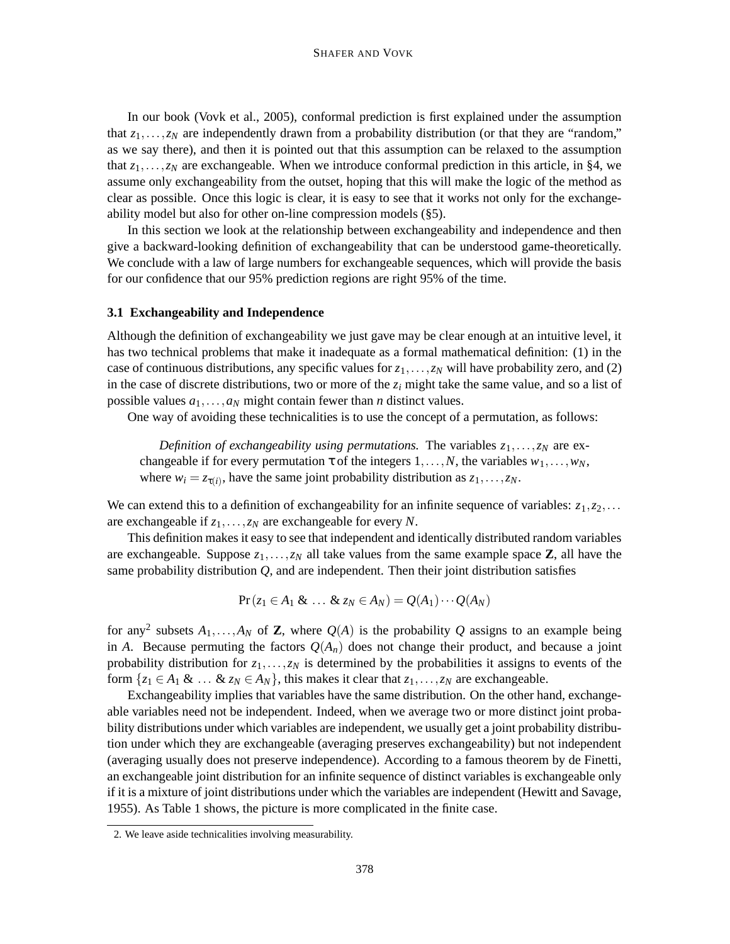In our book (Vovk et al., 2005), conformal prediction is first explained under the assumption that  $z_1, \ldots, z_N$  are independently drawn from a probability distribution (or that they are "random," as we say there), and then it is pointed out that this assumption can be relaxed to the assumption that  $z_1, \ldots, z_N$  are exchangeable. When we introduce conformal prediction in this article, in §4, we assume only exchangeability from the outset, hoping that this will make the logic of the method as clear as possible. Once this logic is clear, it is easy to see that it works not only for the exchangeability model but also for other on-line compression models (§5).

In this section we look at the relationship between exchangeability and independence and then give a backward-looking definition of exchangeability that can be understood game-theoretically. We conclude with a law of large numbers for exchangeable sequences, which will provide the basis for our confidence that our 95% prediction regions are right 95% of the time.

## **3.1 Exchangeability and Independence**

Although the definition of exchangeability we just gave may be clear enough at an intuitive level, it has two technical problems that make it inadequate as a formal mathematical definition: (1) in the case of continuous distributions, any specific values for  $z_1, \ldots, z_N$  will have probability zero, and (2) in the case of discrete distributions, two or more of the  $z_i$  might take the same value, and so a list of possible values  $a_1, \ldots, a_N$  might contain fewer than *n* distinct values.

One way of avoiding these technicalities is to use the concept of a permutation, as follows:

*Definition of exchangeability using permutations. The variables*  $z_1, \ldots, z_N$  *are ex*changeable if for every permutation  $\tau$  of the integers  $1, \ldots, N$ , the variables  $w_1, \ldots, w_N$ , where  $w_i = z_{\tau(i)}$ , have the same joint probability distribution as  $z_1, \ldots, z_N$ .

We can extend this to a definition of exchangeability for an infinite sequence of variables:  $z_1, z_2, \ldots$ are exchangeable if *z*1,...,*z<sup>N</sup>* are exchangeable for every *N*.

This definition makes it easy to see that independent and identically distributed random variables are exchangeable. Suppose  $z_1, \ldots, z_N$  all take values from the same example space **Z**, all have the same probability distribution  $Q$ , and are independent. Then their joint distribution satisfies

$$
\Pr(z_1 \in A_1 \& \ldots \& z_N \in A_N) = Q(A_1) \cdots Q(A_N)
$$

for any<sup>2</sup> subsets  $A_1, \ldots, A_N$  of **Z**, where  $Q(A)$  is the probability  $Q$  assigns to an example being in *A*. Because permuting the factors  $Q(A_n)$  does not change their product, and because a joint probability distribution for *z*1,...,*z<sup>N</sup>* is determined by the probabilities it assigns to events of the form  $\{z_1 \in A_1 \& \ldots \& z_N \in A_N\}$ , this makes it clear that  $z_1, \ldots, z_N$  are exchangeable.

Exchangeability implies that variables have the same distribution. On the other hand, exchangeable variables need not be independent. Indeed, when we average two or more distinct joint probability distributions under which variables are independent, we usually get a joint probability distribution under which they are exchangeable (averaging preserves exchangeability) but not independent (averaging usually does not preserve independence). According to a famous theorem by de Finetti, an exchangeable joint distribution for an infinite sequence of distinct variables is exchangeable only if it is a mixture of joint distributions under which the variables are independent (Hewitt and Savage, 1955). As Table 1 shows, the picture is more complicated in the finite case.

<sup>2.</sup> We leave aside technicalities involving measurability.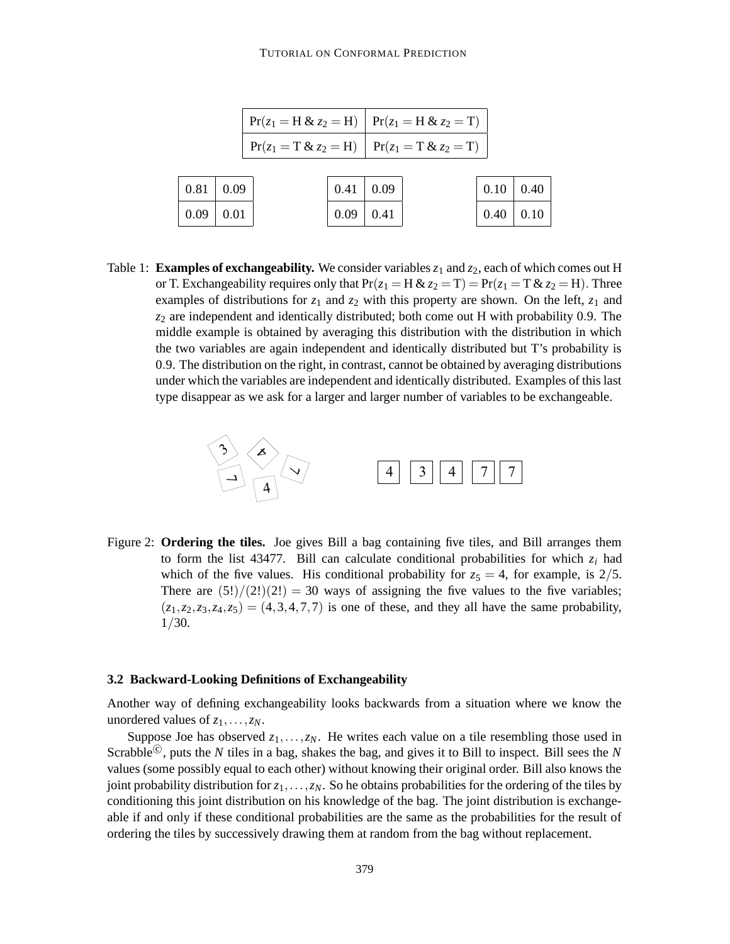#### TUTORIAL ON CONFORMAL PREDICTION

|              |      | $Pr(z_1 = H & z_2 = H)$ $Pr(z_1 = H & z_2 = T)$   |      |                    |                     |      |
|--------------|------|---------------------------------------------------|------|--------------------|---------------------|------|
|              |      | $Pr(z_1 = T & z_2 = H)$   $Pr(z_1 = T & z_2 = T)$ |      |                    |                     |      |
|              |      |                                                   |      |                    |                     |      |
| $\vert 0.81$ | 0.09 |                                                   | 0.41 | $\vert 0.09 \vert$ | $0.10 \,   \, 0.40$ |      |
| 0.09         | 0.01 |                                                   | 0.09 | 0.41               | 0.40                | 0.10 |

Table 1: **Examples of exchangeability.** We consider variables  $z_1$  and  $z_2$ , each of which comes out H or T. Exchangeability requires only that  $Pr(z_1 = H & z_2 = T) = Pr(z_1 = T & z_2 = H)$ . Three examples of distributions for  $z_1$  and  $z_2$  with this property are shown. On the left,  $z_1$  and *z*<sup>2</sup> are independent and identically distributed; both come out H with probability 0.9. The middle example is obtained by averaging this distribution with the distribution in which the two variables are again independent and identically distributed but T's probability is 0.9. The distribution on the right, in contrast, cannot be obtained by averaging distributions under which the variables are independent and identically distributed. Examples of this last type disappear as we ask for a larger and larger number of variables to be exchangeable.



Figure 2: **Ordering the tiles.** Joe gives Bill a bag containing five tiles, and Bill arranges them to form the list 43477. Bill can calculate conditional probabilities for which  $z_i$  had which of the five values. His conditional probability for  $z_5 = 4$ , for example, is  $2/5$ . There are  $(5!)/(2!)(2!) = 30$  ways of assigning the five values to the five variables;  $(z_1, z_2, z_3, z_4, z_5) = (4, 3, 4, 7, 7)$  is one of these, and they all have the same probability, 1/30.

#### **3.2 Backward-Looking Definitions of Exchangeability**

Another way of defining exchangeability looks backwards from a situation where we know the unordered values of  $z_1, \ldots, z_N$ .

Suppose Joe has observed  $z_1, \ldots, z_N$ . He writes each value on a tile resembling those used in Scrabble<sup>©</sup>, puts the *N* tiles in a bag, shakes the bag, and gives it to Bill to inspect. Bill sees the *N* values (some possibly equal to each other) without knowing their original order. Bill also knows the joint probability distribution for  $z_1, \ldots, z_N$ . So he obtains probabilities for the ordering of the tiles by conditioning this joint distribution on his knowledge of the bag. The joint distribution is exchangeable if and only if these conditional probabilities are the same as the probabilities for the result of ordering the tiles by successively drawing them at random from the bag without replacement.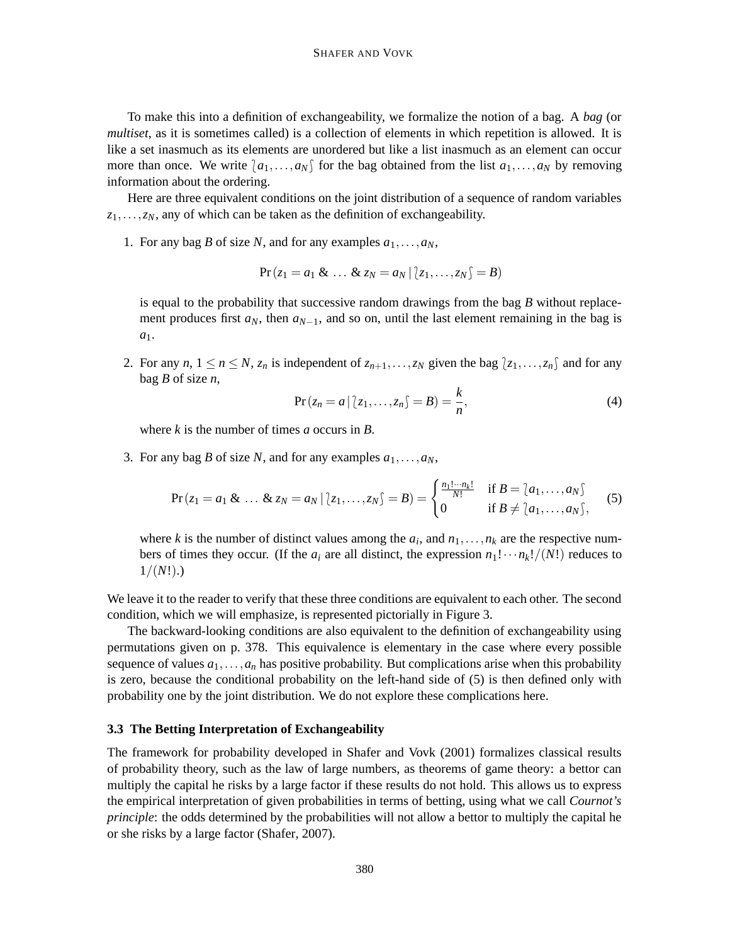To make this into a definition of exchangeability, we formalize the notion of a bag. A *bag* (or *multiset*, as it is sometimes called) is a collection of elements in which repetition is allowed. It is like a set inasmuch as its elements are unordered but like a list inasmuch as an element can occur more than once. We write  $a_1, \ldots, a_N$  for the bag obtained from the list  $a_1, \ldots, a_N$  by removing information about the ordering.

Here are three equivalent conditions on the joint distribution of a sequence of random variables *z*1,...,*zN*, any of which can be taken as the definition of exchangeability.

1. For any bag *B* of size *N*, and for any examples  $a_1, \ldots, a_N$ ,

$$
Pr(z_1 = a_1 \& \ldots \& z_N = a_N | z_1, \ldots, z_N \& f = B)
$$

is equal to the probability that successive random drawings from the bag *B* without replacement produces first  $a_N$ , then  $a_{N-1}$ , and so on, until the last element remaining in the bag is *a*1.

2. For any *n*,  $1 \le n \le N$ ,  $z_n$  is independent of  $z_{n+1},...,z_N$  given the bag  $\{z_1,...,z_n\}$  and for any bag *B* of size *n*,

$$
Pr(z_n = a | z_1, \dots, z_n) = B) = \frac{k}{n},
$$
\n(4)

where *k* is the number of times *a* occurs in *B*.

3. For any bag *B* of size *N*, and for any examples  $a_1, \ldots, a_N$ ,

$$
\Pr(z_1 = a_1 \& \dots \& z_N = a_N \, | \, [z_1, \dots, z_N] = B) = \begin{cases} \frac{n_1! \cdots n_k!}{N!} & \text{if } B = \{a_1, \dots, a_N\} \\ 0 & \text{if } B \neq \{a_1, \dots, a_N\}, \end{cases} \tag{5}
$$

where *k* is the number of distinct values among the  $a_i$ , and  $n_1, \ldots, n_k$  are the respective numbers of times they occur. (If the  $a_i$  are all distinct, the expression  $n_1! \cdots n_k!/(N!)$  reduces to  $1/(N!)$ .)

We leave it to the reader to verify that these three conditions are equivalent to each other. The second condition, which we will emphasize, is represented pictorially in Figure 3.

The backward-looking conditions are also equivalent to the definition of exchangeability using permutations given on p. 378. This equivalence is elementary in the case where every possible sequence of values  $a_1, \ldots, a_n$  has positive probability. But complications arise when this probability is zero, because the conditional probability on the left-hand side of (5) is then defined only with probability one by the joint distribution. We do not explore these complications here.

#### **3.3 The Betting Interpretation of Exchangeability**

The framework for probability developed in Shafer and Vovk (2001) formalizes classical results of probability theory, such as the law of large numbers, as theorems of game theory: a bettor can multiply the capital he risks by a large factor if these results do not hold. This allows us to express the empirical interpretation of given probabilities in terms of betting, using what we call *Cournot's principle*: the odds determined by the probabilities will not allow a bettor to multiply the capital he or she risks by a large factor (Shafer, 2007).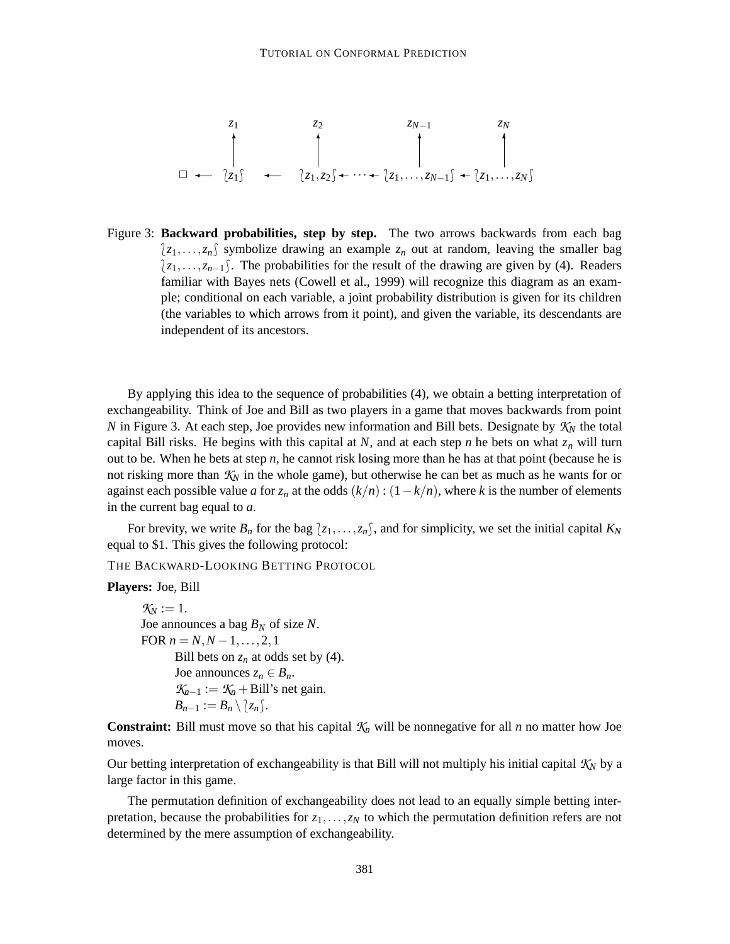✷ \**z*1+ \**z*1,*z*2+ ··· \**z*1,...,*zN*−1+ \**z*1,...,*zN*+ *z*<sup>1</sup> *z*<sup>2</sup> *zN*−<sup>1</sup> *z<sup>N</sup>* ✛ ✛ ✛ ✛ ✛ ✻ ✻ ✻ ✻

Figure 3: **Backward probabilities, step by step.** The two arrows backwards from each bag  $\{z_1,\ldots,z_n\}$  symbolize drawing an example  $z_n$  out at random, leaving the smaller bag *{z<sub>1</sub>,...,z<sub>n−1</sub>}*. The probabilities for the result of the drawing are given by (4). Readers familiar with Bayes nets (Cowell et al., 1999) will recognize this diagram as an example; conditional on each variable, a joint probability distribution is given for its children (the variables to which arrows from it point), and given the variable, its descendants are independent of its ancestors.

By applying this idea to the sequence of probabilities (4), we obtain a betting interpretation of exchangeability. Think of Joe and Bill as two players in a game that moves backwards from point *N* in Figure 3. At each step, Joe provides new information and Bill bets. Designate by  $K_N$  the total capital Bill risks. He begins with this capital at *N*, and at each step *n* he bets on what  $z_n$  will turn out to be. When he bets at step *n*, he cannot risk losing more than he has at that point (because he is not risking more than *K<sup>N</sup>* in the whole game), but otherwise he can bet as much as he wants for or against each possible value *a* for  $z_n$  at the odds  $(k/n)$  :  $(1 - k/n)$ , where *k* is the number of elements in the current bag equal to *a*.

For brevity, we write  $B_n$  for the bag  $\{z_1,\ldots,z_n\}$ , and for simplicity, we set the initial capital  $K_N$ equal to \$1. This gives the following protocol:

THE BACKWARD-LOOKING BETTING PROTOCOL

**Players:** Joe, Bill

 $K_N := 1$ . Joe announces a bag *B<sup>N</sup>* of size *N*. FOR  $n = N, N - 1, \ldots, 2, 1$ Bill bets on  $z_n$  at odds set by (4). Joe announces  $z_n \in B_n$ .  $K_{n-1} := K_n + \text{Bill's net gain.}$  $B_{n-1} := B_n \setminus \{z_n\}.$ 

**Constraint:** Bill must move so that his capital  $K_n$  will be nonnegative for all *n* no matter how Joe moves.

Our betting interpretation of exchangeability is that Bill will not multiply his initial capital  $K_N$  by a large factor in this game.

The permutation definition of exchangeability does not lead to an equally simple betting interpretation, because the probabilities for  $z_1, \ldots, z_N$  to which the permutation definition refers are not determined by the mere assumption of exchangeability.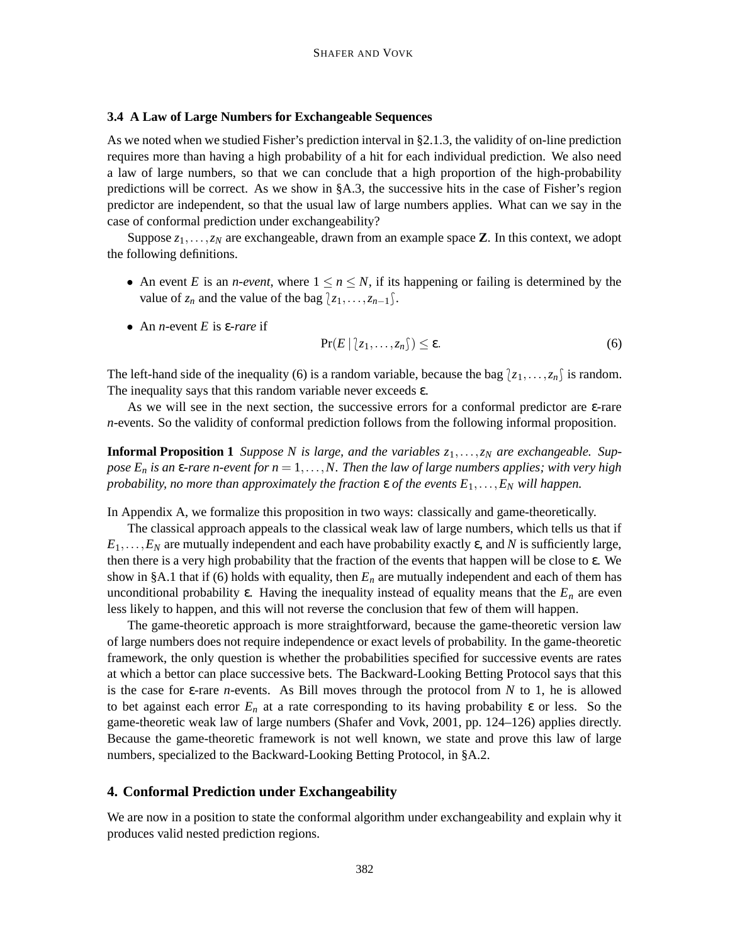### **3.4 A Law of Large Numbers for Exchangeable Sequences**

As we noted when we studied Fisher's prediction interval in §2.1.3, the validity of on-line prediction requires more than having a high probability of a hit for each individual prediction. We also need a law of large numbers, so that we can conclude that a high proportion of the high-probability predictions will be correct. As we show in §A.3, the successive hits in the case of Fisher's region predictor are independent, so that the usual law of large numbers applies. What can we say in the case of conformal prediction under exchangeability?

Suppose  $z_1, \ldots, z_N$  are exchangeable, drawn from an example space **Z**. In this context, we adopt the following definitions.

- An event *E* is an *n-event*, where  $1 \le n \le N$ , if its happening or failing is determined by the value of  $z_n$  and the value of the bag  $\{z_1, \ldots, z_{n-1}\}.$
- An *n*-event *E* is ε-*rare* if

$$
\Pr(E \mid [z_1, \ldots, z_n]) \le \varepsilon. \tag{6}
$$

The left-hand side of the inequality (6) is a random variable, because the bag  $\{z_1, \ldots, z_n\}$  is random. The inequality says that this random variable never exceeds  $\varepsilon$ .

As we will see in the next section, the successive errors for a conformal predictor are  $\epsilon$ -rare *n*-events. So the validity of conformal prediction follows from the following informal proposition.

**Informal Proposition 1** *Suppose N is large, and the variables*  $z_1, \ldots, z_N$  *are exchangeable. Sup*pose  $E_n$  is an  $\epsilon$ -rare n-event for  $n = 1, \ldots, N$ . Then the law of large numbers applies; with very high *probability, no more than approximately the fraction*  $\varepsilon$  *of the events*  $E_1, \ldots, E_N$  *will happen.* 

In Appendix A, we formalize this proposition in two ways: classically and game-theoretically.

The classical approach appeals to the classical weak law of large numbers, which tells us that if  $E_1, \ldots, E_N$  are mutually independent and each have probability exactly  $\varepsilon$ , and *N* is sufficiently large, then there is a very high probability that the fraction of the events that happen will be close to  $\varepsilon$ . We show in §A.1 that if (6) holds with equality, then  $E_n$  are mutually independent and each of them has unconditional probability  $\varepsilon$ . Having the inequality instead of equality means that the  $E_n$  are even less likely to happen, and this will not reverse the conclusion that few of them will happen.

The game-theoretic approach is more straightforward, because the game-theoretic version law of large numbers does not require independence or exact levels of probability. In the game-theoretic framework, the only question is whether the probabilities specified for successive events are rates at which a bettor can place successive bets. The Backward-Looking Betting Protocol says that this is the case for ε-rare *n*-events. As Bill moves through the protocol from *N* to 1, he is allowed to bet against each error  $E_n$  at a rate corresponding to its having probability  $\varepsilon$  or less. So the game-theoretic weak law of large numbers (Shafer and Vovk, 2001, pp. 124–126) applies directly. Because the game-theoretic framework is not well known, we state and prove this law of large numbers, specialized to the Backward-Looking Betting Protocol, in §A.2.

#### **4. Conformal Prediction under Exchangeability**

We are now in a position to state the conformal algorithm under exchangeability and explain why it produces valid nested prediction regions.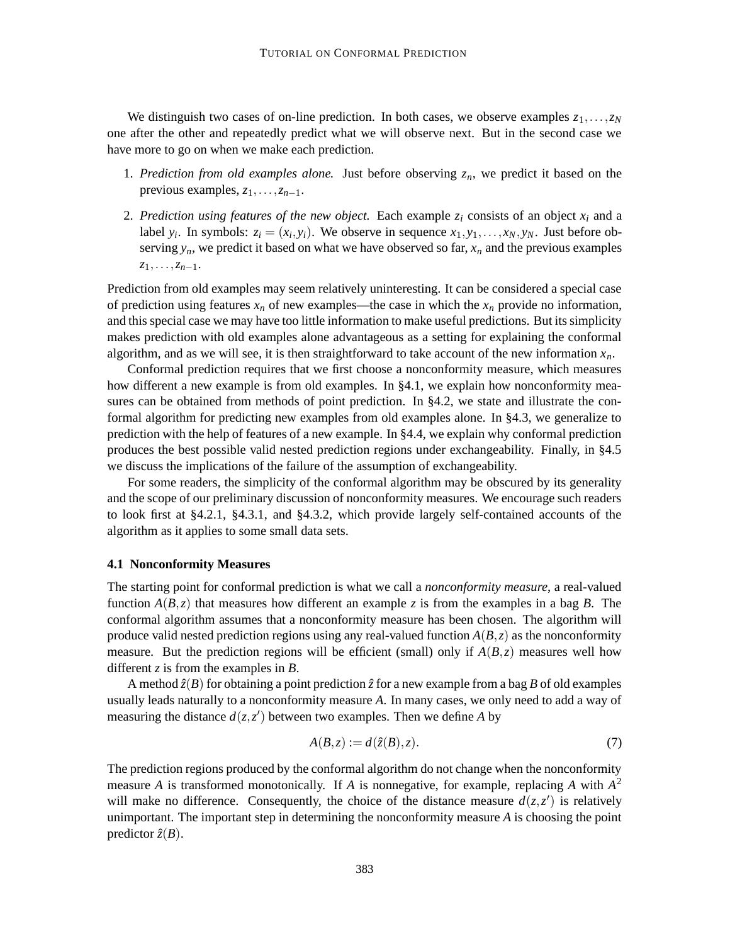We distinguish two cases of on-line prediction. In both cases, we observe examples  $z_1, \ldots, z_N$ one after the other and repeatedly predict what we will observe next. But in the second case we have more to go on when we make each prediction.

- 1. *Prediction from old examples alone.* Just before observing  $z_n$ , we predict it based on the previous examples,  $z_1$ ,..., $z_{n-1}$ .
- 2. *Prediction using features of the new object.* Each example  $z_i$  consists of an object  $x_i$  and a label  $y_i$ . In symbols:  $z_i = (x_i, y_i)$ . We observe in sequence  $x_1, y_1, \ldots, x_N, y_N$ . Just before observing  $y_n$ , we predict it based on what we have observed so far,  $x_n$  and the previous examples *z*1,...,*zn*−1.

Prediction from old examples may seem relatively uninteresting. It can be considered a special case of prediction using features  $x_n$  of new examples—the case in which the  $x_n$  provide no information, and thisspecial case we may have too little information to make useful predictions. But itssimplicity makes prediction with old examples alone advantageous as a setting for explaining the conformal algorithm, and as we will see, it is then straightforward to take account of the new information  $x_n$ .

Conformal prediction requires that we first choose a nonconformity measure, which measures how different a new example is from old examples. In §4.1, we explain how nonconformity measures can be obtained from methods of point prediction. In §4.2, we state and illustrate the conformal algorithm for predicting new examples from old examples alone. In §4.3, we generalize to prediction with the help of features of a new example. In §4.4, we explain why conformal prediction produces the best possible valid nested prediction regions under exchangeability. Finally, in §4.5 we discuss the implications of the failure of the assumption of exchangeability.

For some readers, the simplicity of the conformal algorithm may be obscured by its generality and the scope of our preliminary discussion of nonconformity measures. We encourage such readers to look first at §4.2.1, §4.3.1, and §4.3.2, which provide largely self-contained accounts of the algorithm as it applies to some small data sets.

## **4.1 Nonconformity Measures**

The starting point for conformal prediction is what we call a *nonconformity measure*, a real-valued function  $A(B, z)$  that measures how different an example z is from the examples in a bag *B*. The conformal algorithm assumes that a nonconformity measure has been chosen. The algorithm will produce valid nested prediction regions using any real-valued function  $A(B, z)$  as the nonconformity measure. But the prediction regions will be efficient (small) only if  $A(B, z)$  measures well how different *z* is from the examples in *B*.

A method  $\hat{z}(B)$  for obtaining a point prediction  $\hat{z}$  for a new example from a bag *B* of old examples usually leads naturally to a nonconformity measure *A*. In many cases, we only need to add a way of measuring the distance  $d(z, z')$  between two examples. Then we define *A* by

$$
A(B, z) := d(\hat{z}(B), z). \tag{7}
$$

The prediction regions produced by the conformal algorithm do not change when the nonconformity measure *A* is transformed monotonically. If *A* is nonnegative, for example, replacing *A* with *A* 2 will make no difference. Consequently, the choice of the distance measure  $d(z, z')$  is relatively unimportant. The important step in determining the nonconformity measure *A* is choosing the point predictor  $\hat{z}(B)$ .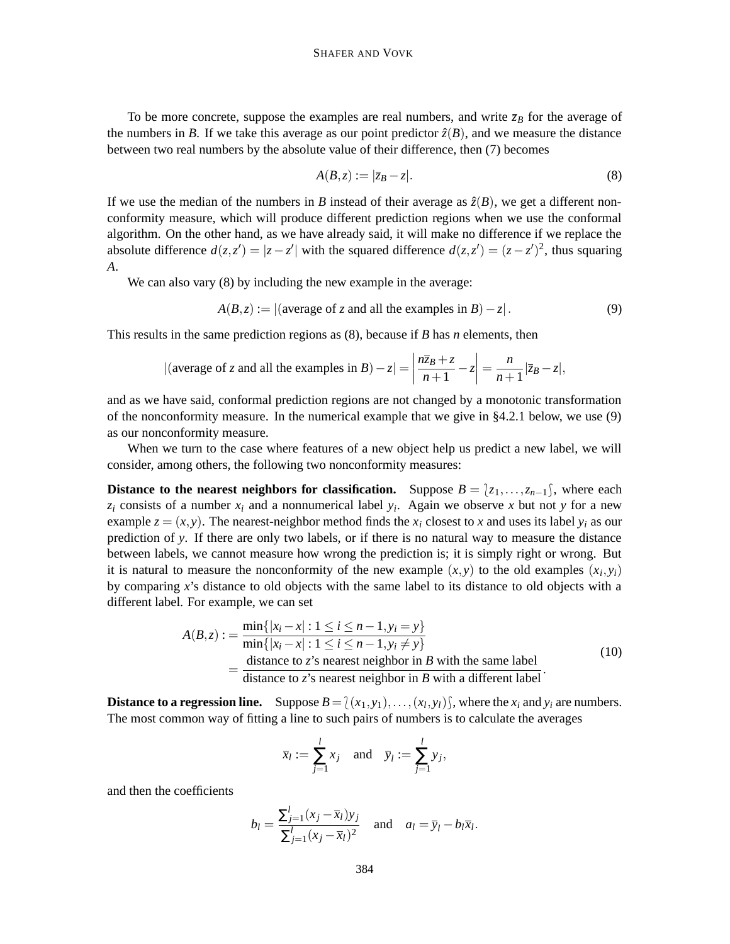To be more concrete, suppose the examples are real numbers, and write  $\bar{z}_B$  for the average of the numbers in *B*. If we take this average as our point predictor  $\hat{z}(B)$ , and we measure the distance between two real numbers by the absolute value of their difference, then (7) becomes

$$
A(B, z) := |\overline{z}_B - z|.\tag{8}
$$

If we use the median of the numbers in *B* instead of their average as  $\hat{z}(B)$ , we get a different nonconformity measure, which will produce different prediction regions when we use the conformal algorithm. On the other hand, as we have already said, it will make no difference if we replace the absolute difference  $d(z, z') = |z - z'|$  with the squared difference  $d(z, z') = (z - z')^2$ , thus squaring *A*.

We can also vary  $(8)$  by including the new example in the average:

$$
A(B, z) := |(\text{average of } z \text{ and all the examples in } B) - z|.
$$
 (9)

This results in the same prediction regions as (8), because if *B* has *n* elements, then

|(average of z and all the examples in 
$$
B
$$
)  $-z$ | =  $\left| \frac{n\overline{z}_B + z}{n+1} - z \right| = \frac{n}{n+1} |\overline{z}_B - z|$ ,

and as we have said, conformal prediction regions are not changed by a monotonic transformation of the nonconformity measure. In the numerical example that we give in §4.2.1 below, we use (9) as our nonconformity measure.

When we turn to the case where features of a new object help us predict a new label, we will consider, among others, the following two nonconformity measures:

**Distance to the nearest neighbors for classification.** Suppose  $B = \{z_1, \ldots, z_{n-1}\}$ , where each  $z_i$  consists of a number  $x_i$  and a nonnumerical label  $y_i$ . Again we observe x but not y for a new example  $z = (x, y)$ . The nearest-neighbor method finds the  $x_i$  closest to x and uses its label  $y_i$  as our prediction of *y*. If there are only two labels, or if there is no natural way to measure the distance between labels, we cannot measure how wrong the prediction is; it is simply right or wrong. But it is natural to measure the nonconformity of the new example  $(x, y)$  to the old examples  $(x_i, y_i)$ by comparing *x*'s distance to old objects with the same label to its distance to old objects with a different label. For example, we can set

$$
A(B, z) := \frac{\min\{|x_i - x| : 1 \le i \le n - 1, y_i = y\}}{\min\{|x_i - x| : 1 \le i \le n - 1, y_i \ne y\}}
$$
  
= 
$$
\frac{\text{distance to } z \text{'s nearest neighbor in } B \text{ with the same label}}{\text{distance to } z \text{'s nearest neighbor in } B \text{ with a different label}}.
$$
 (10)

**Distance to a regression line.** Suppose  $B = \{(x_1, y_1), \ldots, (x_l, y_l)\}$ , where the  $x_i$  and  $y_i$  are numbers. The most common way of fitting a line to such pairs of numbers is to calculate the averages

$$
\overline{x}_l := \sum_{j=1}^l x_j
$$
 and  $\overline{y}_l := \sum_{j=1}^l y_j$ ,

and then the coefficients

$$
b_l = \frac{\sum_{j=1}^l (x_j - \overline{x}_l) y_j}{\sum_{j=1}^l (x_j - \overline{x}_l)^2}
$$
 and  $a_l = \overline{y}_l - b_l \overline{x}_l$ .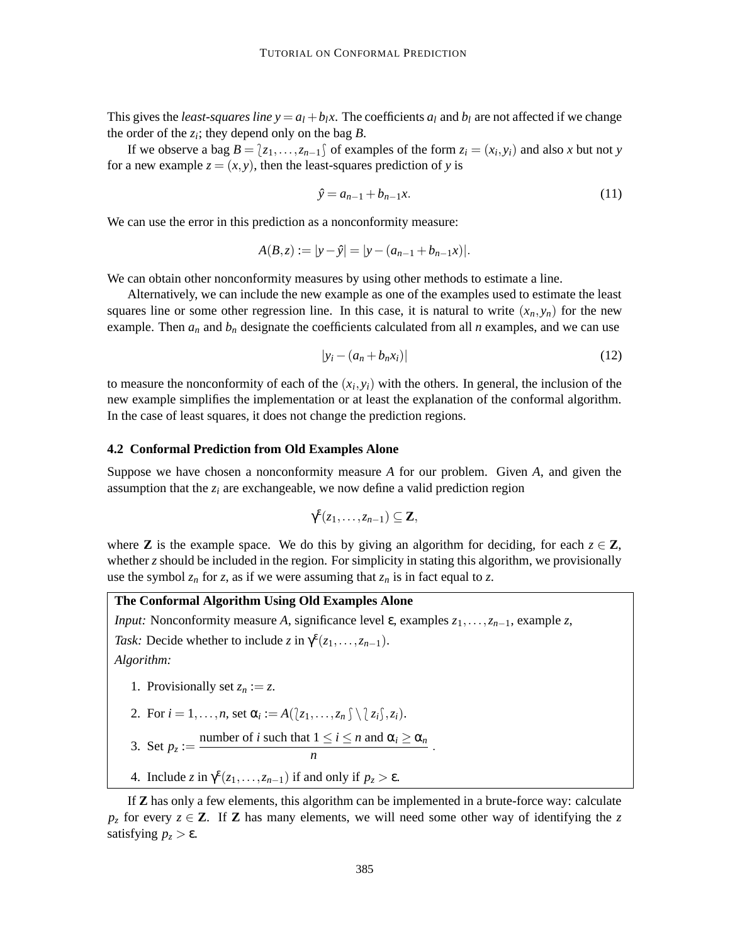This gives the *least-squares line*  $y = a_1 + b_1x$ . The coefficients  $a_1$  and  $b_1$  are not affected if we change the order of the  $z_i$ ; they depend only on the bag  $B$ .

If we observe a bag  $B = \{z_1, \ldots, z_{n-1}\}$  of examples of the form  $z_i = (x_i, y_i)$  and also *x* but not *y* for a new example  $z = (x, y)$ , then the least-squares prediction of y is

$$
\hat{y} = a_{n-1} + b_{n-1}x.\tag{11}
$$

We can use the error in this prediction as a nonconformity measure:

$$
A(B, z) := |y - \hat{y}| = |y - (a_{n-1} + b_{n-1}x)|.
$$

We can obtain other nonconformity measures by using other methods to estimate a line.

Alternatively, we can include the new example as one of the examples used to estimate the least squares line or some other regression line. In this case, it is natural to write  $(x_n, y_n)$  for the new example. Then  $a_n$  and  $b_n$  designate the coefficients calculated from all  $n$  examples, and we can use

$$
|y_i - (a_n + b_n x_i)| \tag{12}
$$

to measure the nonconformity of each of the  $(x_i, y_i)$  with the others. In general, the inclusion of the new example simplifies the implementation or at least the explanation of the conformal algorithm. In the case of least squares, it does not change the prediction regions.

### **4.2 Conformal Prediction from Old Examples Alone**

Suppose we have chosen a nonconformity measure *A* for our problem. Given *A*, and given the assumption that the  $z_i$  are exchangeable, we now define a valid prediction region

$$
\gamma^{\varepsilon}(z_1,\ldots,z_{n-1})\subseteq \mathbf{Z},
$$

where **Z** is the example space. We do this by giving an algorithm for deciding, for each  $z \in \mathbb{Z}$ , whether *z* should be included in the region. For simplicity in stating this algorithm, we provisionally use the symbol  $z_n$  for *z*, as if we were assuming that  $z_n$  is in fact equal to *z*.

# **The Conformal Algorithm Using Old Examples Alone**

*Input:* Nonconformity measure *A*, significance level  $\varepsilon$ , examples  $z_1, \ldots, z_{n-1}$ , example  $z$ ,

*Task:* Decide whether to include *z* in  $\gamma^{\epsilon}(z_1,\ldots,z_{n-1})$ .

*Algorithm:*

- 1. Provisionally set  $z_n := z$ .
- 2. For  $i = 1, \ldots, n$ , set  $\alpha_i := A(\{z_1, \ldots, z_n\}) \setminus \{z_i\}, z_i)$ .

3. Set 
$$
p_z :=
$$
 number of *i* such that  $1 \le i \le n$  and  $\alpha_i \ge \alpha_n$ 

*n*

4. Include  $z$  in  $\gamma^{\epsilon}(z_1,\ldots,z_{n-1})$  if and only if  $p_z > \epsilon$ .

If **Z** has only a few elements, this algorithm can be implemented in a brute-force way: calculate *p<sub>z</sub>* for every  $z \in \mathbb{Z}$ . If **Z** has many elements, we will need some other way of identifying the *z* satisfying  $p<sub>z</sub> > \varepsilon$ .

.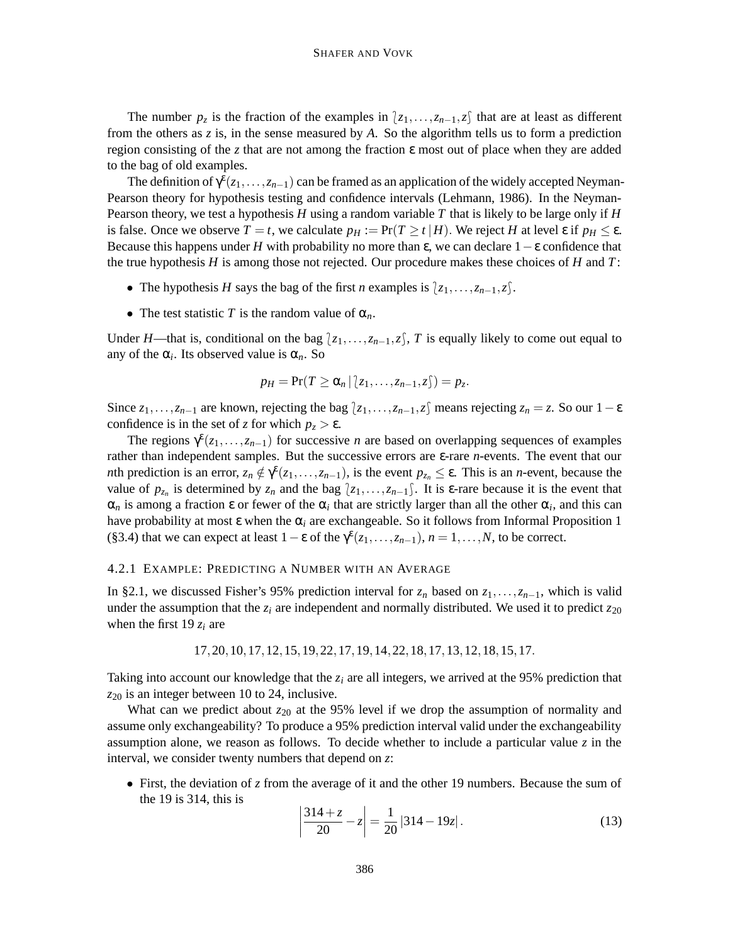The number  $p_z$  is the fraction of the examples in  $\langle z_1,\ldots,z_{n-1},z\rangle$  that are at least as different from the others as *z* is, in the sense measured by *A*. So the algorithm tells us to form a prediction region consisting of the *z* that are not among the fraction ε most out of place when they are added to the bag of old examples.

The definition of  $\gamma^{\epsilon}(z_1,\ldots,z_{n-1})$  can be framed as an application of the widely accepted Neyman-Pearson theory for hypothesis testing and confidence intervals (Lehmann, 1986). In the Neyman-Pearson theory, we test a hypothesis *H* using a random variable *T* that is likely to be large only if *H* is false. Once we observe  $T = t$ , we calculate  $p_H := \Pr(T \ge t | H)$ . We reject *H* at level  $\varepsilon$  if  $p_H \le \varepsilon$ . Because this happens under *H* with probability no more than  $\varepsilon$ , we can declare  $1-\varepsilon$  confidence that the true hypothesis  $H$  is among those not rejected. Our procedure makes these choices of  $H$  and  $T$ :

- The hypothesis *H* says the bag of the first *n* examples is  $\{z_1, \ldots, z_{n-1}, z\}$ .
- The test statistic *T* is the random value of  $\alpha_n$ .

Under *H*—that is, conditional on the bag  $\langle z_1, \ldots, z_{n-1}, z \rangle$ , *T* is equally likely to come out equal to any of the  $\alpha_i$ . Its observed value is  $\alpha_n$ . So

$$
p_H = \Pr(T \ge \alpha_n \, | \, \langle z_1, \ldots, z_{n-1}, z \rangle) = p_z.
$$

Since  $z_1, \ldots, z_{n-1}$  are known, rejecting the bag  $\{z_1, \ldots, z_{n-1}, z\}$  means rejecting  $z_n = z$ . So our  $1 - \varepsilon$ confidence is in the set of *z* for which  $p_z > \varepsilon$ .

The regions  $\gamma^{\epsilon}(z_1,\ldots,z_{n-1})$  for successive *n* are based on overlapping sequences of examples rather than independent samples. But the successive errors are ε-rare *n*-events. The event that our *n*th prediction is an error,  $z_n \notin \gamma^{\epsilon}(z_1,\ldots,z_{n-1})$ , is the event  $p_{z_n} \leq \epsilon$ . This is an *n*-event, because the value of  $p_{z_n}$  is determined by  $z_n$  and the bag  $\{z_1,\ldots,z_{n-1}\}$ . It is  $\epsilon$ -rare because it is the event that  $\alpha_n$  is among a fraction  $\varepsilon$  or fewer of the  $\alpha_i$  that are strictly larger than all the other  $\alpha_i$ , and this can have probability at most  $\varepsilon$  when the  $\alpha_i$  are exchangeable. So it follows from Informal Proposition 1 (§3.4) that we can expect at least  $1 - \varepsilon$  of the  $\gamma^{\varepsilon}(z_1,\ldots,z_{n-1}), n = 1,\ldots,N$ , to be correct.

#### 4.2.1 EXAMPLE: PREDICTING A NUMBER WITH AN AVERAGE

In §2.1, we discussed Fisher's 95% prediction interval for  $z_n$  based on  $z_1, \ldots, z_{n-1}$ , which is valid under the assumption that the  $z_i$  are independent and normally distributed. We used it to predict  $z_{20}$ when the first 19 *z<sup>i</sup>* are

$$
17, 20, 10, 17, 12, 15, 19, 22, 17, 19, 14, 22, 18, 17, 13, 12, 18, 15, 17.
$$

Taking into account our knowledge that the *z<sup>i</sup>* are all integers, we arrived at the 95% prediction that *z*<sup>20</sup> is an integer between 10 to 24, inclusive.

What can we predict about  $z_{20}$  at the 95% level if we drop the assumption of normality and assume only exchangeability? To produce a 95% prediction interval valid under the exchangeability assumption alone, we reason as follows. To decide whether to include a particular value *z* in the interval, we consider twenty numbers that depend on *z*:

• First, the deviation of *z* from the average of it and the other 19 numbers. Because the sum of the 19 is 314, this is

$$
\left|\frac{314+z}{20} - z\right| = \frac{1}{20} |314 - 19z|.
$$
 (13)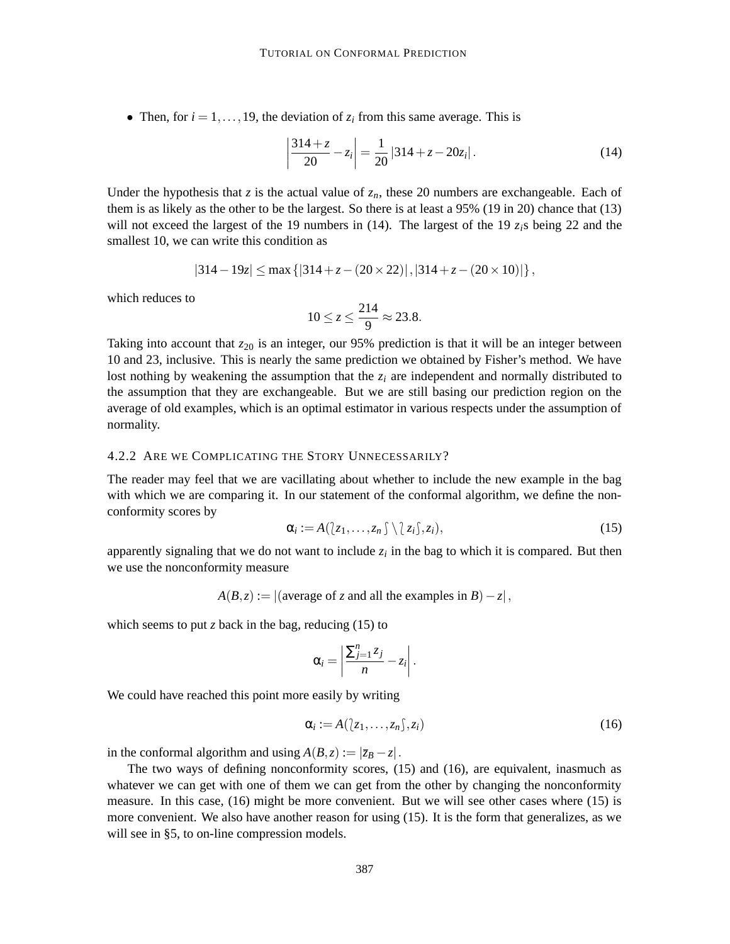• Then, for  $i = 1, \ldots, 19$ , the deviation of  $z_i$  from this same average. This is

$$
\left| \frac{314 + z}{20} - z_i \right| = \frac{1}{20} |314 + z - 20z_i|.
$$
 (14)

Under the hypothesis that *z* is the actual value of  $z_n$ , these 20 numbers are exchangeable. Each of them is as likely as the other to be the largest. So there is at least a 95% (19 in 20) chance that (13) will not exceed the largest of the 19 numbers in (14). The largest of the 19  $z_i$ <sub>i</sub>s being 22 and the smallest 10, we can write this condition as

$$
|314 - 19z| \le \max\left\{ |314 + z - (20 \times 22)|, |314 + z - (20 \times 10)| \right\},\
$$

which reduces to

$$
10 \le z \le \frac{214}{9} \approx 23.8.
$$

Taking into account that  $z_{20}$  is an integer, our 95% prediction is that it will be an integer between 10 and 23, inclusive. This is nearly the same prediction we obtained by Fisher's method. We have lost nothing by weakening the assumption that the  $z_i$  are independent and normally distributed to the assumption that they are exchangeable. But we are still basing our prediction region on the average of old examples, which is an optimal estimator in various respects under the assumption of normality.

#### 4.2.2 ARE WE COMPLICATING THE STORY UNNECESSARILY?

The reader may feel that we are vacillating about whether to include the new example in the bag with which we are comparing it. In our statement of the conformal algorithm, we define the nonconformity scores by

$$
\alpha_i := A(\{z_1,\ldots,z_n\}) \setminus \{z_i\}, z_i), \qquad (15)
$$

apparently signaling that we do not want to include  $z_i$  in the bag to which it is compared. But then we use the nonconformity measure

 $A(B, z) := |(\text{average of } z \text{ and all the examples in } B) - z|,$ 

which seems to put *z* back in the bag, reducing  $(15)$  to

$$
\alpha_i = \left|\frac{\sum_{j=1}^n z_j}{n} - z_i\right|.
$$

We could have reached this point more easily by writing

$$
\alpha_i := A([z_1, \dots, z_n], z_i)
$$
\n<sup>(16)</sup>

in the conformal algorithm and using  $A(B, z) := |\overline{z}_B - z|$ .

The two ways of defining nonconformity scores, (15) and (16), are equivalent, inasmuch as whatever we can get with one of them we can get from the other by changing the nonconformity measure. In this case, (16) might be more convenient. But we will see other cases where (15) is more convenient. We also have another reason for using (15). It is the form that generalizes, as we will see in §5, to on-line compression models.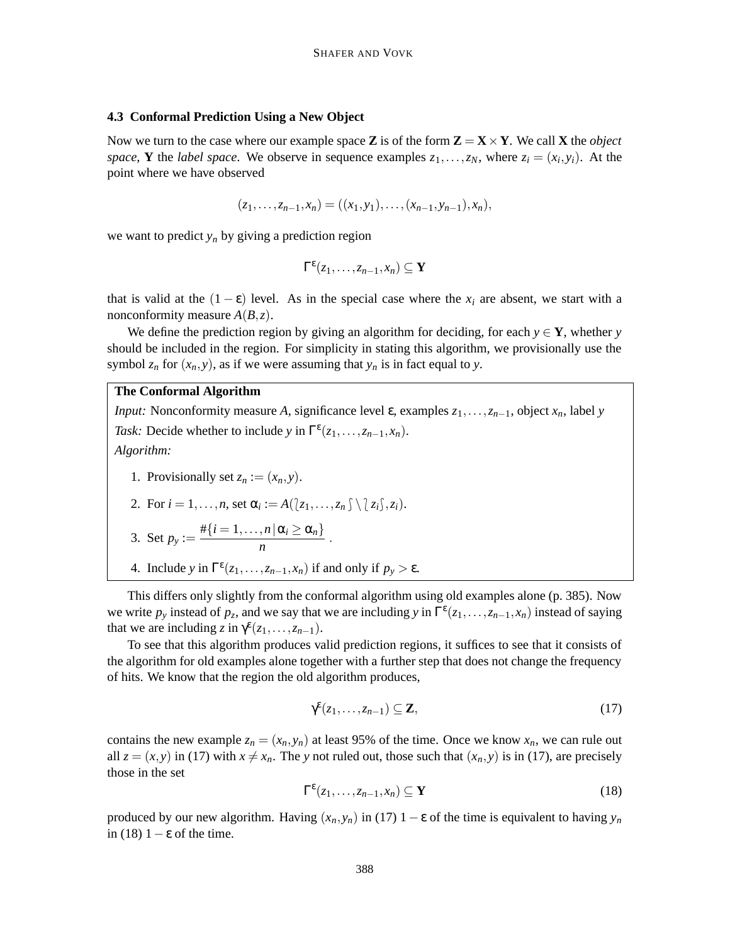### **4.3 Conformal Prediction Using a New Object**

Now we turn to the case where our example space **Z** is of the form  $\mathbf{Z} = \mathbf{X} \times \mathbf{Y}$ . We call **X** the *object space*, **Y** the *label space*. We observe in sequence examples  $z_1, \ldots, z_N$ , where  $z_i = (x_i, y_i)$ . At the point where we have observed

$$
(z_1,\ldots,z_{n-1},x_n)=((x_1,y_1),\ldots,(x_{n-1},y_{n-1}),x_n),
$$

we want to predict  $y_n$  by giving a prediction region

$$
\Gamma^{\varepsilon}(z_1,\ldots,z_{n-1},x_n)\subseteq \mathbf{Y}
$$

that is valid at the  $(1 - \varepsilon)$  level. As in the special case where the  $x_i$  are absent, we start with a nonconformity measure  $A(B, z)$ .

We define the prediction region by giving an algorithm for deciding, for each  $y \in Y$ , whether *y* should be included in the region. For simplicity in stating this algorithm, we provisionally use the symbol  $z_n$  for  $(x_n, y)$ , as if we were assuming that  $y_n$  is in fact equal to *y*.

# **The Conformal Algorithm**

*Input:* Nonconformity measure *A*, significance level  $\varepsilon$ , examples  $z_1, \ldots, z_{n-1}$ , object  $x_n$ , label *y Task:* Decide whether to include *y* in  $\Gamma^{\epsilon}(z_1,\ldots,z_{n-1},x_n)$ . *Algorithm:*

1. Provisionally set  $z_n := (x_n, y)$ .

2. For 
$$
i = 1, ..., n
$$
, set  $\alpha_i := A(\langle z_1, ..., z_n \rangle \setminus \langle z_i \rangle, z_i)$ .

3. Set 
$$
p_y := \frac{\#\{i=1,\ldots,n \,|\, \alpha_i \geq \alpha_n\}}{n}
$$
.

4. Include *y* in  $\Gamma^{\epsilon}(z_1,\ldots,z_{n-1},x_n)$  if and only if  $p_y > \epsilon$ .

This differs only slightly from the conformal algorithm using old examples alone (p. 385). Now we write  $p_y$  instead of  $p_z$ , and we say that we are including  $y$  in  $\Gamma^{\epsilon}(z_1,\ldots,z_{n-1},x_n)$  instead of saying that we are including  $z$  in  $\gamma^{\varepsilon}(z_1,\ldots,z_{n-1})$ .

To see that this algorithm produces valid prediction regions, it suffices to see that it consists of the algorithm for old examples alone together with a further step that does not change the frequency of hits. We know that the region the old algorithm produces,

$$
\gamma^{\varepsilon}(z_1,\ldots,z_{n-1})\subseteq \mathbf{Z},\tag{17}
$$

contains the new example  $z_n = (x_n, y_n)$  at least 95% of the time. Once we know  $x_n$ , we can rule out all  $z = (x, y)$  in (17) with  $x \neq x_n$ . The *y* not ruled out, those such that  $(x_n, y)$  is in (17), are precisely those in the set

$$
\Gamma^{\varepsilon}(z_1,\ldots,z_{n-1},x_n) \subseteq \mathbf{Y}
$$
 (18)

produced by our new algorithm. Having  $(x_n, y_n)$  in (17)  $1 - \varepsilon$  of the time is equivalent to having  $y_n$ in (18)  $1 - \varepsilon$  of the time.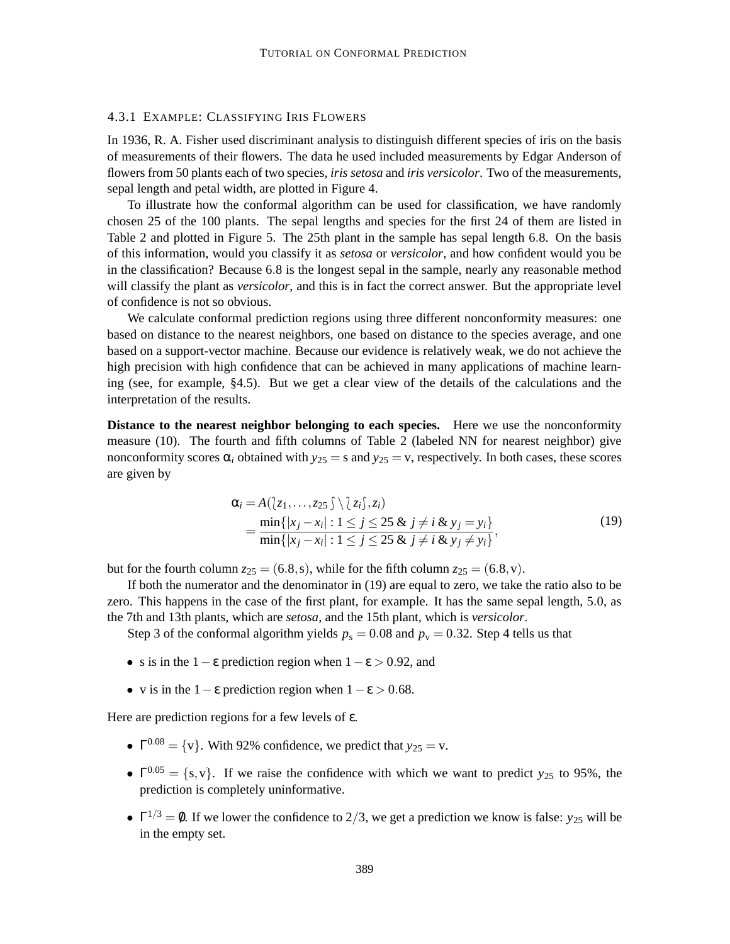### 4.3.1 EXAMPLE: CLASSIFYING IRIS FLOWERS

In 1936, R. A. Fisher used discriminant analysis to distinguish different species of iris on the basis of measurements of their flowers. The data he used included measurements by Edgar Anderson of flowers from 50 plants each of two species, *iris setosa* and *iris versicolor*. Two of the measurements, sepal length and petal width, are plotted in Figure 4.

To illustrate how the conformal algorithm can be used for classification, we have randomly chosen 25 of the 100 plants. The sepal lengths and species for the first 24 of them are listed in Table 2 and plotted in Figure 5. The 25th plant in the sample has sepal length 6.8. On the basis of this information, would you classify it as *setosa* or *versicolor*, and how confident would you be in the classification? Because 6.8 is the longest sepal in the sample, nearly any reasonable method will classify the plant as *versicolor*, and this is in fact the correct answer. But the appropriate level of confidence is not so obvious.

We calculate conformal prediction regions using three different nonconformity measures: one based on distance to the nearest neighbors, one based on distance to the species average, and one based on a support-vector machine. Because our evidence is relatively weak, we do not achieve the high precision with high confidence that can be achieved in many applications of machine learning (see, for example, §4.5). But we get a clear view of the details of the calculations and the interpretation of the results.

**Distance to the nearest neighbor belonging to each species.** Here we use the nonconformity measure (10). The fourth and fifth columns of Table 2 (labeled NN for nearest neighbor) give nonconformity scores  $\alpha_i$  obtained with  $y_{25} = s$  and  $y_{25} = v$ , respectively. In both cases, these scores are given by

$$
\alpha_{i} = A(\{z_{1},...,z_{25}\}) \{z_{i}\}, z_{i})
$$
\n
$$
= \frac{\min\{|x_{j} - x_{i}| : 1 \leq j \leq 25 \& j \neq i \& y_{j} = y_{i}\}}{\min\{|x_{j} - x_{i}| : 1 \leq j \leq 25 \& j \neq i \& y_{j} \neq y_{i}\}},
$$
\n(19)

but for the fourth column  $z_{25} = (6.8, s)$ , while for the fifth column  $z_{25} = (6.8, v)$ .

If both the numerator and the denominator in (19) are equal to zero, we take the ratio also to be zero. This happens in the case of the first plant, for example. It has the same sepal length, 5.0, as the 7th and 13th plants, which are *setosa*, and the 15th plant, which is *versicolor*.

Step 3 of the conformal algorithm yields  $p_s = 0.08$  and  $p_v = 0.32$ . Step 4 tells us that

- s is in the 1  $\varepsilon$  prediction region when  $1 \varepsilon > 0.92$ , and
- v is in the  $1 \varepsilon$  prediction region when  $1 \varepsilon > 0.68$ .

Here are prediction regions for a few levels of ε.

- $\Gamma^{0.08} = \{v\}$ . With 92% confidence, we predict that  $y_{25} = v$ .
- $\Gamma^{0.05} = \{s, v\}$ . If we raise the confidence with which we want to predict *y*<sub>25</sub> to 95%, the prediction is completely uninformative.
- $\Gamma^{1/3} = \emptyset$ . If we lower the confidence to 2/3, we get a prediction we know is false: *y*<sub>25</sub> will be in the empty set.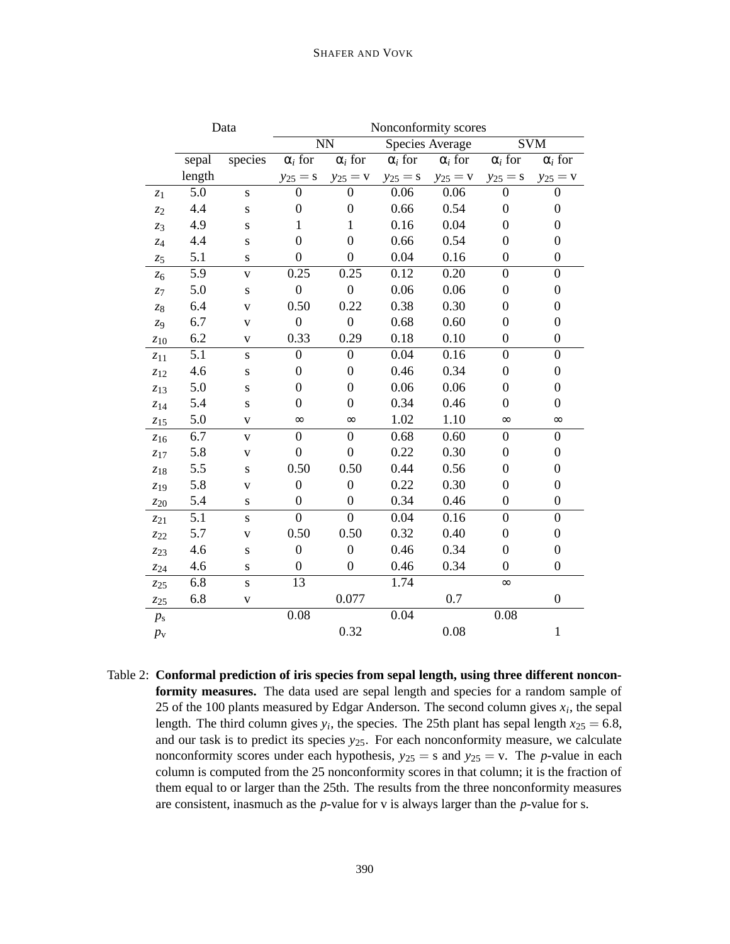# SHAFER AND VOVK

|                 | Data   |                         | Nonconformity scores      |                        |                 |                |                  |                           |
|-----------------|--------|-------------------------|---------------------------|------------------------|-----------------|----------------|------------------|---------------------------|
|                 |        |                         |                           | $\overline{\text{NN}}$ | Species Average |                |                  | $\overline{\mathrm{SVM}}$ |
|                 | sepal  | species                 | $\overline{\alpha_i}$ for | $\alpha_i$ for         | $\alpha_i$ for  | $\alpha_i$ for | $\alpha_i$ for   | $\alpha_i$ for            |
|                 | length |                         | $y_{25} = s$              | $y_{25} = v$           | $y_{25} = s$    | $y_{25} = v$   | $y_{25} = s$     | $y_{25} = v$              |
| $z_1$           | 5.0    | $\mathbf S$             | $\boldsymbol{0}$          | $\boldsymbol{0}$       | 0.06            | 0.06           | $\overline{0}$   | $\boldsymbol{0}$          |
| z <sub>2</sub>  | 4.4    | S                       | $\overline{0}$            | $\boldsymbol{0}$       | 0.66            | 0.54           | $\overline{0}$   | $\boldsymbol{0}$          |
| $z_3$           | 4.9    | S                       | 1                         | $\mathbf{1}$           | 0.16            | 0.04           | $\overline{0}$   | $\boldsymbol{0}$          |
| $z_{4}$         | 4.4    | S                       | $\boldsymbol{0}$          | $\overline{0}$         | 0.66            | 0.54           | $\overline{0}$   | $\boldsymbol{0}$          |
| $z_{5}$         | 5.1    | S                       | $\overline{0}$            | $\overline{0}$         | 0.04            | 0.16           | $\overline{0}$   | $\boldsymbol{0}$          |
| $z_{6}$         | 5.9    | $\mathbf V$             | 0.25                      | 0.25                   | 0.12            | 0.20           | $\overline{0}$   | $\boldsymbol{0}$          |
| $z_7$           | 5.0    | ${\bf S}$               | $\boldsymbol{0}$          | $\boldsymbol{0}$       | 0.06            | 0.06           | $\boldsymbol{0}$ | $\boldsymbol{0}$          |
| $\mathcal{Z}8$  | 6.4    | $\overline{\mathbf{V}}$ | 0.50                      | 0.22                   | 0.38            | 0.30           | $\overline{0}$   | $\boldsymbol{0}$          |
| $z_{9}$         | 6.7    | $\overline{\mathbf{V}}$ | $\boldsymbol{0}$          | $\boldsymbol{0}$       | 0.68            | 0.60           | $\overline{0}$   | $\boldsymbol{0}$          |
| $z_{10}$        | 6.2    | V                       | 0.33                      | 0.29                   | 0.18            | 0.10           | $\boldsymbol{0}$ | $\boldsymbol{0}$          |
| $z_{11}$        | 5.1    | $\bf S$                 | $\overline{0}$            | $\overline{0}$         | 0.04            | 0.16           | $\overline{0}$   | $\mathbf{0}$              |
| $z_{12}$        | 4.6    | ${\bf S}$               | $\boldsymbol{0}$          | $\boldsymbol{0}$       | 0.46            | 0.34           | $\overline{0}$   | $\boldsymbol{0}$          |
| $z_{13}$        | 5.0    | $\mathbf S$             | $\boldsymbol{0}$          | $\boldsymbol{0}$       | 0.06            | 0.06           | $\overline{0}$   | $\boldsymbol{0}$          |
| $\mathcal{Z}14$ | 5.4    | $\bf S$                 | $\overline{0}$            | $\boldsymbol{0}$       | 0.34            | 0.46           | $\overline{0}$   | $\boldsymbol{0}$          |
| $z_{15}$        | 5.0    | $\mathbf V$             | $\infty$                  | $\infty$               | 1.02            | 1.10           | $\infty$         | $\infty$                  |
| $z_{16}$        | 6.7    | $\mathbf V$             | $\overline{0}$            | $\overline{0}$         | 0.68            | 0.60           | $\overline{0}$   | $\boldsymbol{0}$          |
| $\mathcal{Z}17$ | 5.8    | $\mathbf V$             | $\overline{0}$            | $\overline{0}$         | 0.22            | 0.30           | $\overline{0}$   | $\boldsymbol{0}$          |
| $\mathcal{Z}18$ | 5.5    | ${\bf S}$               | 0.50                      | 0.50                   | 0.44            | 0.56           | $\boldsymbol{0}$ | $\boldsymbol{0}$          |
| $z_{19}$        | 5.8    | $\mathbf V$             | $\boldsymbol{0}$          | $\boldsymbol{0}$       | 0.22            | 0.30           | $\overline{0}$   | $\boldsymbol{0}$          |
| $z_{20}$        | 5.4    | S                       | $\boldsymbol{0}$          | $\overline{0}$         | 0.34            | 0.46           | $\overline{0}$   | $\mathbf{0}$              |
| $z_{21}$        | 5.1    | $\bf S$                 | $\overline{0}$            | $\overline{0}$         | 0.04            | 0.16           | $\overline{0}$   | $\boldsymbol{0}$          |
| $z_{22}$        | 5.7    | $\overline{\mathbf{V}}$ | 0.50                      | 0.50                   | 0.32            | 0.40           | $\boldsymbol{0}$ | $\boldsymbol{0}$          |
| $z_{23}$        | 4.6    | S                       | $\boldsymbol{0}$          | $\overline{0}$         | 0.46            | 0.34           | $\overline{0}$   | $\boldsymbol{0}$          |
| Z24             | 4.6    | ${\bf S}$               | $\boldsymbol{0}$          | $\boldsymbol{0}$       | 0.46            | 0.34           | $\overline{0}$   | $\boldsymbol{0}$          |
| $z_{25}$        | 6.8    | $\overline{\mathbf{s}}$ | 13                        |                        | 1.74            |                | $\infty$         |                           |
| $z_{25}$        | 6.8    | $\overline{\mathbf{V}}$ |                           | 0.077                  |                 | 0.7            |                  | $\boldsymbol{0}$          |
| $p_{\rm s}$     |        |                         | 0.08                      |                        | 0.04            |                | 0.08             |                           |
| $p_{\rm v}$     |        |                         |                           | 0.32                   |                 | 0.08           |                  | $\mathbf 1$               |

Table 2: **Conformal prediction of iris species from sepal length, using three different nonconformity measures.** The data used are sepal length and species for a random sample of 25 of the 100 plants measured by Edgar Anderson. The second column gives  $x_i$ , the sepal length. The third column gives  $y_i$ , the species. The 25th plant has sepal length  $x_{25} = 6.8$ , and our task is to predict its species *y*25. For each nonconformity measure, we calculate nonconformity scores under each hypothesis,  $y_{25} = s$  and  $y_{25} = v$ . The *p*-value in each column is computed from the 25 nonconformity scores in that column; it is the fraction of them equal to or larger than the 25th. The results from the three nonconformity measures are consistent, inasmuch as the *p*-value for v is always larger than the *p*-value for s.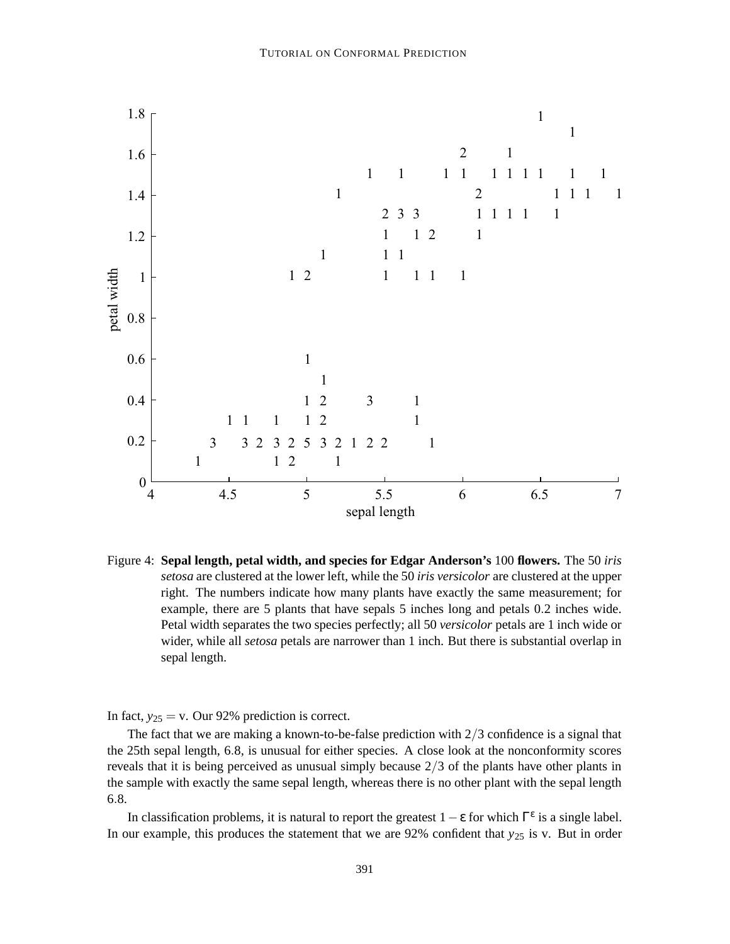

Figure 4: **Sepal length, petal width, and species for Edgar Anderson's** 100 **flowers.** The 50 *iris setosa* are clustered at the lower left, while the 50 *iris versicolor* are clustered at the upper right. The numbers indicate how many plants have exactly the same measurement; for example, there are 5 plants that have sepals 5 inches long and petals 0.2 inches wide. Petal width separates the two species perfectly; all 50 *versicolor* petals are 1 inch wide or wider, while all *setosa* petals are narrower than 1 inch. But there is substantial overlap in sepal length.

In fact,  $y_{25} = v$ . Our 92% prediction is correct.

The fact that we are making a known-to-be-false prediction with  $2/3$  confidence is a signal that the 25th sepal length, 6.8, is unusual for either species. A close look at the nonconformity scores reveals that it is being perceived as unusual simply because  $2/3$  of the plants have other plants in the sample with exactly the same sepal length, whereas there is no other plant with the sepal length .8.

In classification problems, it is natural to report the greatest  $1 - \varepsilon$  for which  $\Gamma^{\varepsilon}$  is a single label. In our example, this produces the statement that we are  $92\%$  confident that  $y_{25}$  is v. But in order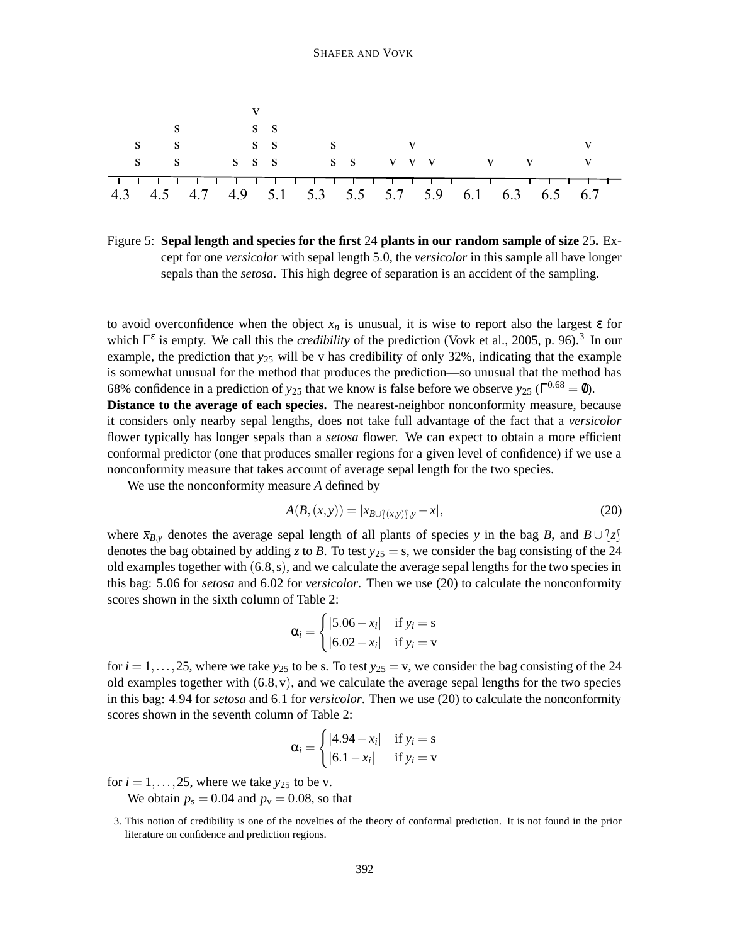

Figure 5: **Sepal length and species for the first** 24 **plants in our random sample of size** 25**.** Except for one *versicolor* with sepal length 5.0, the *versicolor* in this sample all have longer sepals than the *setosa*. This high degree of separation is an accident of the sampling.

to avoid overconfidence when the object  $x_n$  is unusual, it is wise to report also the largest  $\varepsilon$  for which  $\Gamma^{\epsilon}$  is empty. We call this the *credibility* of the prediction (Vovk et al., 2005, p. 96).<sup>3</sup> In our example, the prediction that *y*<sup>25</sup> will be v has credibility of only 32%, indicating that the example is somewhat unusual for the method that produces the prediction—so unusual that the method has 68% confidence in a prediction of  $y_{25}$  that we know is false before we observe  $y_{25}$  ( $\Gamma^{0.68} = \emptyset$ ). **Distance to the average of each species.** The nearest-neighbor nonconformity measure, because it considers only nearby sepal lengths, does not take full advantage of the fact that a *versicolor* flower typically has longer sepals than a *setosa* flower. We can expect to obtain a more efficient conformal predictor (one that produces smaller regions for a given level of confidence) if we use a nonconformity measure that takes account of average sepal length for the two species.

We use the nonconformity measure *A* defined by

$$
A(B, (x, y)) = |\overline{x}_{B \cup \{(x, y)\}, y} - x|,
$$
\n<sup>(20)</sup>

where  $\bar{x}_{B,y}$  denotes the average sepal length of all plants of species *y* in the bag *B*, and  $B \cup \{z\}$ denotes the bag obtained by adding *z* to *B*. To test  $y_{25} = s$ , we consider the bag consisting of the 24 old examples together with  $(6.8, s)$ , and we calculate the average sepal lengths for the two species in this bag: 5.06 for *setosa* and 6.02 for *versicolor*. Then we use (20) to calculate the nonconformity scores shown in the sixth column of Table 2:

$$
\alpha_i = \begin{cases} |5.06 - x_i| & \text{if } y_i = \text{s} \\ |6.02 - x_i| & \text{if } y_i = \text{v} \end{cases}
$$

for  $i = 1, \ldots, 25$ , where we take  $y_{25}$  to be s. To test  $y_{25} = v$ , we consider the bag consisting of the 24 old examples together with  $(6.8, v)$ , and we calculate the average sepal lengths for the two species in this bag: 4.94 for *setosa* and 6.1 for *versicolor*. Then we use (20) to calculate the nonconformity scores shown in the seventh column of Table 2:

$$
\alpha_i = \begin{cases} |4.94 - x_i| & \text{if } y_i = \text{s} \\ |6.1 - x_i| & \text{if } y_i = \text{v} \end{cases}
$$

for  $i = 1, \ldots, 25$ , where we take  $y_{25}$  to be v.

We obtain  $p_s = 0.04$  and  $p_v = 0.08$ , so that

<sup>3.</sup> This notion of credibility is one of the novelties of the theory of conformal prediction. It is not found in the prior literature on confidence and prediction regions.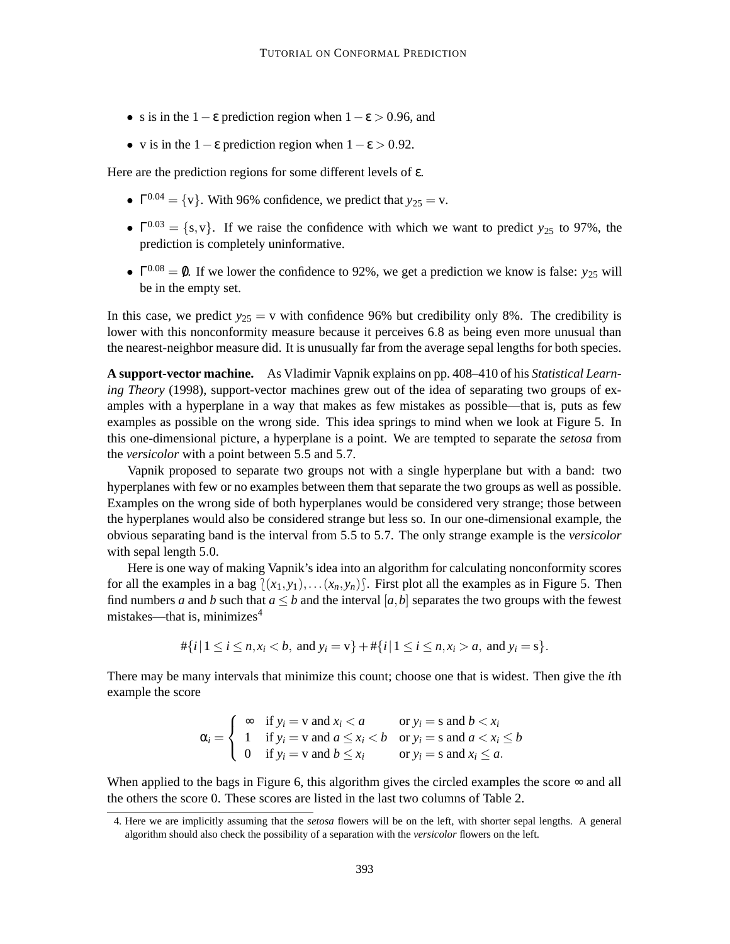- s is in the 1  $\varepsilon$  prediction region when  $1 \varepsilon > 0.96$ , and
- v is in the  $1 \varepsilon$  prediction region when  $1 \varepsilon > 0.92$ .

Here are the prediction regions for some different levels of ε.

- $\Gamma^{0.04} = \{v\}$ . With 96% confidence, we predict that  $y_{25} = v$ .
- $\Gamma^{0.03} = \{s, v\}$ . If we raise the confidence with which we want to predict *y*<sub>25</sub> to 97%, the prediction is completely uninformative.
- $\Gamma^{0.08} = \emptyset$ . If we lower the confidence to 92%, we get a prediction we know is false: *y*<sub>25</sub> will be in the empty set.

In this case, we predict  $y_{25} = v$  with confidence 96% but credibility only 8%. The credibility is lower with this nonconformity measure because it perceives 6.8 as being even more unusual than the nearest-neighbor measure did. It is unusually far from the average sepal lengths for both species.

**A support-vector machine.** As Vladimir Vapnik explains on pp. 408–410 of his *Statistical Learning Theory* (1998), support-vector machines grew out of the idea of separating two groups of examples with a hyperplane in a way that makes as few mistakes as possible—that is, puts as few examples as possible on the wrong side. This idea springs to mind when we look at Figure 5. In this one-dimensional picture, a hyperplane is a point. We are tempted to separate the *setosa* from the *versicolor* with a point between 5.5 and 5.7.

Vapnik proposed to separate two groups not with a single hyperplane but with a band: two hyperplanes with few or no examples between them that separate the two groups as well as possible. Examples on the wrong side of both hyperplanes would be considered very strange; those between the hyperplanes would also be considered strange but less so. In our one-dimensional example, the obvious separating band is the interval from 5.5 to 5.7. The only strange example is the *versicolor* with sepal length 5.0.

Here is one way of making Vapnik's idea into an algorithm for calculating nonconformity scores for all the examples in a bag  $(x_1, y_1), \ldots (x_n, y_n)$ . First plot all the examples as in Figure 5. Then find numbers *a* and *b* such that  $a \leq b$  and the interval [ $a$ ,  $b$ ] separates the two groups with the fewest mistakes—that is, minimizes<sup>4</sup>

$$
\#\{i \mid 1 \le i \le n, x_i < b, \text{ and } y_i = v\} + \#\{i \mid 1 \le i \le n, x_i > a, \text{ and } y_i = s\}.
$$

There may be many intervals that minimize this count; choose one that is widest. Then give the *i*th example the score

$$
\alpha_i = \begin{cases}\n\infty & \text{if } y_i = v \text{ and } x_i < a \\
1 & \text{if } y_i = v \text{ and } a \le x_i < b \quad \text{or } y_i = s \text{ and } b < x_i \\
0 & \text{if } y_i = v \text{ and } b \le x_i \quad \text{or } y_i = s \text{ and } x_i \le a.\n\end{cases}
$$

When applied to the bags in Figure 6, this algorithm gives the circled examples the score  $\infty$  and all the others the score 0. These scores are listed in the last two columns of Table 2.

<sup>4.</sup> Here we are implicitly assuming that the *setosa* flowers will be on the left, with shorter sepal lengths. A general algorithm should also check the possibility of a separation with the *versicolor* flowers on the left.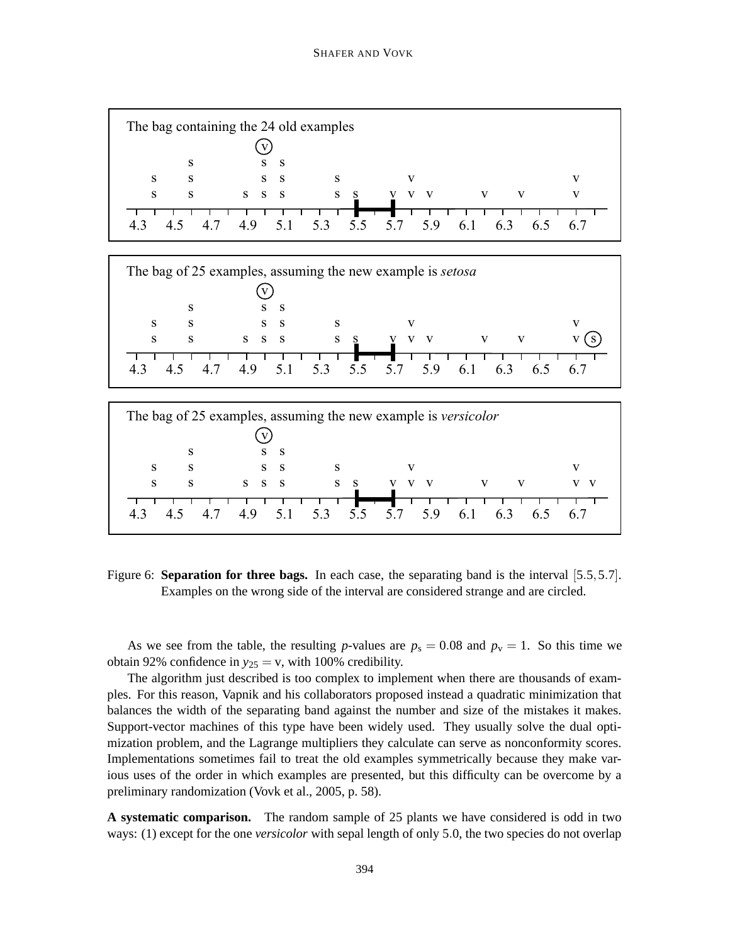

| The bag of 25 examples, assuming the new example is setosa |   |       |                 |     |  |    |  |
|------------------------------------------------------------|---|-------|-----------------|-----|--|----|--|
|                                                            |   |       |                 |     |  |    |  |
|                                                            | S | -S    |                 |     |  |    |  |
| S                                                          | S | S S   |                 |     |  |    |  |
| S                                                          | S | S S S | S               |     |  |    |  |
|                                                            |   | 49    | 5.1 5.3 5.5 5.7 | 5.9 |  | 67 |  |



Figure 6: **Separation for three bags.** In each case, the separating band is the interval [5.5,5.7]. Examples on the wrong side of the interval are considered strange and are circled.

As we see from the table, the resulting *p*-values are  $p_s = 0.08$  and  $p_v = 1$ . So this time we obtain 92% confidence in  $y_{25} = v$ , with 100% credibility.

The algorithm just described is too complex to implement when there are thousands of examples. For this reason, Vapnik and his collaborators proposed instead a quadratic minimization that balances the width of the separating band against the number and size of the mistakes it makes. Support-vector machines of this type have been widely used. They usually solve the dual optimization problem, and the Lagrange multipliers they calculate can serve as nonconformity scores. Implementations sometimes fail to treat the old examples symmetrically because they make various uses of the order in which examples are presented, but this difficulty can be overcome by a preliminary randomization (Vovk et al., 2005, p. 58).

**A systematic comparison.** The random sample of 25 plants we have considered is odd in two ways: (1) except for the one *versicolor* with sepal length of only 5.0, the two species do not overlap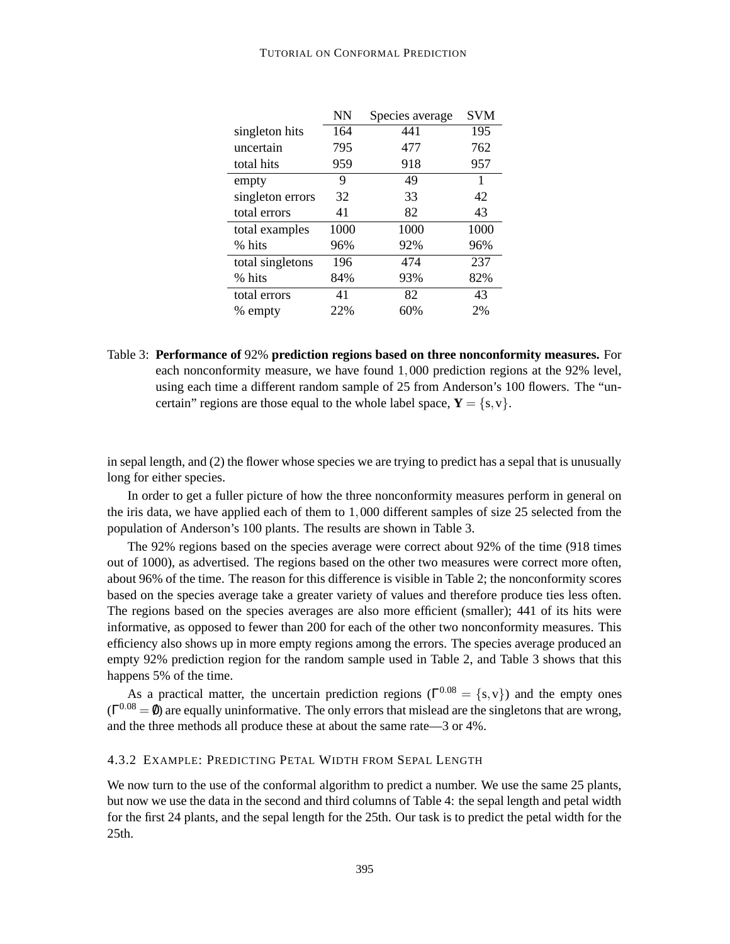|                  | NN   | Species average | <b>SVM</b> |
|------------------|------|-----------------|------------|
| singleton hits   | 164  | 441             | 195        |
| uncertain        | 795  | 477             | 762        |
| total hits       | 959  | 918             | 957        |
| empty            | 9    | 49              | 1          |
| singleton errors | 32   | 33              | 42         |
| total errors     | 41   | 82              | 43         |
| total examples   | 1000 | 1000            | 1000       |
| % hits           | 96%  | 92%             | 96%        |
| total singletons | 196  | 474             | 237        |
| % hits           | 84%  | 93%             | 82%        |
| total errors     | 41   | 82              | 43         |
| % empty          | 22%  | 60%             | 2%         |

Table 3: **Performance of** 92% **prediction regions based on three nonconformity measures.** For each nonconformity measure, we have found 1,000 prediction regions at the 92% level, using each time a different random sample of 25 from Anderson's 100 flowers. The "uncertain" regions are those equal to the whole label space,  $Y = \{s, v\}$ .

in sepal length, and (2) the flower whose species we are trying to predict has a sepal that is unusually long for either species.

In order to get a fuller picture of how the three nonconformity measures perform in general on the iris data, we have applied each of them to 1,000 different samples of size 25 selected from the population of Anderson's 100 plants. The results are shown in Table 3.

The 92% regions based on the species average were correct about 92% of the time (918 times out of 1000), as advertised. The regions based on the other two measures were correct more often, about 96% of the time. The reason for this difference is visible in Table 2; the nonconformity scores based on the species average take a greater variety of values and therefore produce ties less often. The regions based on the species averages are also more efficient (smaller); 441 of its hits were informative, as opposed to fewer than 200 for each of the other two nonconformity measures. This efficiency also shows up in more empty regions among the errors. The species average produced an empty 92% prediction region for the random sample used in Table 2, and Table 3 shows that this happens 5% of the time.

As a practical matter, the uncertain prediction regions ( $\Gamma^{0.08} = \{s, v\}$ ) and the empty ones  $(\Gamma^{0.08} = \emptyset)$  are equally uninformative. The only errors that mislead are the singletons that are wrong, and the three methods all produce these at about the same rate—3 or 4%.

# 4.3.2 EXAMPLE: PREDICTING PETAL WIDTH FROM SEPAL LENGTH

We now turn to the use of the conformal algorithm to predict a number. We use the same 25 plants, but now we use the data in the second and third columns of Table 4: the sepal length and petal width for the first 24 plants, and the sepal length for the 25th. Our task is to predict the petal width for the 25th.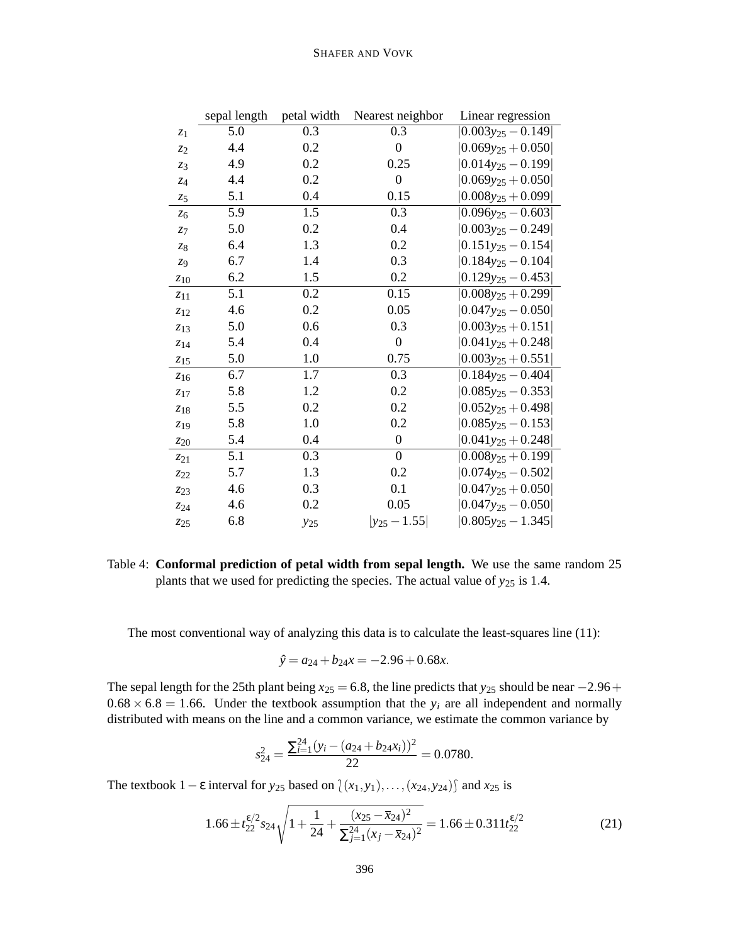|                | sepal length | petal width | Nearest neighbor | Linear regression               |
|----------------|--------------|-------------|------------------|---------------------------------|
| z <sub>1</sub> | 5.0          | 0.3         | $\overline{0.3}$ | $0.003y_{25} - 0.149$           |
| z <sub>2</sub> | 4.4          | 0.2         | $\boldsymbol{0}$ | $0.069y_{25} + 0.050$           |
| $z_3$          | 4.9          | 0.2         | 0.25             | $ 0.014y_{25}-0.199 $           |
| 7.4            | 4.4          | 0.2         | $\boldsymbol{0}$ | $0.069y_{25} + 0.050$           |
| $z_{5}$        | 5.1          | 0.4         | 0.15             | $0.008y_{25} + 0.099$           |
| $z_{6}$        | 5.9          | 1.5         | 0.3              | $0.096y_{25} - 0.603$           |
| $z_{7}$        | 5.0          | 0.2         | 0.4              | $ 0.003y_{25}-0.249 $           |
| 78             | 6.4          | 1.3         | 0.2              | $ 0.151y_{25}-0.154 $           |
| $z_{9}$        | 6.7          | 1.4         | 0.3              | $0.184y_{25} - 0.104$           |
| $z_{10}$       | 6.2          | 1.5         | 0.2              | $ 0.129y_{25}-0.453 $           |
| $z_{11}$       | 5.1          | 0.2         | 0.15             | $ 0.008y_{25} + 0.299 $         |
| $z_{12}$       | 4.6          | 0.2         | 0.05             | $ 0.047y_{25}-0.050 $           |
| $z_{13}$       | 5.0          | 0.6         | 0.3              | $ 0.003y_{25}+0.151 $           |
| $z_{14}$       | 5.4          | 0.4         | $\boldsymbol{0}$ | $[0.041y_{25} + 0.248]$         |
| $z_{15}$       | 5.0          | 1.0         | 0.75             | $0.003y_{25} + 0.551$           |
| $z_{16}$       | 6.7          | 1.7         | 0.3              | $0.184y_{25} - 0.404$           |
| 7.17           | 5.8          | 1.2         | 0.2              | $0.085y_{25} - 0.353$           |
| $z_{18}$       | 5.5          | 0.2         | 0.2              | $0.052y_{25} + 0.498$           |
| $z_{19}$       | 5.8          | 1.0         | 0.2              | $0.085y_{25} - 0.153$           |
| $z_{20}$       | 5.4          | 0.4         | $\overline{0}$   | $0.041y_{25} + 0.248$           |
| $z_{21}$       | 5.1          | 0.3         | $\boldsymbol{0}$ | $0.008y_{25} + 0.199$           |
| 7.22           | 5.7          | 1.3         | 0.2              | $0.074$ y <sub>25</sub> - 0.502 |
| 723            | 4.6          | 0.3         | 0.1              | $0.047y_{25} + 0.050$           |
| Z24            | 4.6          | 0.2         | 0.05             | $0.047y_{25} - 0.050$           |
| 725            | 6.8          | $y_{25}$    | $ y_{25}-1.55 $  | $0.805y_{25} - 1.345$           |

Table 4: **Conformal prediction of petal width from sepal length.** We use the same random 25 plants that we used for predicting the species. The actual value of *y*<sup>25</sup> is 1.4.

The most conventional way of analyzing this data is to calculate the least-squares line (11):

$$
\hat{y} = a_{24} + b_{24}x = -2.96 + 0.68x.
$$

The sepal length for the 25th plant being  $x_{25} = 6.8$ , the line predicts that  $y_{25}$  should be near −2.96 +  $0.68 \times 6.8 = 1.66$ . Under the textbook assumption that the  $y_i$  are all independent and normally distributed with means on the line and a common variance, we estimate the common variance by

$$
s_{24}^2 = \frac{\sum_{i=1}^{24} (y_i - (a_{24} + b_{24}x_i))^2}{22} = 0.0780.
$$

The textbook 1 –  $\varepsilon$  interval for *y*<sub>25</sub> based on  $\{(x_1, y_1), \ldots, (x_{24}, y_{24})\}$  and  $x_{25}$  is

$$
1.66 \pm t_{22}^{\epsilon/2} s_{24} \sqrt{1 + \frac{1}{24} + \frac{(x_{25} - \bar{x}_{24})^2}{\sum_{j=1}^{24} (x_j - \bar{x}_{24})^2}} = 1.66 \pm 0.311 t_{22}^{\epsilon/2}
$$
(21)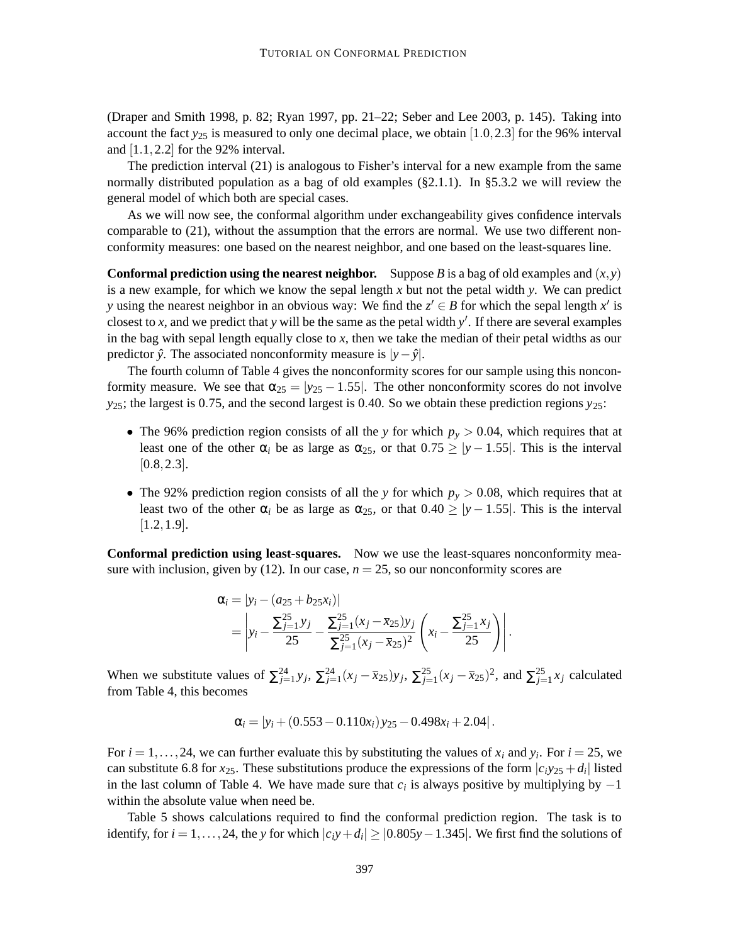(Draper and Smith 1998, p. 82; Ryan 1997, pp. 21–22; Seber and Lee 2003, p. 145). Taking into account the fact  $y_{25}$  is measured to only one decimal place, we obtain [1.0, 2.3] for the 96% interval and [1.1,2.2] for the 92% interval.

The prediction interval (21) is analogous to Fisher's interval for a new example from the same normally distributed population as a bag of old examples (§2.1.1). In §5.3.2 we will review the general model of which both are special cases.

As we will now see, the conformal algorithm under exchangeability gives confidence intervals comparable to (21), without the assumption that the errors are normal. We use two different nonconformity measures: one based on the nearest neighbor, and one based on the least-squares line.

**Conformal prediction using the nearest neighbor.** Suppose *B* is a bag of old examples and  $(x, y)$ is a new example, for which we know the sepal length *x* but not the petal width *y*. We can predict *y* using the nearest neighbor in an obvious way: We find the  $z' \in B$  for which the sepal length  $x'$  is closest to  $x$ , and we predict that  $y$  will be the same as the petal width  $y'$ . If there are several examples in the bag with sepal length equally close to *x*, then we take the median of their petal widths as our predictor *y*ˆ. The associated nonconformity measure is |*y*−*y*ˆ|.

The fourth column of Table 4 gives the nonconformity scores for our sample using this nonconformity measure. We see that  $\alpha_{25} = |y_{25} - 1.55|$ . The other nonconformity scores do not involve *y*25; the largest is 0.75, and the second largest is 0.40. So we obtain these prediction regions *y*25:

- The 96% prediction region consists of all the *y* for which  $p_y > 0.04$ , which requires that at least one of the other  $\alpha_i$  be as large as  $\alpha_{25}$ , or that  $0.75 \ge |y - 1.55|$ . This is the interval  $[0.8, 2.3]$ .
- The 92% prediction region consists of all the *y* for which  $p_y > 0.08$ , which requires that at least two of the other  $\alpha_i$  be as large as  $\alpha_{25}$ , or that  $0.40 \ge |y - 1.55|$ . This is the interval  $[1.2, 1.9]$ .

**Conformal prediction using least-squares.** Now we use the least-squares nonconformity measure with inclusion, given by  $(12)$ . In our case,  $n = 25$ , so our nonconformity scores are

$$
\alpha_{i} = |y_{i} - (a_{25} + b_{25}x_{i})|
$$
\n
$$
= \left| y_{i} - \frac{\sum_{j=1}^{25} y_{j}}{25} - \frac{\sum_{j=1}^{25} (x_{j} - \overline{x}_{25}) y_{j}}{\sum_{j=1}^{25} (x_{j} - \overline{x}_{25})^{2}} \left( x_{i} - \frac{\sum_{j=1}^{25} x_{j}}{25} \right) \right|.
$$

When we substitute values of  $\sum_{j=1}^{24} y_j$ ,  $\sum_{j=1}^{24} (x_j - \overline{x}_{25}) y_j$ ,  $\sum_{j=1}^{25} (x_j - \overline{x}_{25})^2$ , and  $\sum_{j=1}^{25} x_j$  calculated from Table 4, this becomes

$$
\alpha_i = |y_i + (0.553 - 0.110x_i)y_{25} - 0.498x_i + 2.04|.
$$

For  $i = 1, \ldots, 24$ , we can further evaluate this by substituting the values of  $x_i$  and  $y_i$ . For  $i = 25$ , we can substitute 6.8 for  $x_{25}$ . These substitutions produce the expressions of the form  $|c_i y_{25} + d_i|$  listed in the last column of Table 4. We have made sure that  $c_i$  is always positive by multiplying by  $-1$ within the absolute value when need be.

Table 5 shows calculations required to find the conformal prediction region. The task is to identify, for  $i = 1, ..., 24$ , the *y* for which  $|c_i y + d_i| \ge |0.805y - 1.345|$ . We first find the solutions of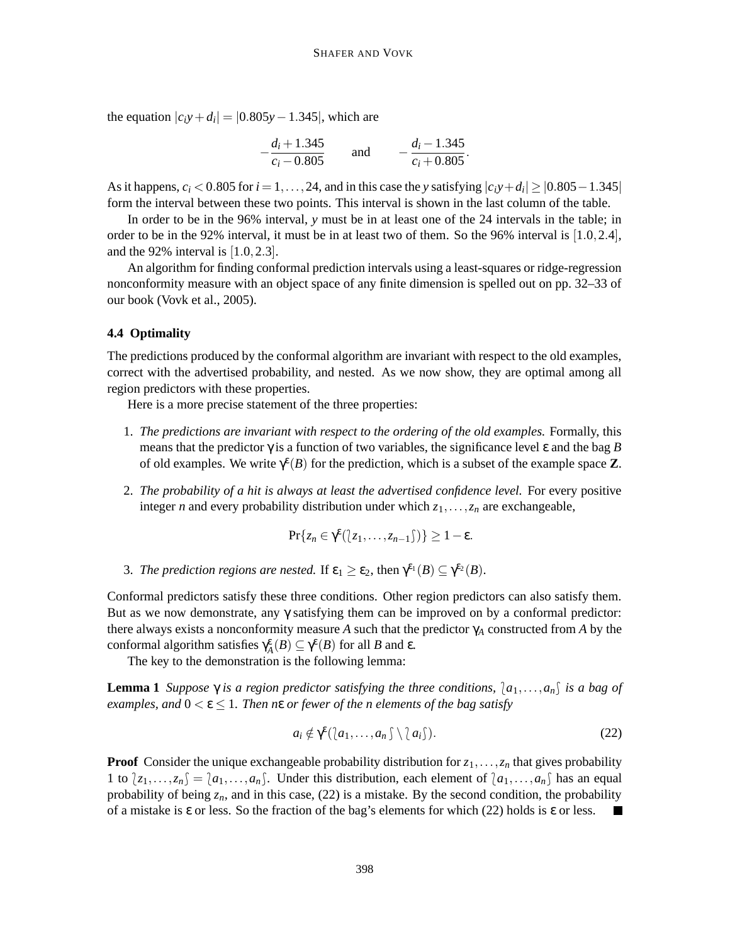the equation  $|c_i y + d_i| = |0.805y - 1.345|$ , which are

$$
-\frac{d_i+1.345}{c_i-0.805}
$$
 and 
$$
-\frac{d_i-1.345}{c_i+0.805}
$$
.

As it happens,  $c_i < 0.805$  for  $i = 1, ..., 24$ , and in this case the *y* satisfying  $|c_i y + d_i| \ge |0.805 - 1.345|$ form the interval between these two points. This interval is shown in the last column of the table.

In order to be in the 96% interval, *y* must be in at least one of the 24 intervals in the table; in order to be in the 92% interval, it must be in at least two of them. So the 96% interval is [1.0,2.4], and the 92% interval is  $[1.0, 2.3]$ .

An algorithm for finding conformal prediction intervals using a least-squares or ridge-regression nonconformity measure with an object space of any finite dimension is spelled out on pp. 32–33 of our book (Vovk et al., 2005).

## **4.4 Optimality**

The predictions produced by the conformal algorithm are invariant with respect to the old examples, correct with the advertised probability, and nested. As we now show, they are optimal among all region predictors with these properties.

Here is a more precise statement of the three properties:

- 1. *The predictions are invariant with respect to the ordering of the old examples.* Formally, this means that the predictor  $\gamma$  is a function of two variables, the significance level  $\varepsilon$  and the bag *B* of old examples. We write  $\gamma^{\epsilon}(B)$  for the prediction, which is a subset of the example space **Z**.
- 2. *The probability of a hit is always at least the advertised confidence level.* For every positive integer *n* and every probability distribution under which *z*1,...,*z<sup>n</sup>* are exchangeable,

$$
Pr\{z_n \in \gamma^{\epsilon}(\lfloor z_1,\ldots,z_{n-1}\rfloor)\} \geq 1-\epsilon.
$$

3. *The prediction regions are nested.* If  $\varepsilon_1 \geq \varepsilon_2$ , then  $\gamma^{\varepsilon_1}(B) \subseteq \gamma^{\varepsilon_2}(B)$ .

Conformal predictors satisfy these three conditions. Other region predictors can also satisfy them. But as we now demonstrate, any  $\gamma$  satisfying them can be improved on by a conformal predictor: there always exists a nonconformity measure *A* such that the predictor γ*<sup>A</sup>* constructed from *A* by the conformal algorithm satisfies  $\gamma_A^{\varepsilon}(B) \subseteq \gamma^{\varepsilon}(B)$  for all *B* and  $\varepsilon$ .

The key to the demonstration is the following lemma:

**Lemma** 1 *Suppose*  $\gamma$  *is a region predictor satisfying the three conditions,*  $\{a_1, \ldots, a_n\}$  *is a bag of*  $\epsilon$ *examples, and*  $0 \le \epsilon \le 1$ *. Then n* $\epsilon$  *or fewer of the n elements of the bag satisfy* 

$$
a_i \notin \gamma^{\epsilon}(\lfloor a_1, \ldots, a_n \rfloor \setminus \lfloor a_i \rfloor). \tag{22}
$$

**Proof** Consider the unique exchangeable probability distribution for  $z_1, \ldots, z_n$  that gives probability 1 to  $\{z_1,\ldots,z_n\} = \{a_1,\ldots,a_n\}$ . Under this distribution, each element of  $\{a_1,\ldots,a_n\}$  has an equal probability of being  $z_n$ , and in this case, (22) is a mistake. By the second condition, the probability of a mistake is  $\varepsilon$  or less. So the fraction of the bag's elements for which (22) holds is  $\varepsilon$  or less.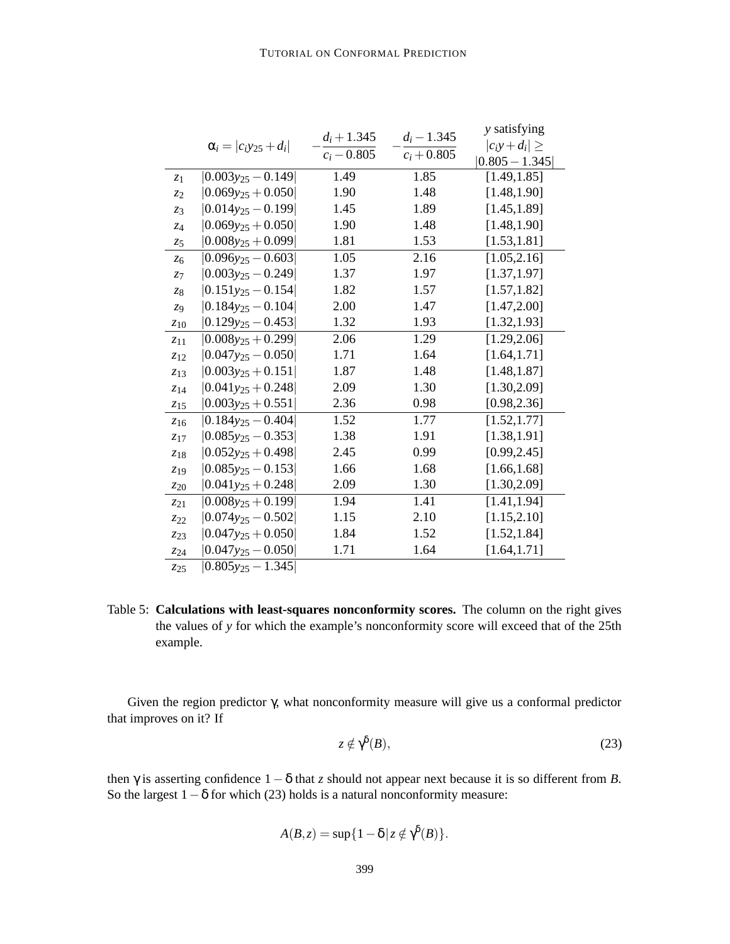|                     |                                 | $d_i + 1.345$ | $d_i - 1.345$ | y satisfying         |
|---------------------|---------------------------------|---------------|---------------|----------------------|
|                     | $\alpha_i =  c_i y_{25} + d_i $ | $c_i - 0.805$ | $c_i + 0.805$ | $ c_i y + d_i  \geq$ |
|                     |                                 |               |               | $ 0.805 - 1.345 $    |
| z <sub>1</sub>      | $ 0.003y_{25}-0.149 $           | 1.49          | 1.85          | [1.49, 1.85]         |
| z <sub>2</sub>      | $ 0.069y_{25}+0.050 $           | 1.90          | 1.48          | [1.48, 1.90]         |
| $z_3$               | $[0.014y_{25}-0.199]$           | 1.45          | 1.89          | [1.45, 1.89]         |
| $Z_4$               | $ 0.069y_{25}+0.050 $           | 1.90          | 1.48          | [1.48, 1.90]         |
| 75                  | $ 0.008y_{25}+0.099 $           | 1.81          | 1.53          | [1.53, 1.81]         |
| $z_{6}$             | $ 0.096y_{25}-0.603 $           | 1.05          | 2.16          | [1.05, 2.16]         |
| Z <sub>7</sub>      | $ 0.003y_{25}-0.249 $           | 1.37          | 1.97          | [1.37, 1.97]         |
| 78                  | $ 0.151y_{25}-0.154 $           | 1.82          | 1.57          | [1.57, 1.82]         |
| Z9                  | $ 0.184y_{25}-0.104 $           | 2.00          | 1.47          | [1.47, 2.00]         |
| $z_{10}$            | $0.129y_{25} - 0.453$           | 1.32          | 1.93          | [1.32, 1.93]         |
| $z_{11}$            | $ 0.008y_{25}+0.299 $           | 2.06          | 1.29          | [1.29, 2.06]         |
| 712                 | $ 0.047y_{25}-0.050 $           | 1.71          | 1.64          | [1.64, 1.71]         |
| $z_{13}$            | $ 0.003y_{25}+0.151 $           | 1.87          | 1.48          | [1.48, 1.87]         |
| 714                 | $ 0.041y_{25}+0.248 $           | 2.09          | 1.30          | [1.30, 2.09]         |
| $z_{15}$            | $[0.003y_{25} + 0.551]$         | 2.36          | 0.98          | [0.98, 2.36]         |
| $\overline{z}_{16}$ | $ 0.184y_{25}-0.404 $           | 1.52          | 1.77          | [1.52, 1.77]         |
| $z_{17}$            | $ 0.085y_{25}-0.353 $           | 1.38          | 1.91          | [1.38, 1.91]         |
| $z_{18}$            | $ 0.052y_{25}+0.498 $           | 2.45          | 0.99          | [0.99, 2.45]         |
| 719                 | $ 0.085y_{25}-0.153 $           | 1.66          | 1.68          | [1.66, 1.68]         |
| $z_{20}$            | $ 0.041y_{25}+0.248 $           | 2.09          | 1.30          | [1.30, 2.09]         |
| $z_{21}$            | $ 0.008y_{25}+0.199 $           | 1.94          | 1.41          | [1.41, 1.94]         |
| $z_{22}$            | $ 0.074y_{25}-0.502 $           | 1.15          | 2.10          | [1.15, 2.10]         |
| $z_{23}$            | $ 0.047y_{25}+0.050 $           | 1.84          | 1.52          | [1.52, 1.84]         |
| $z_{24}$            | $ 0.047y_{25}-0.050 $           | 1.71          | 1.64          | [1.64, 1.71]         |
| 725                 | $ 0.805y_{25}-1.345 $           |               |               |                      |

Table 5: **Calculations with least-squares nonconformity scores.** The column on the right gives the values of *y* for which the example's nonconformity score will exceed that of the 25th example.

Given the region predictor γ, what nonconformity measure will give us a conformal predictor that improves on it? If

$$
z \notin \gamma^{\delta}(B),\tag{23}
$$

then  $\gamma$  is asserting confidence  $1-\delta$  that *z* should not appear next because it is so different from *B*. So the largest  $1-\delta$  for which (23) holds is a natural nonconformity measure:

 $A(B, z) = \sup\{1 - \delta \mid z \notin \gamma^{\delta}(B)\}.$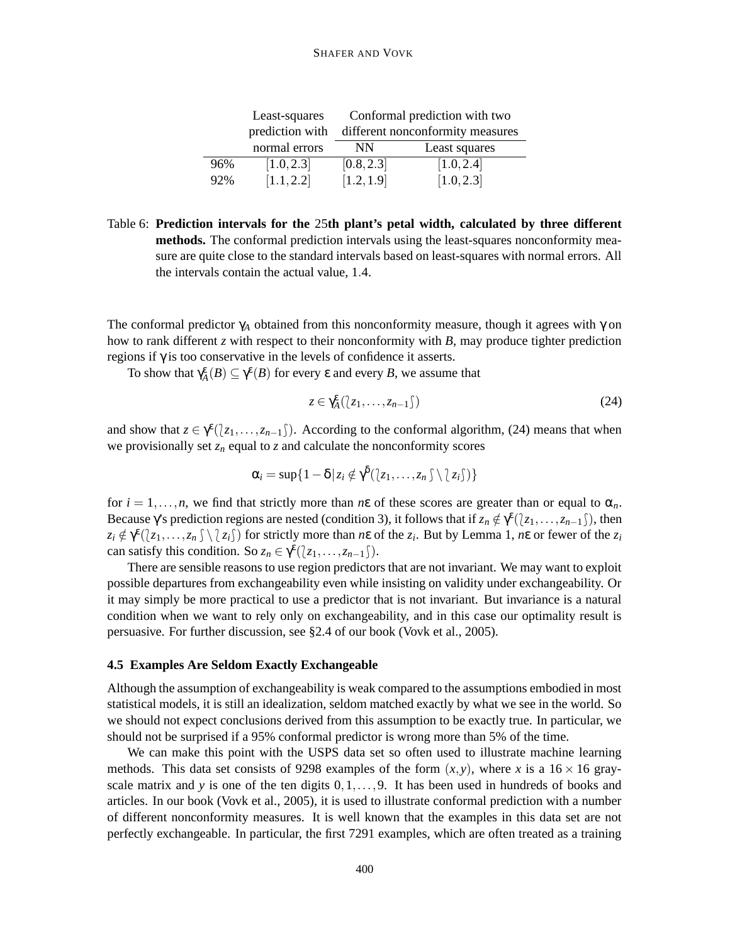#### SHAFER AND VOVK

|     | Least-squares   | Conformal prediction with two    |               |  |  |
|-----|-----------------|----------------------------------|---------------|--|--|
|     | prediction with | different nonconformity measures |               |  |  |
|     | normal errors   | <b>NN</b>                        | Least squares |  |  |
| 96% | [1.0, 2.3]      | [0.8, 2.3]                       | [1.0, 2.4]    |  |  |
| 92% | [1.1, 2.2]      | [1.2, 1.9]                       | [1.0, 2.3]    |  |  |

Table 6: **Prediction intervals for the** 25**th plant's petal width, calculated by three different methods.** The conformal prediction intervals using the least-squares nonconformity measure are quite close to the standard intervals based on least-squares with normal errors. All the intervals contain the actual value, 1.4.

The conformal predictor  $\gamma_A$  obtained from this nonconformity measure, though it agrees with  $\gamma$  on how to rank different *z* with respect to their nonconformity with *B*, may produce tighter prediction regions if γ is too conservative in the levels of confidence it asserts.

To show that  $\gamma_A^{\varepsilon}(B) \subseteq \gamma^{\varepsilon}(B)$  for every  $\varepsilon$  and every  $B$ , we assume that

$$
z \in \gamma_A^{\varepsilon}(\langle z_1, \ldots, z_{n-1} \rangle) \tag{24}
$$

and show that  $z \in \gamma^{\epsilon}(\ell z_1,\ldots,z_{n-1})$ . According to the conformal algorithm, (24) means that when we provisionally set  $z_n$  equal to  $z$  and calculate the nonconformity scores

$$
\alpha_i = \sup\{1-\delta \,|\, z_i \notin \gamma^{\delta}(\langle z_1,\ldots,z_n \,\zeta \setminus \langle z_i \,\zeta \rangle)\}
$$

for  $i = 1, \ldots, n$ , we find that strictly more than  $n \varepsilon$  of these scores are greater than or equal to  $\alpha_n$ . Because  $\gamma$ 's prediction regions are nested (condition 3), it follows that if  $z_n \notin \gamma^{\epsilon}(\lbrace z_1,\ldots,z_{n-1} \rbrace)$ , then  $z_i \notin \gamma^{\epsilon}(\langle z_1,\ldots,z_n \rangle \setminus \langle z_i \rangle)$  for strictly more than *n*ε of the  $z_i$ . But by Lemma 1, *n*ε or fewer of the  $z_i$ can satisfy this condition. So  $z_n \in \gamma^{\epsilon}(\lfloor z_1, \ldots, z_{n-1} \rfloor)$ .

There are sensible reasons to use region predictors that are not invariant. We may want to exploit possible departures from exchangeability even while insisting on validity under exchangeability. Or it may simply be more practical to use a predictor that is not invariant. But invariance is a natural condition when we want to rely only on exchangeability, and in this case our optimality result is persuasive. For further discussion, see §2.4 of our book (Vovk et al., 2005).

# **4.5 Examples Are Seldom Exactly Exchangeable**

Although the assumption of exchangeability is weak compared to the assumptions embodied in most statistical models, it is still an idealization, seldom matched exactly by what we see in the world. So we should not expect conclusions derived from this assumption to be exactly true. In particular, we should not be surprised if a 95% conformal predictor is wrong more than 5% of the time.

We can make this point with the USPS data set so often used to illustrate machine learning methods. This data set consists of 9298 examples of the form  $(x, y)$ , where *x* is a 16 × 16 grayscale matrix and *y* is one of the ten digits 0,1,...,9. It has been used in hundreds of books and articles. In our book (Vovk et al., 2005), it is used to illustrate conformal prediction with a number of different nonconformity measures. It is well known that the examples in this data set are not perfectly exchangeable. In particular, the first 7291 examples, which are often treated as a training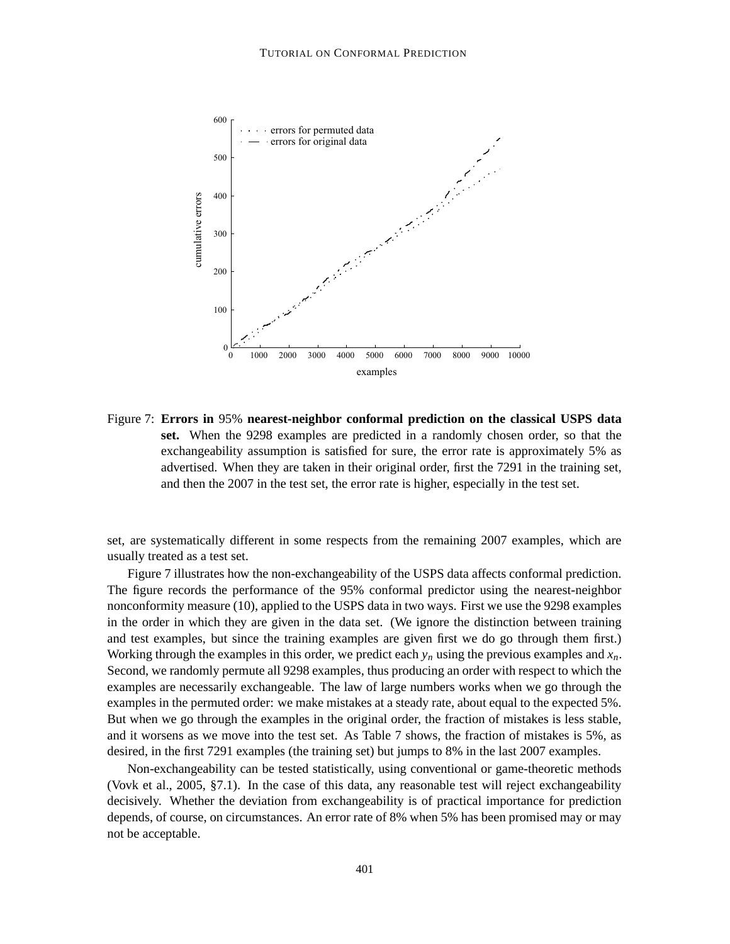

Figure 7: **Errors in** 95% **nearest-neighbor conformal prediction on the classical USPS data set.** When the 9298 examples are predicted in a randomly chosen order, so that the exchangeability assumption is satisfied for sure, the error rate is approximately 5% as advertised. When they are taken in their original order, first the 7291 in the training set, and then the 2007 in the test set, the error rate is higher, especially in the test set.

set, are systematically different in some respects from the remaining 2007 examples, which are usually treated as a test set.

Figure 7 illustrates how the non-exchangeability of the USPS data affects conformal prediction. The figure records the performance of the 95% conformal predictor using the nearest-neighbor nonconformity measure (10), applied to the USPS data in two ways. First we use the 9298 examples in the order in which they are given in the data set. (We ignore the distinction between training and test examples, but since the training examples are given first we do go through them first.) Working through the examples in this order, we predict each  $y_n$  using the previous examples and  $x_n$ . Second, we randomly permute all 9298 examples, thus producing an order with respect to which the examples are necessarily exchangeable. The law of large numbers works when we go through the examples in the permuted order: we make mistakes at a steady rate, about equal to the expected 5%. But when we go through the examples in the original order, the fraction of mistakes is less stable, and it worsens as we move into the test set. As Table 7 shows, the fraction of mistakes is 5%, as desired, in the first 7291 examples (the training set) but jumps to 8% in the last 2007 examples.

Non-exchangeability can be tested statistically, using conventional or game-theoretic methods (Vovk et al., 2005, §7.1). In the case of this data, any reasonable test will reject exchangeability decisively. Whether the deviation from exchangeability is of practical importance for prediction depends, of course, on circumstances. An error rate of 8% when 5% has been promised may or may not be acceptable.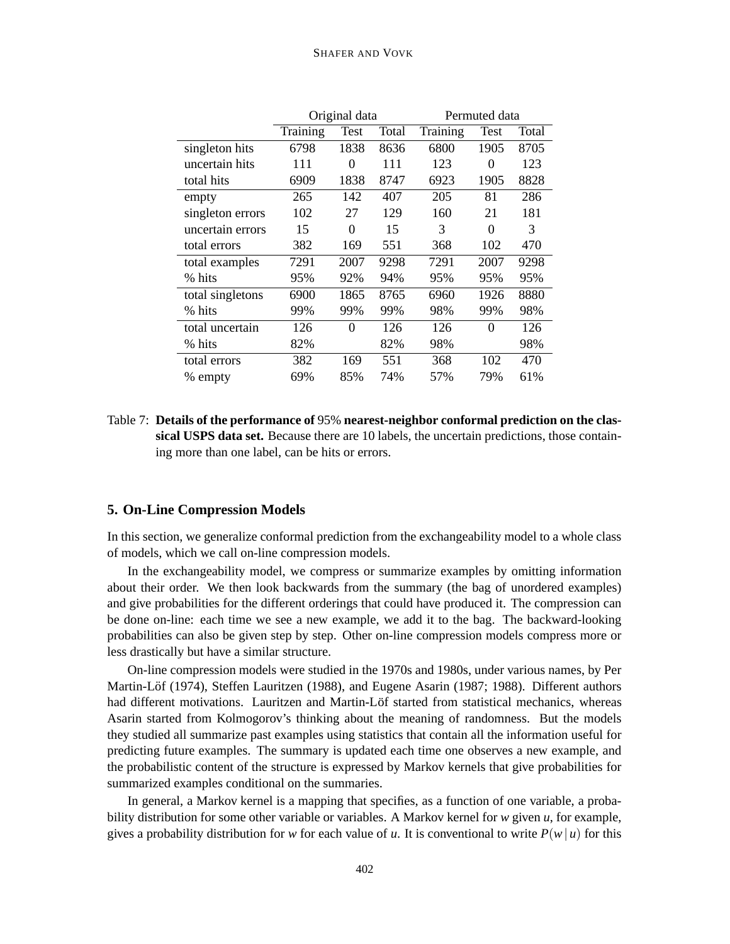|                  |          | Original data |       | Permuted data |          |       |  |
|------------------|----------|---------------|-------|---------------|----------|-------|--|
|                  | Training | Test          | Total | Training      | Test     | Total |  |
| singleton hits   | 6798     | 1838          | 8636  | 6800          | 1905     | 8705  |  |
| uncertain hits   | 111      | 0             | 111   | 123           | $\theta$ | 123   |  |
| total hits       | 6909     | 1838          | 8747  | 6923          | 1905     | 8828  |  |
| empty            | 265      | 142           | 407   | 205           | 81       | 286   |  |
| singleton errors | 102      | 27            | 129   | 160           | 21       | 181   |  |
| uncertain errors | 15       | $\Omega$      | 15    | 3             | 0        | 3     |  |
| total errors     | 382      | 169           | 551   | 368           | 102      | 470   |  |
| total examples   | 7291     | 2007          | 9298  | 7291          | 2007     | 9298  |  |
| % hits           | 95%      | 92%           | 94%   | 95%           | 95%      | 95%   |  |
| total singletons | 6900     | 1865          | 8765  | 6960          | 1926     | 8880  |  |
| % hits           | 99%      | 99%           | 99%   | 98%           | 99%      | 98%   |  |
| total uncertain  | 126      | $\theta$      | 126   | 126           | $\theta$ | 126   |  |
| % hits           | 82%      |               | 82%   | 98%           |          | 98%   |  |
| total errors     | 382      | 169           | 551   | 368           | 102      | 470   |  |
| % empty          | 69%      | 85%           | 74%   | 57%           | 79%      | 61%   |  |

Table 7: **Details of the performance of** 95% **nearest-neighbor conformal prediction on the classical USPS data set.** Because there are 10 labels, the uncertain predictions, those containing more than one label, can be hits or errors.

## **5. On-Line Compression Models**

In this section, we generalize conformal prediction from the exchangeability model to a whole class of models, which we call on-line compression models.

In the exchangeability model, we compress or summarize examples by omitting information about their order. We then look backwards from the summary (the bag of unordered examples) and give probabilities for the different orderings that could have produced it. The compression can be done on-line: each time we see a new example, we add it to the bag. The backward-looking probabilities can also be given step by step. Other on-line compression models compress more or less drastically but have a similar structure.

On-line compression models were studied in the 1970s and 1980s, under various names, by Per Martin-Löf (1974), Steffen Lauritzen (1988), and Eugene Asarin (1987; 1988). Different authors had different motivations. Lauritzen and Martin-Löf started from statistical mechanics, whereas Asarin started from Kolmogorov's thinking about the meaning of randomness. But the models they studied all summarize past examples using statistics that contain all the information useful for predicting future examples. The summary is updated each time one observes a new example, and the probabilistic content of the structure is expressed by Markov kernels that give probabilities for summarized examples conditional on the summaries.

In general, a Markov kernel is a mapping that specifies, as a function of one variable, a probability distribution for some other variable or variables. A Markov kernel for *w* given *u*, for example, gives a probability distribution for *w* for each value of *u*. It is conventional to write  $P(w | u)$  for this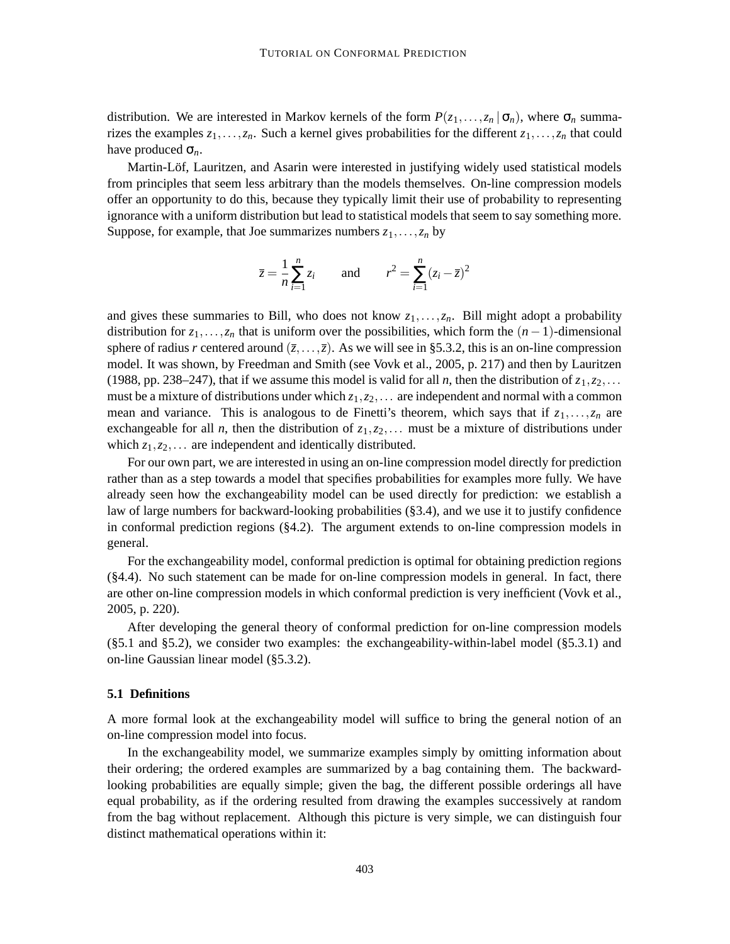distribution. We are interested in Markov kernels of the form  $P(z_1,...,z_n | \sigma_n)$ , where  $\sigma_n$  summarizes the examples  $z_1, \ldots, z_n$ . Such a kernel gives probabilities for the different  $z_1, \ldots, z_n$  that could have produced σ*n*.

Martin-Löf, Lauritzen, and Asarin were interested in justifying widely used statistical models from principles that seem less arbitrary than the models themselves. On-line compression models offer an opportunity to do this, because they typically limit their use of probability to representing ignorance with a uniform distribution but lead to statistical models that seem to say something more. Suppose, for example, that Joe summarizes numbers  $z_1, \ldots, z_n$  by

$$
\bar{z} = \frac{1}{n} \sum_{i=1}^{n} z_i
$$
 and  $r^2 = \sum_{i=1}^{n} (z_i - \bar{z})^2$ 

and gives these summaries to Bill, who does not know  $z_1, \ldots, z_n$ . Bill might adopt a probability distribution for  $z_1, \ldots, z_n$  that is uniform over the possibilities, which form the  $(n-1)$ -dimensional sphere of radius *r* centered around  $(\overline{z},...,\overline{z})$ . As we will see in §5.3.2, this is an on-line compression model. It was shown, by Freedman and Smith (see Vovk et al., 2005, p. 217) and then by Lauritzen (1988, pp. 238–247), that if we assume this model is valid for all *n*, then the distribution of  $z_1, z_2, \ldots$ must be a mixture of distributions under which  $z_1, z_2, \ldots$  are independent and normal with a common mean and variance. This is analogous to de Finetti's theorem, which says that if  $z_1, \ldots, z_n$  are exchangeable for all *n*, then the distribution of  $z_1, z_2, \ldots$  must be a mixture of distributions under which  $z_1, z_2, \ldots$  are independent and identically distributed.

For our own part, we are interested in using an on-line compression model directly for prediction rather than as a step towards a model that specifies probabilities for examples more fully. We have already seen how the exchangeability model can be used directly for prediction: we establish a law of large numbers for backward-looking probabilities (§3.4), and we use it to justify confidence in conformal prediction regions  $(\S 4.2)$ . The argument extends to on-line compression models in general.

For the exchangeability model, conformal prediction is optimal for obtaining prediction regions (§4.4). No such statement can be made for on-line compression models in general. In fact, there are other on-line compression models in which conformal prediction is very inefficient (Vovk et al., 2005, p. 220).

After developing the general theory of conformal prediction for on-line compression models (§5.1 and §5.2), we consider two examples: the exchangeability-within-label model (§5.3.1) and on-line Gaussian linear model (§5.3.2).

## **5.1 Definitions**

A more formal look at the exchangeability model will suffice to bring the general notion of an on-line compression model into focus.

In the exchangeability model, we summarize examples simply by omitting information about their ordering; the ordered examples are summarized by a bag containing them. The backwardlooking probabilities are equally simple; given the bag, the different possible orderings all have equal probability, as if the ordering resulted from drawing the examples successively at random from the bag without replacement. Although this picture is very simple, we can distinguish four distinct mathematical operations within it: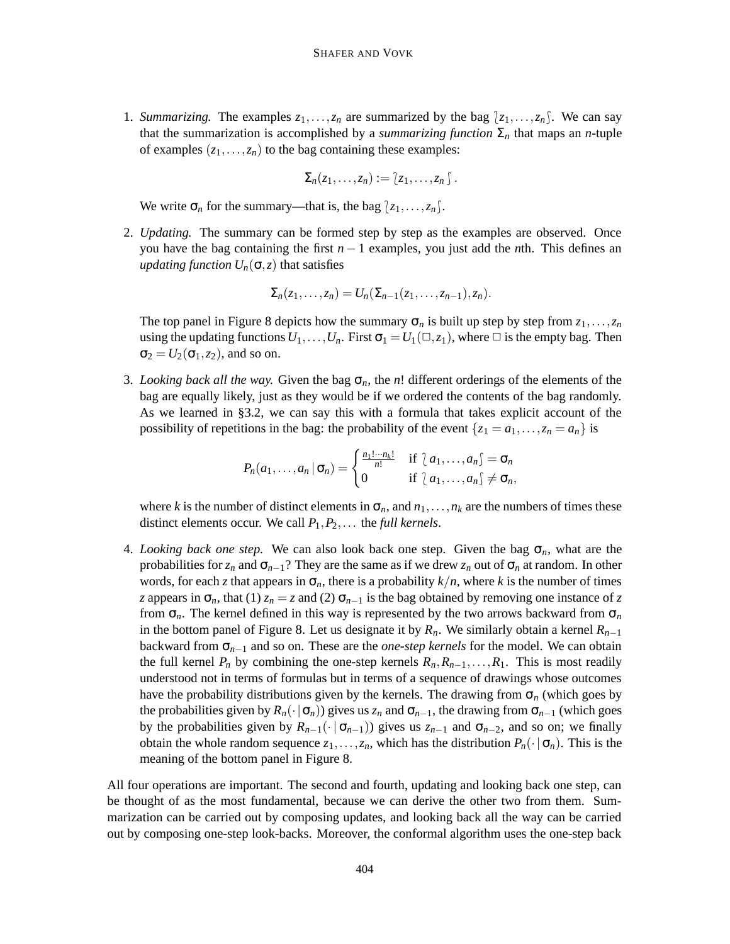1. *Summarizing.* The examples  $z_1, \ldots, z_n$  are summarized by the bag  $\{z_1, \ldots, z_n\}$ . We can say that the summarization is accomplished by a *summarizing function*  $\Sigma_n$  that maps an *n*-tuple of examples  $(z_1,...,z_n)$  to the bag containing these examples:

$$
\Sigma_n(z_1,\ldots,z_n):=\{z_1,\ldots,z_n\}\,.
$$

We write  $\sigma_n$  for the summary—that is, the bag  $\{z_1, \ldots, z_n\}$ .

2. *Updating.* The summary can be formed step by step as the examples are observed. Once you have the bag containing the first *n* − 1 examples, you just add the *n*th. This defines an *updating function*  $U_n(\sigma, z)$  that satisfies

$$
\Sigma_n(z_1,\ldots,z_n)=U_n(\Sigma_{n-1}(z_1,\ldots,z_{n-1}),z_n).
$$

The top panel in Figure 8 depicts how the summary  $\sigma_n$  is built up step by step from  $z_1, \ldots, z_n$ using the updating functions  $U_1, \ldots, U_n$ . First  $\sigma_1 = U_1(\square, z_1)$ , where  $\square$  is the empty bag. Then  $\sigma_2 = U_2(\sigma_1, z_2)$ , and so on.

3. *Looking back all the way.* Given the bag  $\sigma_n$ , the *n*! different orderings of the elements of the bag are equally likely, just as they would be if we ordered the contents of the bag randomly. As we learned in §3.2, we can say this with a formula that takes explicit account of the possibility of repetitions in the bag: the probability of the event  $\{z_1 = a_1, \ldots, z_n = a_n\}$  is

$$
P_n(a_1,\ldots,a_n\,|\,\sigma_n)=\begin{cases}\frac{n_1!\cdots n_k!}{n!} & \text{if } a_1,\ldots,a_n\,\subset\sigma_n\\0 & \text{if } a_1,\ldots,a_n\,\subset\sigma_n,\end{cases}
$$

where *k* is the number of distinct elements in  $\sigma_n$ , and  $n_1, \ldots, n_k$  are the numbers of times these distinct elements occur. We call *P*1,*P*2,... the *full kernels*.

4. *Looking back one step.* We can also look back one step. Given the bag  $\sigma_n$ , what are the probabilities for  $z_n$  and  $\sigma_{n-1}$ ? They are the same as if we drew  $z_n$  out of  $\sigma_n$  at random. In other words, for each *z* that appears in  $\sigma_n$ , there is a probability  $k/n$ , where *k* is the number of times *z* appears in  $\sigma_n$ , that (1)  $z_n = z$  and (2)  $\sigma_{n-1}$  is the bag obtained by removing one instance of *z* from  $\sigma_n$ . The kernel defined in this way is represented by the two arrows backward from  $\sigma_n$ in the bottom panel of Figure 8. Let us designate it by  $R_n$ . We similarly obtain a kernel  $R_{n-1}$ backward from σ*n*−<sup>1</sup> and so on. These are the *one-step kernels* for the model. We can obtain the full kernel  $P_n$  by combining the one-step kernels  $R_n, R_{n-1}, \ldots, R_1$ . This is most readily understood not in terms of formulas but in terms of a sequence of drawings whose outcomes have the probability distributions given by the kernels. The drawing from  $\sigma_n$  (which goes by the probabilities given by  $R_n(\cdot | \sigma_n)$ ) gives us  $z_n$  and  $\sigma_{n-1}$ , the drawing from  $\sigma_{n-1}$  (which goes by the probabilities given by  $R_{n-1}(\cdot | \sigma_{n-1})$  gives us  $z_{n-1}$  and  $\sigma_{n-2}$ , and so on; we finally obtain the whole random sequence  $z_1, \ldots, z_n$ , which has the distribution  $P_n(\cdot | \sigma_n)$ . This is the meaning of the bottom panel in Figure 8.

All four operations are important. The second and fourth, updating and looking back one step, can be thought of as the most fundamental, because we can derive the other two from them. Summarization can be carried out by composing updates, and looking back all the way can be carried out by composing one-step look-backs. Moreover, the conformal algorithm uses the one-step back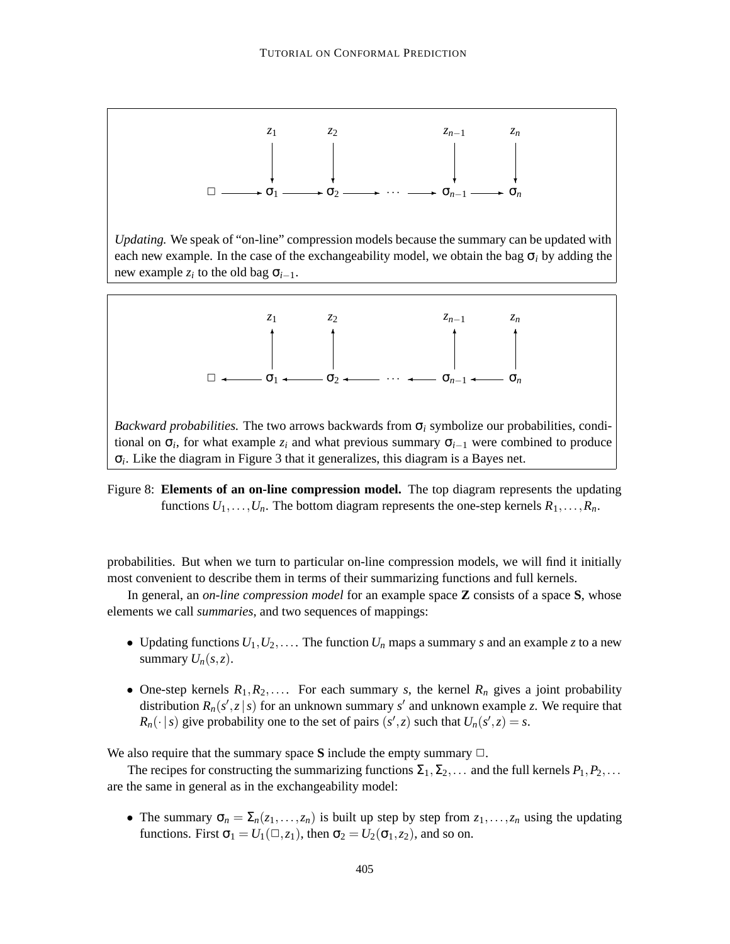

*Updating.* We speak of "on-line" compression models because the summary can be updated with each new example. In the case of the exchangeability model, we obtain the bag  $\sigma_i$  by adding the new example  $z_i$  to the old bag  $\sigma_{i-1}$ .



*Backward probabilities.* The two arrows backwards from  $\sigma_i$  symbolize our probabilities, conditional on  $\sigma_i$ , for what example  $z_i$  and what previous summary  $\sigma_{i-1}$  were combined to produce σ*i* . Like the diagram in Figure 3 that it generalizes, this diagram is a Bayes net.

Figure 8: **Elements of an on-line compression model.** The top diagram represents the updating functions  $U_1, \ldots, U_n$ . The bottom diagram represents the one-step kernels  $R_1, \ldots, R_n$ .

probabilities. But when we turn to particular on-line compression models, we will find it initially most convenient to describe them in terms of their summarizing functions and full kernels.

In general, an *on-line compression model* for an example space **Z** consists of a space **S**, whose elements we call *summaries*, and two sequences of mappings:

- Updating functions  $U_1, U_2, \ldots$  The function  $U_n$  maps a summary *s* and an example *z* to a new summary  $U_n(s, z)$ .
- One-step kernels  $R_1, R_2, \ldots$  For each summary *s*, the kernel  $R_n$  gives a joint probability distribution  $R_n(s', z \mid s)$  for an unknown summary  $s'$  and unknown example *z*. We require that  $R_n(\cdot | s)$  give probability one to the set of pairs  $(s', z)$  such that  $U_n(s', z) = s$ .

We also require that the summary space S include the empty summary  $\Box$ .

The recipes for constructing the summarizing functions  $\Sigma_1, \Sigma_2, \ldots$  and the full kernels  $P_1, P_2, \ldots$ are the same in general as in the exchangeability model:

• The summary  $\sigma_n = \sum_n(z_1,\ldots,z_n)$  is built up step by step from  $z_1,\ldots,z_n$  using the updating functions. First  $\sigma_1 = U_1(\square, z_1)$ , then  $\sigma_2 = U_2(\sigma_1, z_2)$ , and so on.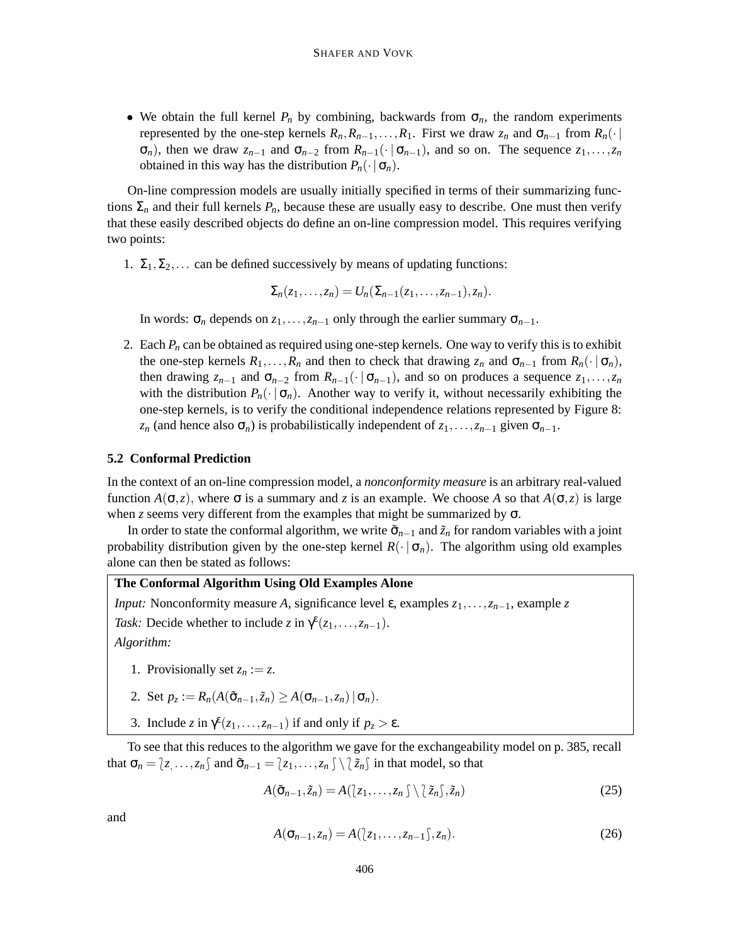• We obtain the full kernel  $P_n$  by combining, backwards from  $\sigma_n$ , the random experiments represented by the one-step kernels  $R_n, R_{n-1}, \ldots, R_1$ . First we draw  $z_n$  and  $\sigma_{n-1}$  from  $R_n(\cdot |$  $\sigma_n$ ), then we draw  $z_{n-1}$  and  $\sigma_{n-2}$  from  $R_{n-1}(\cdot | \sigma_{n-1})$ , and so on. The sequence  $z_1, \ldots, z_n$ obtained in this way has the distribution  $P_n(\cdot | \sigma_n)$ .

On-line compression models are usually initially specified in terms of their summarizing functions  $\Sigma_n$  and their full kernels  $P_n$ , because these are usually easy to describe. One must then verify that these easily described objects do define an on-line compression model. This requires verifying two points:

1.  $\Sigma_1, \Sigma_2, \ldots$  can be defined successively by means of updating functions:

 $\Sigma_n(z_1,...,z_n) = U_n(\Sigma_{n-1}(z_1,...,z_{n-1}),z_n).$ 

In words:  $\sigma_n$  depends on  $z_1, \ldots, z_{n-1}$  only through the earlier summary  $\sigma_{n-1}$ .

2. Each  $P_n$  can be obtained as required using one-step kernels. One way to verify this is to exhibit the one-step kernels  $R_1, \ldots, R_n$  and then to check that drawing  $z_n$  and  $\sigma_{n-1}$  from  $R_n(\cdot | \sigma_n)$ , then drawing  $z_{n-1}$  and  $\sigma_{n-2}$  from  $R_{n-1}(\cdot | \sigma_{n-1})$ , and so on produces a sequence  $z_1, \ldots, z_n$ with the distribution  $P_n(\cdot | \sigma_n)$ . Another way to verify it, without necessarily exhibiting the one-step kernels, is to verify the conditional independence relations represented by Figure 8: *z<sub>n</sub>* (and hence also  $\sigma_n$ ) is probabilistically independent of  $z_1, \ldots, z_{n-1}$  given  $\sigma_{n-1}$ .

## **5.2 Conformal Prediction**

In the context of an on-line compression model, a *nonconformity measure* is an arbitrary real-valued function  $A(\sigma, z)$ , where  $\sigma$  is a summary and *z* is an example. We choose *A* so that  $A(\sigma, z)$  is large when *z* seems very different from the examples that might be summarized by  $\sigma$ .

In order to state the conformal algorithm, we write  $\tilde{\sigma}_{n-1}$  and  $\tilde{z}_n$  for random variables with a joint probability distribution given by the one-step kernel  $R(\cdot | \sigma_n)$ . The algorithm using old examples alone can then be stated as follows:

# **The Conformal Algorithm Using Old Examples Alone**

*Input:* Nonconformity measure *A*, significance level ε, examples *z*1,...,*zn*−1, example *z*

*Task:* Decide whether to include *z* in  $\gamma^{\epsilon}(z_1,\ldots,z_{n-1})$ .

*Algorithm:*

- 1. Provisionally set  $z_n := z$ .
- 2. Set  $p_z := R_n(A(\tilde{\sigma}_{n-1}, \tilde{z}_n) \geq A(\sigma_{n-1}, z_n) | \sigma_n)$ .
- 3. Include *z* in  $\gamma^{\epsilon}(z_1,\ldots,z_{n-1})$  if and only if  $p_z > \epsilon$ .

To see that this reduces to the algorithm we gave for the exchangeability model on p. 385, recall that  $\sigma_n = [z, \ldots, z_n]$  and  $\tilde{\sigma}_{n-1} = [z_1, \ldots, z_n] \setminus \partial \tilde{z}_n$  in that model, so that

$$
A(\tilde{\sigma}_{n-1}, \tilde{z}_n) = A(\langle z_1, \dots, z_n \rangle \setminus \langle \tilde{z}_n \rangle, \tilde{z}_n)
$$
\n(25)

and

$$
A(\sigma_{n-1}, z_n) = A(\langle z_1, \ldots, z_{n-1} \rangle, z_n). \tag{26}
$$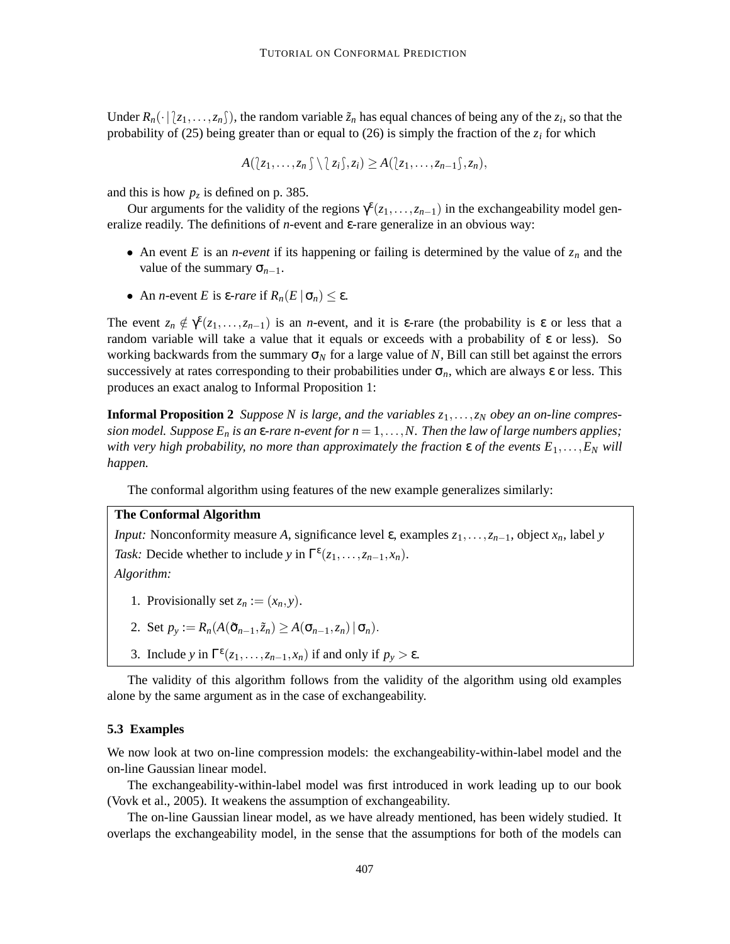Under  $R_n(\cdot | z_1,\ldots,z_n)$ , the random variable  $\tilde{z}_n$  has equal chances of being any of the  $z_i$ , so that the probability of (25) being greater than or equal to (26) is simply the fraction of the  $z_i$  for which

$$
A(\langle z_1,\ldots,z_n\rangle\setminus\langle z_i\rangle,z_i)\geq A(\langle z_1,\ldots,z_{n-1}\rangle,z_n),
$$

and this is how  $p_z$  is defined on p. 385.

Our arguments for the validity of the regions  $\gamma^{\epsilon}(z_1,\ldots,z_{n-1})$  in the exchangeability model generalize readily. The definitions of *n*-event and ε-rare generalize in an obvious way:

- An event *E* is an *n-event* if its happening or failing is determined by the value of  $z_n$  and the value of the summary  $\sigma_{n-1}$ .
- An *n*-event *E* is ε-*rare* if  $R_n(E | \sigma_n) \leq \varepsilon$ .

The event  $z_n \notin \gamma^{\varepsilon}(z_1,\ldots,z_{n-1})$  is an *n*-event, and it is  $\varepsilon$ -rare (the probability is  $\varepsilon$  or less that a random variable will take a value that it equals or exceeds with a probability of ε or less). So working backwards from the summary  $\sigma_N$  for a large value of *N*, Bill can still bet against the errors successively at rates corresponding to their probabilities under  $\sigma_n$ , which are always  $\varepsilon$  or less. This produces an exact analog to Informal Proposition 1:

**Informal Proposition 2** *Suppose N* is large, and the variables  $z_1, \ldots, z_N$  *obey* an *on-line compres*sion model. Suppose  $E_n$  is an  $\varepsilon$ -rare n-event for  $n = 1, \ldots, N$ . Then the law of large numbers applies; *with very high probability, no more than approximately the fraction*  $\varepsilon$  *of the events*  $E_1, \ldots, E_N$  *will happen.*

The conformal algorithm using features of the new example generalizes similarly:

# **The Conformal Algorithm**

*Input:* Nonconformity measure *A*, significance level  $\varepsilon$ , examples  $z_1, \ldots, z_{n-1}$ , object  $x_n$ , label *y Task:* Decide whether to include *y* in  $\Gamma^{\epsilon}(z_1,\ldots,z_{n-1},x_n)$ .

*Algorithm:*

- 1. Provisionally set  $z_n := (x_n, y)$ .
- 2. Set  $p_y := R_n(A(\tilde{\sigma}_{n-1}, \tilde{z}_n) \geq A(\sigma_{n-1}, z_n) | \sigma_n)$ .
- 3. Include *y* in  $\Gamma^{\epsilon}(z_1,\ldots,z_{n-1},x_n)$  if and only if  $p_y > \epsilon$ .

The validity of this algorithm follows from the validity of the algorithm using old examples alone by the same argument as in the case of exchangeability.

#### **5.3 Examples**

We now look at two on-line compression models: the exchangeability-within-label model and the on-line Gaussian linear model.

The exchangeability-within-label model was first introduced in work leading up to our book (Vovk et al., 2005). It weakens the assumption of exchangeability.

The on-line Gaussian linear model, as we have already mentioned, has been widely studied. It overlaps the exchangeability model, in the sense that the assumptions for both of the models can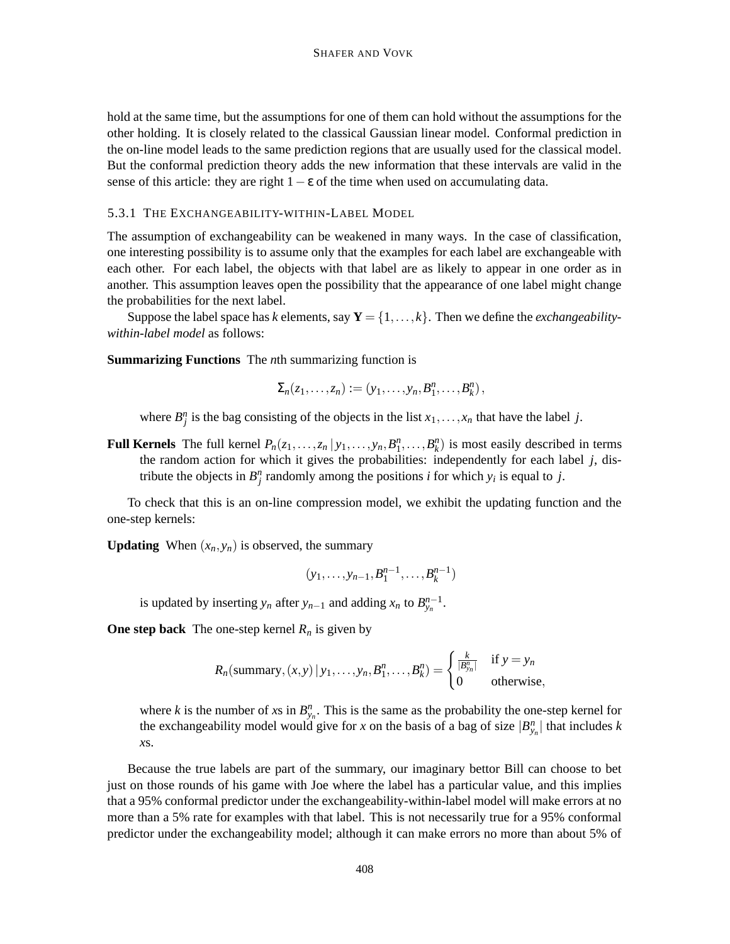hold at the same time, but the assumptions for one of them can hold without the assumptions for the other holding. It is closely related to the classical Gaussian linear model. Conformal prediction in the on-line model leads to the same prediction regions that are usually used for the classical model. But the conformal prediction theory adds the new information that these intervals are valid in the sense of this article: they are right  $1 - \varepsilon$  of the time when used on accumulating data.

#### 5.3.1 THE EXCHANGEABILITY-WITHIN-LABEL MODEL

The assumption of exchangeability can be weakened in many ways. In the case of classification, one interesting possibility is to assume only that the examples for each label are exchangeable with each other. For each label, the objects with that label are as likely to appear in one order as in another. This assumption leaves open the possibility that the appearance of one label might change the probabilities for the next label.

Suppose the label space has *k* elements, say  $Y = \{1, \ldots, k\}$ . Then we define the *exchangeabilitywithin-label model* as follows:

**Summarizing Functions** The *n*th summarizing function is

$$
\Sigma_n(z_1,\ldots,z_n):=(y_1,\ldots,y_n,B_1^n,\ldots,B_k^n),
$$

where  $B_j^n$  is the bag consisting of the objects in the list  $x_1, \ldots, x_n$  that have the label *j*.

**Full Kernels** The full kernel  $P_n(z_1, \ldots, z_n | y_1, \ldots, y_n, B_1^n, \ldots, B_k^n)$  is most easily described in terms the random action for which it gives the probabilities: independently for each label *j*, distribute the objects in  $B_j^n$  randomly among the positions *i* for which  $y_i$  is equal to *j*.

To check that this is an on-line compression model, we exhibit the updating function and the one-step kernels:

**Updating** When  $(x_n, y_n)$  is observed, the summary

$$
(y_1,\ldots,y_{n-1},B_1^{n-1},\ldots,B_k^{n-1})
$$

is updated by inserting  $y_n$  after  $y_{n-1}$  and adding  $x_n$  to  $B_{y_n}^{n-1}$ .

**One step back** The one-step kernel  $R_n$  is given by

$$
R_n(\text{summary}, (x, y) \mid y_1, \dots, y_n, B_1^n, \dots, B_k^n) = \begin{cases} \frac{k}{|B_{y_n}^n|} & \text{if } y = y_n \\ 0 & \text{otherwise,} \end{cases}
$$

where *k* is the number of *x*s in  $B_{y_n}^n$ . This is the same as the probability the one-step kernel for the exchangeability model would give for *x* on the basis of a bag of size  $|B_{y_n}^n|$  that includes *k x*s.

Because the true labels are part of the summary, our imaginary bettor Bill can choose to bet just on those rounds of his game with Joe where the label has a particular value, and this implies that a 95% conformal predictor under the exchangeability-within-label model will make errors at no more than a 5% rate for examples with that label. This is not necessarily true for a 95% conformal predictor under the exchangeability model; although it can make errors no more than about 5% of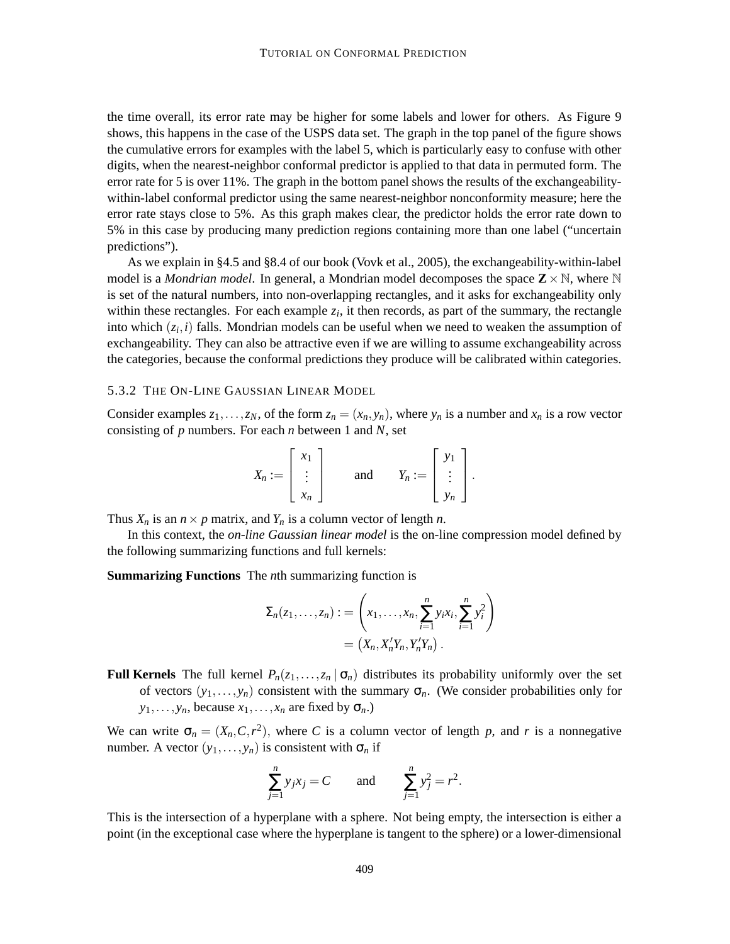the time overall, its error rate may be higher for some labels and lower for others. As Figure 9 shows, this happens in the case of the USPS data set. The graph in the top panel of the figure shows the cumulative errors for examples with the label 5, which is particularly easy to confuse with other digits, when the nearest-neighbor conformal predictor is applied to that data in permuted form. The error rate for 5 is over 11%. The graph in the bottom panel shows the results of the exchangeabilitywithin-label conformal predictor using the same nearest-neighbor nonconformity measure; here the error rate stays close to 5%. As this graph makes clear, the predictor holds the error rate down to 5% in this case by producing many prediction regions containing more than one label ("uncertain predictions").

As we explain in §4.5 and §8.4 of our book (Vovk et al., 2005), the exchangeability-within-label model is a *Mondrian model*. In general, a Mondrian model decomposes the space  $\mathbb{Z} \times \mathbb{N}$ , where  $\mathbb{N}$ is set of the natural numbers, into non-overlapping rectangles, and it asks for exchangeability only within these rectangles. For each example  $z_i$ , it then records, as part of the summary, the rectangle into which (*z<sup>i</sup>* ,*i*) falls. Mondrian models can be useful when we need to weaken the assumption of exchangeability. They can also be attractive even if we are willing to assume exchangeability across the categories, because the conformal predictions they produce will be calibrated within categories.

#### 5.3.2 THE ON-LINE GAUSSIAN LINEAR MODEL

Consider examples  $z_1, \ldots, z_N$ , of the form  $z_n = (x_n, y_n)$ , where  $y_n$  is a number and  $x_n$  is a row vector consisting of *p* numbers. For each *n* between 1 and *N*, set

$$
X_n := \begin{bmatrix} x_1 \\ \vdots \\ x_n \end{bmatrix} \quad \text{and} \quad Y_n := \begin{bmatrix} y_1 \\ \vdots \\ y_n \end{bmatrix}.
$$

Thus  $X_n$  is an  $n \times p$  matrix, and  $Y_n$  is a column vector of length *n*.

In this context, the *on-line Gaussian linear model* is the on-line compression model defined by the following summarizing functions and full kernels:

#### **Summarizing Functions** The *n*th summarizing function is

$$
\Sigma_n(z_1,\ldots,z_n) := \left(x_1,\ldots,x_n,\sum_{i=1}^n y_i x_i,\sum_{i=1}^n y_i^2\right) \\
= \left(X_n,X_n'Y_n,Y_n'Y_n\right).
$$

**Full Kernels** The full kernel  $P_n(z_1,...,z_n | \sigma_n)$  distributes its probability uniformly over the set of vectors  $(y_1,..., y_n)$  consistent with the summary  $\sigma_n$ . (We consider probabilities only for  $y_1, \ldots, y_n$ , because  $x_1, \ldots, x_n$  are fixed by  $\sigma_n$ .)

We can write  $\sigma_n = (X_n, C, r^2)$ , where *C* is a column vector of length *p*, and *r* is a nonnegative number. A vector  $(y_1, \ldots, y_n)$  is consistent with  $\sigma_n$  if

$$
\sum_{j=1}^{n} y_j x_j = C \quad \text{and} \quad \sum_{j=1}^{n} y_j^2 = r^2.
$$

This is the intersection of a hyperplane with a sphere. Not being empty, the intersection is either a point (in the exceptional case where the hyperplane is tangent to the sphere) or a lower-dimensional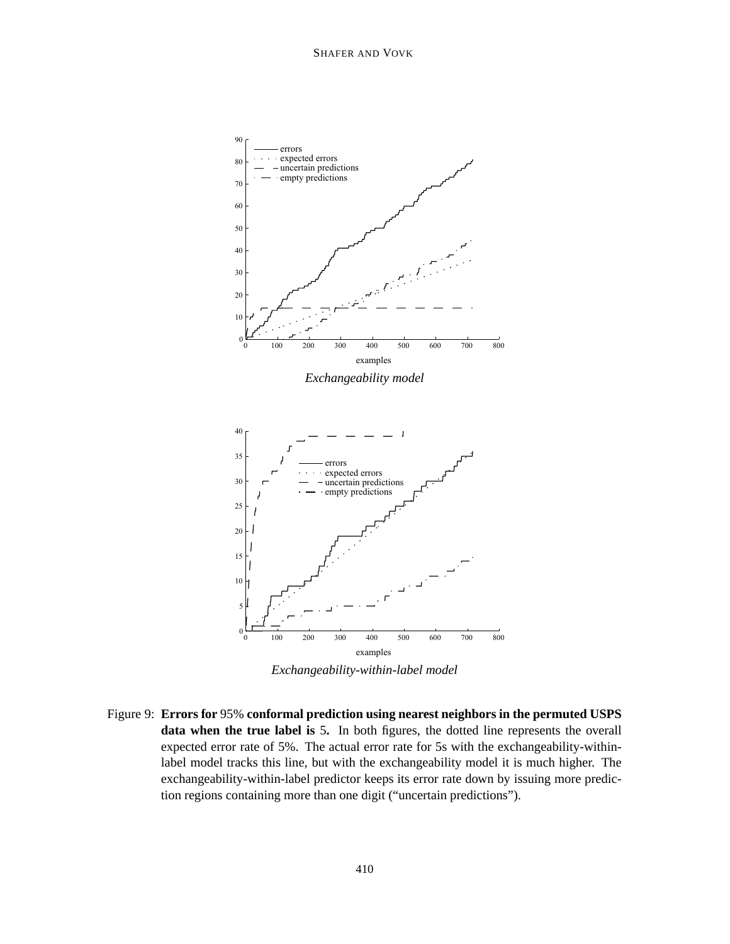

*Exchangeability-within-label model*

Figure 9: **Errors for** 95% **conformal prediction using nearest neighbors in the permuted USPS data when the true label is** 5**.** In both figures, the dotted line represents the overall expected error rate of 5%. The actual error rate for 5s with the exchangeability-withinlabel model tracks this line, but with the exchangeability model it is much higher. The exchangeability-within-label predictor keeps its error rate down by issuing more prediction regions containing more than one digit ("uncertain predictions").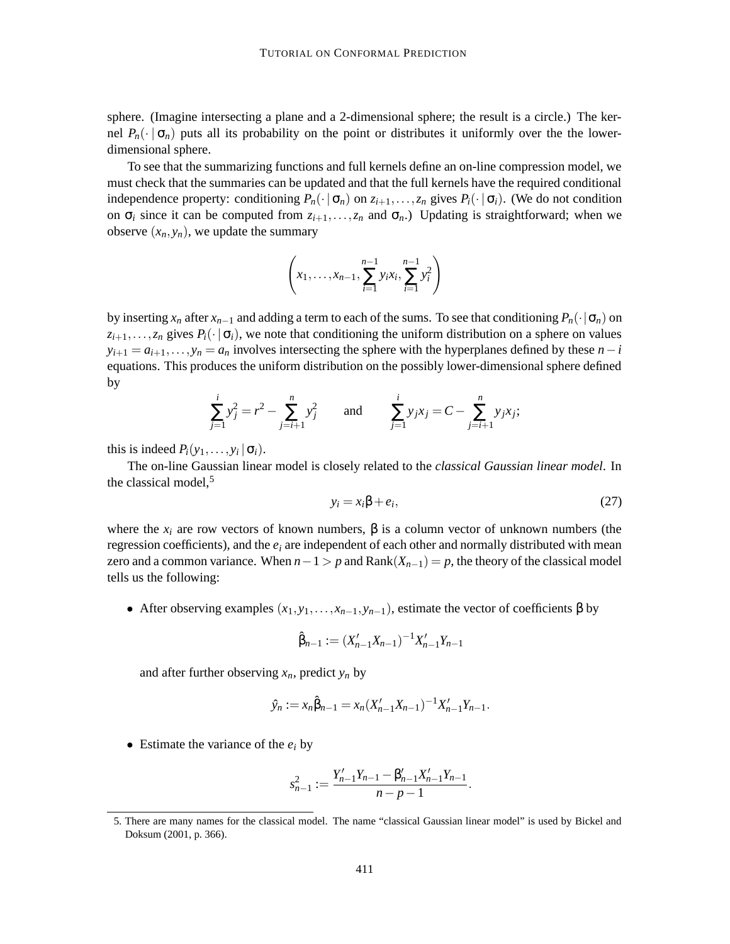sphere. (Imagine intersecting a plane and a 2-dimensional sphere; the result is a circle.) The kernel  $P_n(\cdot | \sigma_n)$  puts all its probability on the point or distributes it uniformly over the the lowerdimensional sphere.

To see that the summarizing functions and full kernels define an on-line compression model, we must check that the summaries can be updated and that the full kernels have the required conditional independence property: conditioning  $P_n(\cdot | \sigma_n)$  on  $z_{i+1}, \ldots, z_n$  gives  $P_i(\cdot | \sigma_i)$ . (We do not condition on  $\sigma_i$  since it can be computed from  $z_{i+1},...,z_n$  and  $\sigma_n$ .) Updating is straightforward; when we observe  $(x_n, y_n)$ , we update the summary

$$
\left(x_1, \ldots, x_{n-1}, \sum_{i=1}^{n-1} y_i x_i, \sum_{i=1}^{n-1} y_i^2\right)
$$

by inserting  $x_n$  after  $x_{n-1}$  and adding a term to each of the sums. To see that conditioning  $P_n(\cdot | \sigma_n)$  on  $z_{i+1},...,z_n$  gives  $P_i(\cdot | \sigma_i)$ , we note that conditioning the uniform distribution on a sphere on values  $y_{i+1} = a_{i+1}, \ldots, y_n = a_n$  involves intersecting the sphere with the hyperplanes defined by these  $n-i$ equations. This produces the uniform distribution on the possibly lower-dimensional sphere defined by

$$
\sum_{j=1}^{i} y_j^2 = r^2 - \sum_{j=i+1}^{n} y_j^2 \quad \text{and} \quad \sum_{j=1}^{i} y_j x_j = C - \sum_{j=i+1}^{n} y_j x_j;
$$

this is indeed  $P_i(y_1,..., y_i | \sigma_i)$ .

The on-line Gaussian linear model is closely related to the *classical Gaussian linear model*. In the classical model, $5$ 

$$
y_i = x_i \beta + e_i,\tag{27}
$$

.

where the  $x_i$  are row vectors of known numbers,  $\beta$  is a column vector of unknown numbers (the regression coefficients), and the *e<sup>i</sup>* are independent of each other and normally distributed with mean zero and a common variance. When  $n-1 > p$  and Rank $(X_{n-1}) = p$ , the theory of the classical model tells us the following:

• After observing examples  $(x_1, y_1, \ldots, x_{n-1}, y_{n-1})$ , estimate the vector of coefficients  $\beta$  by

$$
\hat{\beta}_{n-1} := (X'_{n-1}X_{n-1})^{-1}X'_{n-1}Y_{n-1}
$$

and after further observing  $x_n$ , predict  $y_n$  by

$$
\hat{y}_n := x_n \hat{\beta}_{n-1} = x_n (X'_{n-1} X_{n-1})^{-1} X'_{n-1} Y_{n-1}.
$$

• Estimate the variance of the  $e_i$  by

$$
s_{n-1}^2 := \frac{Y_{n-1}'Y_{n-1} - \beta_{n-1}'X_{n-1}'Y_{n-1}}{n-p-1}
$$

<sup>5.</sup> There are many names for the classical model. The name "classical Gaussian linear model" is used by Bickel and Doksum (2001, p. 366).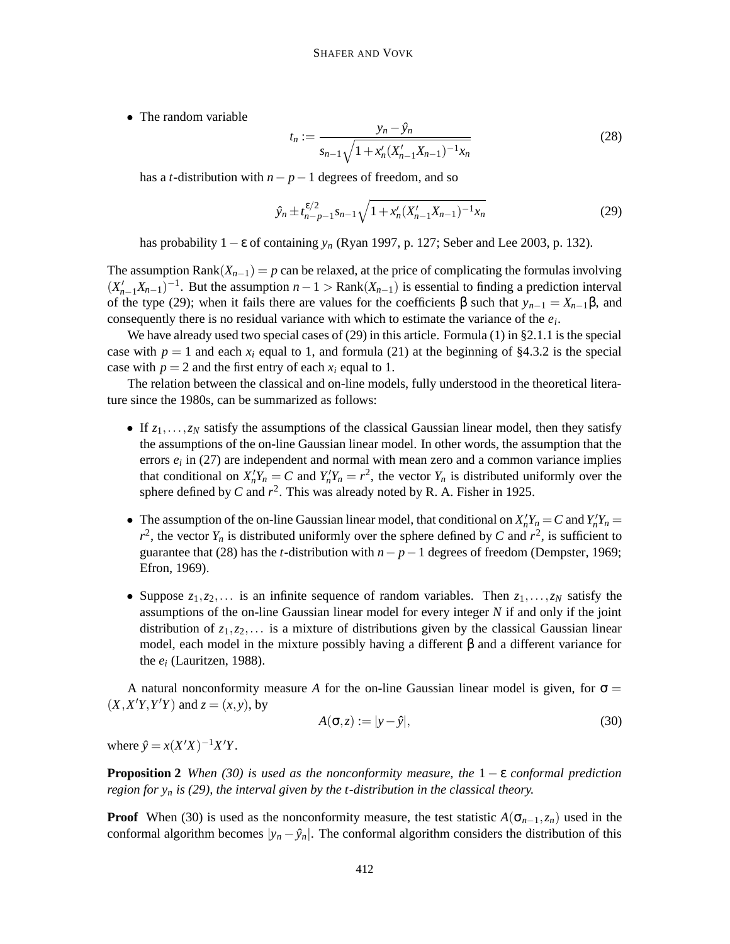• The random variable

$$
t_n := \frac{y_n - \hat{y}_n}{s_{n-1}\sqrt{1 + x'_n(X'_{n-1}X_{n-1})^{-1}x_n}}
$$
(28)

has a *t*-distribution with *n*− *p*−1 degrees of freedom, and so

$$
\hat{y}_n \pm t_{n-p-1}^{\varepsilon/2} s_{n-1} \sqrt{1 + x_n'(X_{n-1}'X_{n-1})^{-1}x_n}
$$
\n(29)

has probability 1−ε of containing *y<sup>n</sup>* (Ryan 1997, p. 127; Seber and Lee 2003, p. 132).

The assumption Rank $(X_{n-1}) = p$  can be relaxed, at the price of complicating the formulas involving  $(X'_{n-1}X_{n-1})^{-1}$ . But the assumption  $n-1 > \text{Rank}(X_{n-1})$  is essential to finding a prediction interval of the type (29); when it fails there are values for the coefficients  $\beta$  such that  $y_{n-1} = X_{n-1}\beta$ , and consequently there is no residual variance with which to estimate the variance of the *e<sup>i</sup>* .

We have already used two special cases of  $(29)$  in this article. Formula  $(1)$  in  $\S2.1.1$  is the special case with  $p = 1$  and each  $x_i$  equal to 1, and formula (21) at the beginning of §4.3.2 is the special case with  $p = 2$  and the first entry of each  $x_i$  equal to 1.

The relation between the classical and on-line models, fully understood in the theoretical literature since the 1980s, can be summarized as follows:

- If  $z_1, \ldots, z_N$  satisfy the assumptions of the classical Gaussian linear model, then they satisfy the assumptions of the on-line Gaussian linear model. In other words, the assumption that the errors  $e_i$  in (27) are independent and normal with mean zero and a common variance implies that conditional on  $X'_n Y_n = C$  and  $Y'_n Y_n = r^2$ , the vector  $Y_n$  is distributed uniformly over the sphere defined by *C* and  $r^2$ . This was already noted by R. A. Fisher in 1925.
- The assumption of the on-line Gaussian linear model, that conditional on  $X'_n Y_n = C$  and  $Y'_n Y_n = C$  $r^2$ , the vector  $Y_n$  is distributed uniformly over the sphere defined by *C* and  $r^2$ , is sufficient to guarantee that (28) has the *t*-distribution with  $n - p - 1$  degrees of freedom (Dempster, 1969; Efron, 1969).
- Suppose  $z_1, z_2, \ldots$  is an infinite sequence of random variables. Then  $z_1, \ldots, z_N$  satisfy the assumptions of the on-line Gaussian linear model for every integer *N* if and only if the joint distribution of  $z_1, z_2, \ldots$  is a mixture of distributions given by the classical Gaussian linear model, each model in the mixture possibly having a different β and a different variance for the  $e_i$  (Lauritzen, 1988).

A natural nonconformity measure A for the on-line Gaussian linear model is given, for  $\sigma =$  $(X, X'Y, Y'Y)$  and  $z = (x, y)$ , by

$$
A(\sigma, z) := |y - \hat{y}|,\tag{30}
$$

where  $\hat{y} = x(X'X)^{-1}X'Y$ .

**Proposition** 2 *When*  $(30)$  *is used as the nonconformity measure, the*  $1 - \varepsilon$  *conformal prediction region* for  $y_n$  *is* (29), the *interval given by the t*-distribution *in* the *classical theory.* 

**Proof** When (30) is used as the nonconformity measure, the test statistic  $A(\sigma_{n-1}, z_n)$  used in the conformal algorithm becomes  $|y_n - \hat{y}_n|$ . The conformal algorithm considers the distribution of this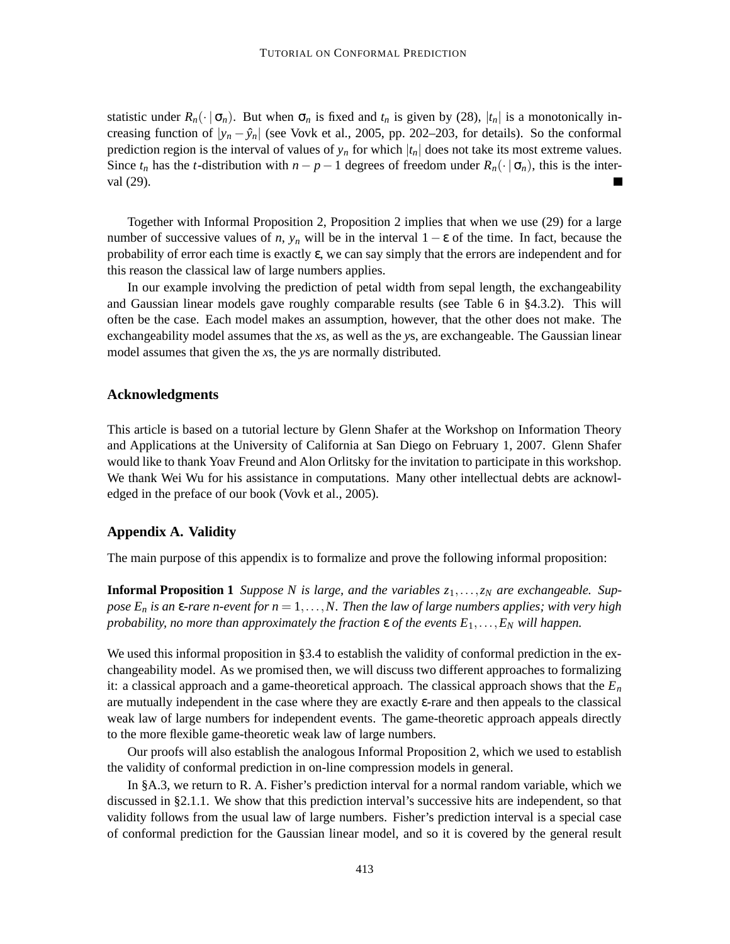statistic under  $R_n(\cdot | \sigma_n)$ . But when  $\sigma_n$  is fixed and  $t_n$  is given by (28),  $|t_n|$  is a monotonically increasing function of  $|y_n - \hat{y}_n|$  (see Vovk et al., 2005, pp. 202–203, for details). So the conformal prediction region is the interval of values of  $y_n$  for which  $|t_n|$  does not take its most extreme values. Since  $t_n$  has the *t*-distribution with  $n - p - 1$  degrees of freedom under  $R_n(\cdot | \sigma_n)$ , this is the interval (29).

Together with Informal Proposition 2, Proposition 2 implies that when we use (29) for a large number of successive values of *n*,  $y_n$  will be in the interval  $1 - \varepsilon$  of the time. In fact, because the probability of error each time is exactly ε, we can say simply that the errors are independent and for this reason the classical law of large numbers applies.

In our example involving the prediction of petal width from sepal length, the exchangeability and Gaussian linear models gave roughly comparable results (see Table 6 in §4.3.2). This will often be the case. Each model makes an assumption, however, that the other does not make. The exchangeability model assumes that the *x*s, as well as the *y*s, are exchangeable. The Gaussian linear model assumes that given the *x*s, the *y*s are normally distributed.

## **Acknowledgments**

This article is based on a tutorial lecture by Glenn Shafer at the Workshop on Information Theory and Applications at the University of California at San Diego on February 1, 2007. Glenn Shafer would like to thank Yoav Freund and Alon Orlitsky for the invitation to participate in this workshop. We thank Wei Wu for his assistance in computations. Many other intellectual debts are acknowledged in the preface of our book (Vovk et al., 2005).

## **Appendix A. Validity**

The main purpose of this appendix is to formalize and prove the following informal proposition:

**Informal Proposition 1** *Suppose N* is large, and the variables  $z_1, \ldots, z_N$  are exchangeable. Suppose  $E_n$  is an  $\varepsilon$ -rare n-event for  $n = 1, \ldots, N$ . Then the law of large numbers applies; with very high *probability, no more than approximately the fraction*  $\varepsilon$  *of the events*  $E_1, \ldots, E_N$  *will happen.* 

We used this informal proposition in §3.4 to establish the validity of conformal prediction in the exchangeability model. As we promised then, we will discuss two different approaches to formalizing it: a classical approach and a game-theoretical approach. The classical approach shows that the *E<sup>n</sup>* are mutually independent in the case where they are exactly ε-rare and then appeals to the classical weak law of large numbers for independent events. The game-theoretic approach appeals directly to the more flexible game-theoretic weak law of large numbers.

Our proofs will also establish the analogous Informal Proposition 2, which we used to establish the validity of conformal prediction in on-line compression models in general.

In §A.3, we return to R. A. Fisher's prediction interval for a normal random variable, which we discussed in §2.1.1. We show that this prediction interval's successive hits are independent, so that validity follows from the usual law of large numbers. Fisher's prediction interval is a special case of conformal prediction for the Gaussian linear model, and so it is covered by the general result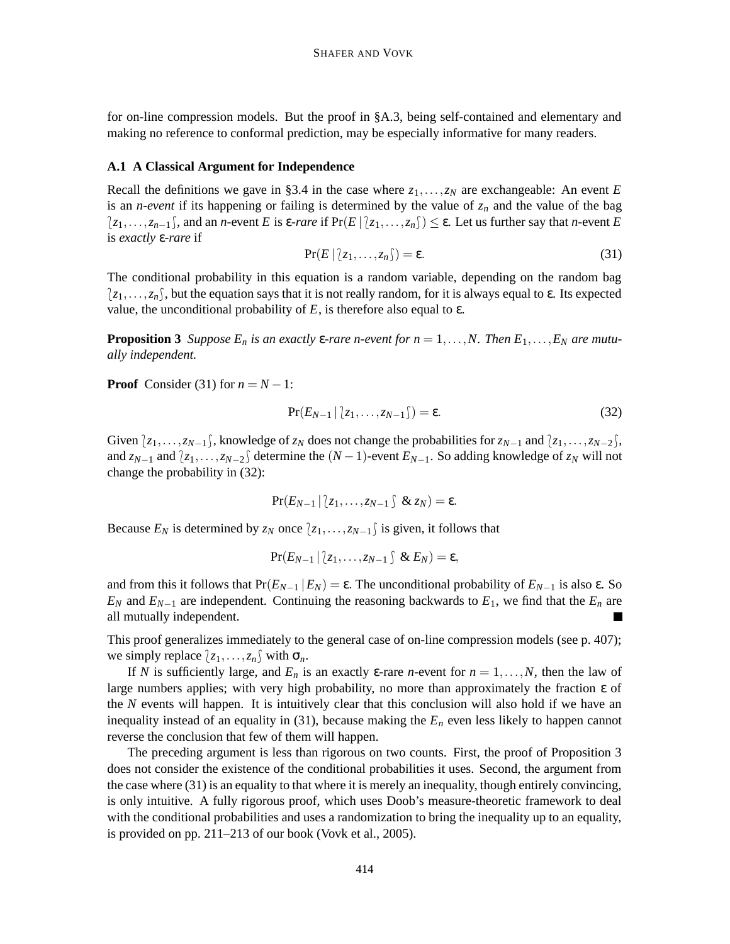for on-line compression models. But the proof in §A.3, being self-contained and elementary and making no reference to conformal prediction, may be especially informative for many readers.

#### **A.1 A Classical Argument for Independence**

Recall the definitions we gave in §3.4 in the case where  $z_1, \ldots, z_N$  are exchangeable: An event *E* is an *n-event* if its happening or failing is determined by the value of  $z_n$  and the value of the bag  $\{z_1,\ldots,z_{n-1}\}$ , and an *n*-event *E* is  $\epsilon$ -*rare* if  $\Pr(E | \{z_1,\ldots,z_n\}) \leq \epsilon$ . Let us further say that *n*-event *E* is *exactly* ε-*rare* if

$$
Pr(E | [z_1, \dots, z_n]) = \varepsilon. \tag{31}
$$

The conditional probability in this equation is a random variable, depending on the random bag  $\{z_1,\ldots,z_n\}$ , but the equation says that it is not really random, for it is always equal to  $\varepsilon$ . Its expected value, the unconditional probability of *E*, is therefore also equal to ε.

**Proposition 3** Suppose  $E_n$  is an exactly  $\varepsilon$ -rare n-event for  $n = 1, ..., N$ . Then  $E_1, ..., E_N$  are mutu*ally independent.*

**Proof** Consider (31) for  $n = N - 1$ :

$$
Pr(E_{N-1} | z_1, \ldots, z_{N-1}) = \varepsilon.
$$
\n(32)

Given  $\{z_1,\ldots,z_{N-1}\}\$ , knowledge of  $z_N$  does not change the probabilities for  $z_{N-1}$  and  $\{z_1,\ldots,z_{N-2}\}\$ , and  $z_{N-1}$  and  $\langle z_1, \ldots, z_{N-2} \rangle$  determine the  $(N-1)$ -event  $E_{N-1}$ . So adding knowledge of  $z_N$  will not change the probability in (32):

$$
\Pr(E_{N-1} | z_1, \ldots, z_{N-1} \hat{\zeta} \& z_N) = \varepsilon.
$$

Because  $E_N$  is determined by  $z_N$  once  $\{z_1, \ldots, z_{N-1}\}$  is given, it follows that

$$
\Pr(E_{N-1} | z_1, \ldots, z_{N-1} \cap \& E_N) = \varepsilon,
$$

and from this it follows that  $Pr(E_{N-1} | E_N) = \varepsilon$ . The unconditional probability of  $E_{N-1}$  is also  $\varepsilon$ . So  $E_N$  and  $E_{N-1}$  are independent. Continuing the reasoning backwards to  $E_1$ , we find that the  $E_n$  are all mutually independent.

This proof generalizes immediately to the general case of on-line compression models (see p. 407); we simply replace  $\{z_1, \ldots, z_n\}$  with  $\sigma_n$ .

If *N* is sufficiently large, and  $E_n$  is an exactly  $\varepsilon$ -rare *n*-event for  $n = 1, \ldots, N$ , then the law of large numbers applies; with very high probability, no more than approximately the fraction ε of the *N* events will happen. It is intuitively clear that this conclusion will also hold if we have an inequality instead of an equality in (31), because making the  $E<sub>n</sub>$  even less likely to happen cannot reverse the conclusion that few of them will happen.

The preceding argument is less than rigorous on two counts. First, the proof of Proposition 3 does not consider the existence of the conditional probabilities it uses. Second, the argument from the case where (31) is an equality to that where it is merely an inequality, though entirely convincing, is only intuitive. A fully rigorous proof, which uses Doob's measure-theoretic framework to deal with the conditional probabilities and uses a randomization to bring the inequality up to an equality, is provided on pp. 211–213 of our book (Vovk et al., 2005).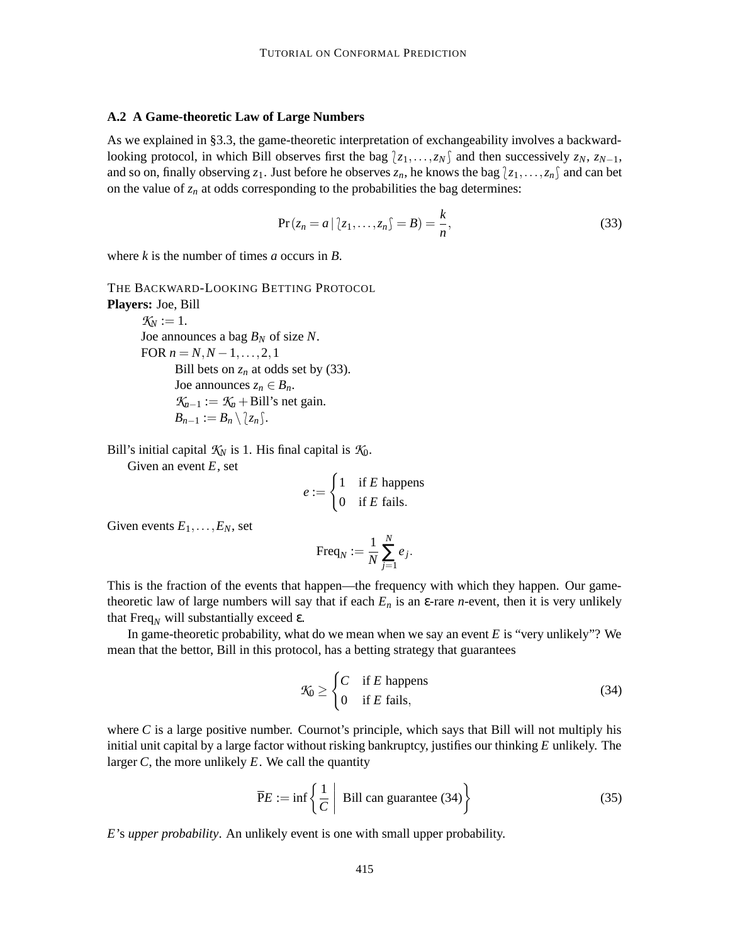#### **A.2 A Game-theoretic Law of Large Numbers**

As we explained in §3.3, the game-theoretic interpretation of exchangeability involves a backwardlooking protocol, in which Bill observes first the bag  $\{z_1, \ldots, z_N\}$  and then successively  $z_N$ ,  $z_{N-1}$ , and so on, finally observing  $z_1$ . Just before he observes  $z_n$ , he knows the bag  $\{z_1,\ldots,z_n\}$  and can bet on the value of  $z_n$  at odds corresponding to the probabilities the bag determines:

$$
Pr(z_n = a \mid (z_1, \ldots, z_n) = B) = \frac{k}{n},
$$
\n(33)

where *k* is the number of times *a* occurs in *B*.

THE BACKWARD-LOOKING BETTING PROTOCOL **Players:** Joe, Bill

 $K_N := 1$ . Joe announces a bag *B<sup>N</sup>* of size *N*. FOR  $n = N, N - 1, \ldots, 2, 1$ Bill bets on  $z_n$  at odds set by (33). Joe announces  $z_n \in B_n$ .  $K_{n-1} := K_n + \text{Bill's net gain.}$  $B_{n-1} := B_n \setminus \{z_n\}.$ 

Bill's initial capital  $K_N$  is 1. His final capital is  $K_0$ .

Given an event *E*, set

$$
e := \begin{cases} 1 & \text{if } E \text{ happens} \\ 0 & \text{if } E \text{ fails.} \end{cases}
$$

Given events  $E_1, \ldots, E_N$ , set

$$
\operatorname{Freq}_N := \frac{1}{N} \sum_{j=1}^N e_j.
$$

This is the fraction of the events that happen—the frequency with which they happen. Our gametheoretic law of large numbers will say that if each  $E_n$  is an  $\varepsilon$ -rare *n*-event, then it is very unlikely that Freq<sub>*N*</sub> will substantially exceed ε.

In game-theoretic probability, what do we mean when we say an event *E* is "very unlikely"? We mean that the bettor, Bill in this protocol, has a betting strategy that guarantees

$$
\mathcal{K}_0 \ge \begin{cases} C & \text{if } E \text{ happens} \\ 0 & \text{if } E \text{ fails,} \end{cases}
$$
 (34)

where  $C$  is a large positive number. Cournot's principle, which says that Bill will not multiply his initial unit capital by a large factor without risking bankruptcy, justifies our thinking *E* unlikely. The larger *C*, the more unlikely *E*. We call the quantity

$$
\overline{P}E := \inf \left\{ \frac{1}{C} \middle| \text{ Bill can guarantee (34)} \right\} \tag{35}
$$

*E*'s *upper probability*. An unlikely event is one with small upper probability.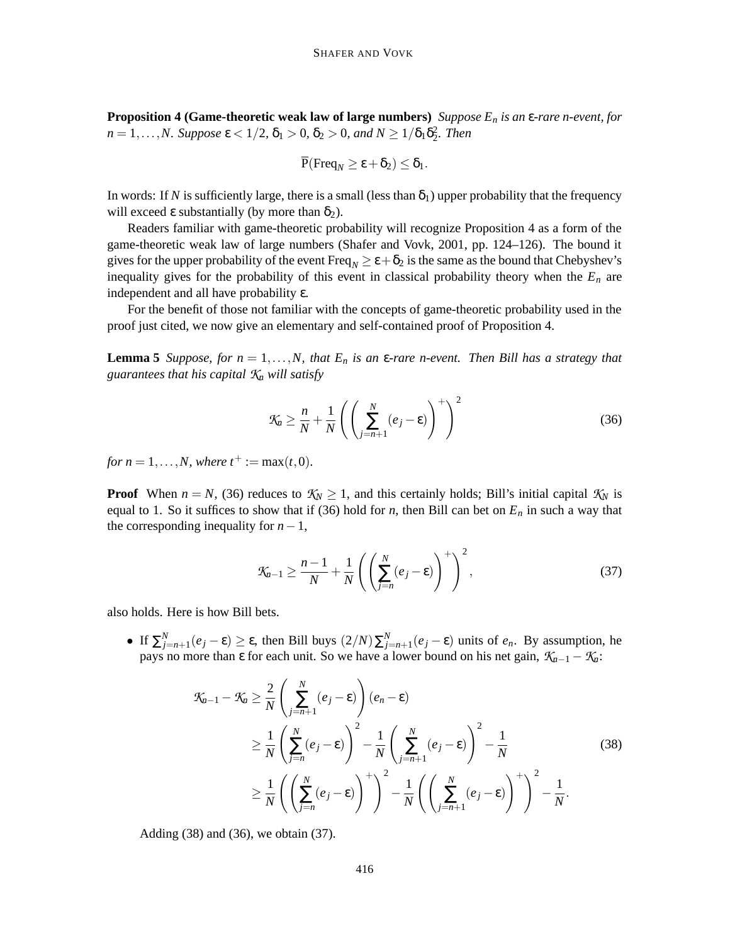**Proposition 4 (Game-theoretic weak law of large numbers)** *Suppose E<sup>n</sup> is an* ε*-rare n-event, for*  $n = 1, \ldots, N$ *. Suppose*  $\varepsilon < 1/2$ ,  $\delta_1 > 0$ ,  $\delta_2 > 0$ , and  $N \ge 1/\delta_1 \delta_2^2$ *. Then* 

$$
\overline{P}(\text{Freq}_N \geq \varepsilon + \delta_2) \leq \delta_1.
$$

In words: If *N* is sufficiently large, there is a small (less than  $\delta_1$ ) upper probability that the frequency will exceed ε substantially (by more than  $δ_2$ ).

Readers familiar with game-theoretic probability will recognize Proposition 4 as a form of the game-theoretic weak law of large numbers (Shafer and Vovk, 2001, pp. 124–126). The bound it gives for the upper probability of the event Freq<sub>N</sub>  $\geq \epsilon + \delta_2$  is the same as the bound that Chebyshev's inequality gives for the probability of this event in classical probability theory when the  $E_n$  are independent and all have probability ε.

For the benefit of those not familiar with the concepts of game-theoretic probability used in the proof just cited, we now give an elementary and self-contained proof of Proposition 4.

**Lemma 5** Suppose, for  $n = 1, ..., N$ , that  $E_n$  is an  $\varepsilon$ -rare n-event. Then Bill has a strategy that *guarantees that his capital K<sup>n</sup> will satisfy*

$$
\mathcal{K}_a \ge \frac{n}{N} + \frac{1}{N} \left( \left( \sum_{j=n+1}^N (e_j - \varepsilon) \right)^+ \right)^2 \tag{36}
$$

*for*  $n = 1, ..., N$ , where  $t^+ := \max(t, 0)$ .

**Proof** When  $n = N$ , (36) reduces to  $K_N \geq 1$ , and this certainly holds; Bill's initial capital  $K_N$  is equal to 1. So it suffices to show that if (36) hold for *n*, then Bill can bet on  $E_n$  in such a way that the corresponding inequality for  $n-1$ ,

$$
\mathcal{K}_{n-1} \ge \frac{n-1}{N} + \frac{1}{N} \left( \left( \sum_{j=n}^{N} (e_j - \varepsilon) \right)^{+} \right)^2, \tag{37}
$$

also holds. Here is how Bill bets.

• If  $\Sigma_{j=n+1}^N(e_j - ε) \ge ε$ , then Bill buys  $(2/N)\Sigma_{j=n+1}^N(e_j - ε)$  units of  $e_n$ . By assumption, he pays no more than  $\varepsilon$  for each unit. So we have a lower bound on his net gain,  $K_{n-1} - K_n$ :

$$
\mathcal{K}_{n-1} - \mathcal{K}_n \geq \frac{2}{N} \left( \sum_{j=n+1}^N (e_j - \varepsilon) \right) (e_n - \varepsilon)
$$
  
\n
$$
\geq \frac{1}{N} \left( \sum_{j=n}^N (e_j - \varepsilon) \right)^2 - \frac{1}{N} \left( \sum_{j=n+1}^N (e_j - \varepsilon) \right)^2 - \frac{1}{N}
$$
  
\n
$$
\geq \frac{1}{N} \left( \left( \sum_{j=n}^N (e_j - \varepsilon) \right)^+ \right)^2 - \frac{1}{N} \left( \left( \sum_{j=n+1}^N (e_j - \varepsilon) \right)^+ \right)^2 - \frac{1}{N}.
$$
 (38)

Adding (38) and (36), we obtain (37).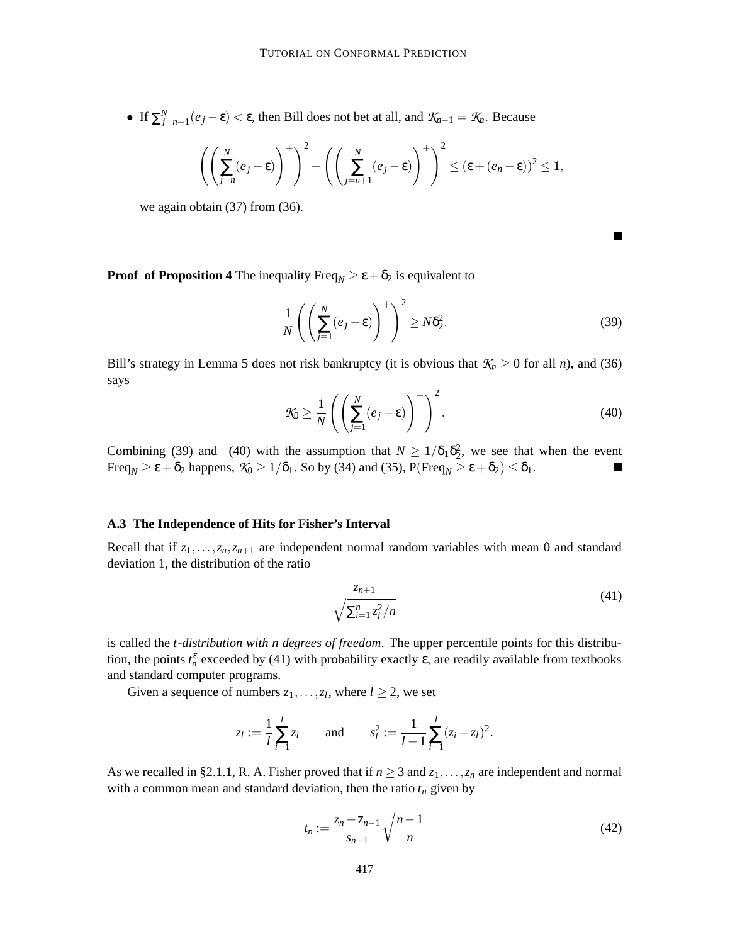• If  $\sum_{j=n+1}^{N} (e_j - \varepsilon) < \varepsilon$ , then Bill does not bet at all, and  $\mathcal{K}_{n-1} = \mathcal{K}_n$ . Because

$$
\left(\left(\sum_{j=n}^N(e_j-\varepsilon)\right)^+\right)^2-\left(\left(\sum_{j=n+1}^N(e_j-\varepsilon)\right)^+\right)^2\leq (\varepsilon+(e_n-\varepsilon))^2\leq 1,
$$

we again obtain (37) from (36).

**Proof** of **Proposition** 4 The inequality Freq<sub>N</sub>  $\geq \varepsilon + \delta_2$  is equivalent to

$$
\frac{1}{N} \left( \left( \sum_{j=1}^{N} (e_j - \varepsilon) \right)^{+} \right)^2 \ge N \delta_2^2.
$$
\n(39)

Bill's strategy in Lemma 5 does not risk bankruptcy (it is obvious that  $K_n \geq 0$  for all *n*), and (36) says

$$
\mathcal{K}_0 \ge \frac{1}{N} \left( \left( \sum_{j=1}^N (e_j - \varepsilon) \right)^+ \right)^2.
$$
 (40)

Combining (39) and (40) with the assumption that  $N \geq 1/\delta_1 \delta_2^2$ , we see that when the event Freq<sub>N</sub>  $\geq \varepsilon + \delta_2$  happens,  $\mathcal{K}_0 \geq 1/\delta_1$ . So by (34) and (35),  $\overline{P}(\text{Freq}_N \geq \varepsilon + \delta_2) \leq \delta_1$ .

#### **A.3 The Independence of Hits for Fisher's Interval**

Recall that if  $z_1, \ldots, z_n, z_{n+1}$  are independent normal random variables with mean 0 and standard deviation 1, the distribution of the ratio

$$
\frac{z_{n+1}}{\sqrt{\sum_{i=1}^{n} z_i^2/n}}\tag{41}
$$

is called the *t*-*distribution with n degrees of freedom*. The upper percentile points for this distribution, the points  $t_n^{\varepsilon}$  exceeded by (41) with probability exactly  $\varepsilon$ , are readily available from textbooks and standard computer programs.

Given a sequence of numbers  $z_1, \ldots, z_l$ , where  $l \geq 2$ , we set

$$
\overline{z}_l := \frac{1}{l} \sum_{i=1}^l z_i
$$
 and  $s_l^2 := \frac{1}{l-1} \sum_{i=1}^l (z_i - \overline{z}_l)^2$ .

As we recalled in §2.1.1, R. A. Fisher proved that if  $n \geq 3$  and  $z_1, \ldots, z_n$  are independent and normal with a common mean and standard deviation, then the ratio  $t_n$  given by

$$
t_n := \frac{z_n - \overline{z}_{n-1}}{s_{n-1}} \sqrt{\frac{n-1}{n}}
$$
 (42)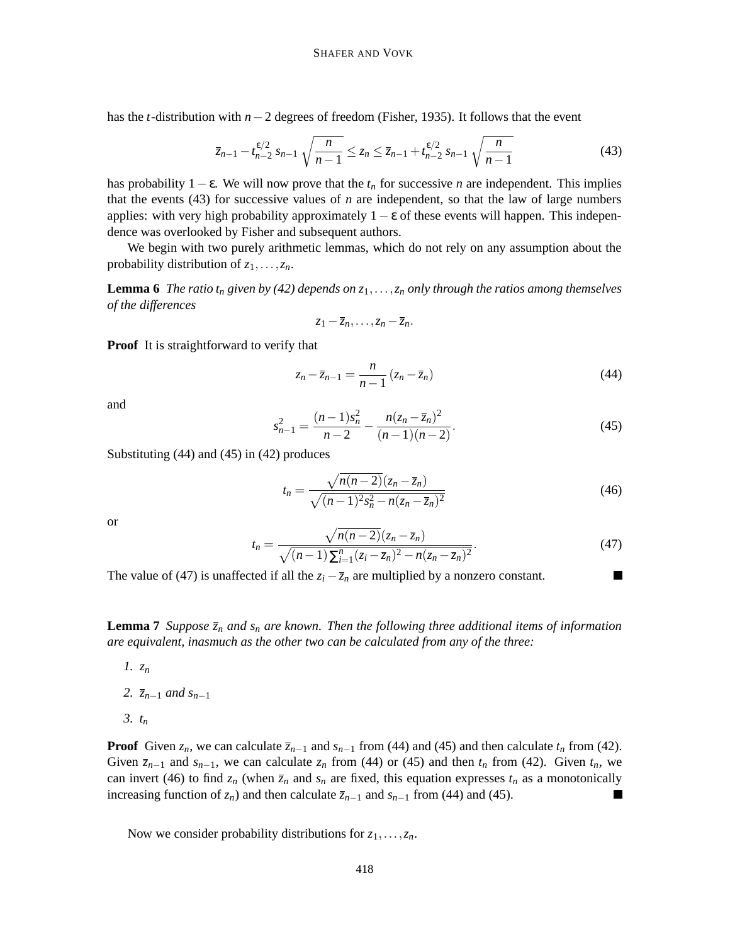has the *t*-distribution with *n*−2 degrees of freedom (Fisher, 1935). It follows that the event

$$
\overline{z}_{n-1} - t_{n-2}^{\epsilon/2} s_{n-1} \sqrt{\frac{n}{n-1}} \le z_n \le \overline{z}_{n-1} + t_{n-2}^{\epsilon/2} s_{n-1} \sqrt{\frac{n}{n-1}}
$$
(43)

has probability  $1 - \varepsilon$ . We will now prove that the  $t_n$  for successive *n* are independent. This implies that the events  $(43)$  for successive values of *n* are independent, so that the law of large numbers applies: with very high probability approximately  $1 - \varepsilon$  of these events will happen. This independence was overlooked by Fisher and subsequent authors.

We begin with two purely arithmetic lemmas, which do not rely on any assumption about the probability distribution of *z*1,...,*zn*.

**Lemma 6** The ratio  $t_n$  given by (42) depends on  $z_1, \ldots, z_n$  only through the ratios among themselves *of the differences*

$$
z_1-\overline{z}_n,\ldots,z_n-\overline{z}_n.
$$

**Proof** It is straightforward to verify that

$$
z_n - \overline{z}_{n-1} = \frac{n}{n-1} (z_n - \overline{z}_n)
$$
\n(44)

and

$$
s_{n-1}^2 = \frac{(n-1)s_n^2}{n-2} - \frac{n(z_n - \overline{z}_n)^2}{(n-1)(n-2)}.
$$
\n(45)

Substituting (44) and (45) in (42) produces

$$
t_n = \frac{\sqrt{n(n-2)}(z_n - \overline{z}_n)}{\sqrt{(n-1)^2 s_n^2 - n(z_n - \overline{z}_n)^2}}
$$
(46)

or

$$
t_n = \frac{\sqrt{n(n-2)}(z_n - \overline{z}_n)}{\sqrt{(n-1)\sum_{i=1}^n (z_i - \overline{z}_n)^2 - n(z_n - \overline{z}_n)^2}}.
$$
(47)

The value of (47) is unaffected if all the  $z_i - \overline{z}_n$  are multiplied by a nonzero constant.

**Lemma 7** *Suppose*  $\bar{z}_n$  *and*  $s_n$  *are known.* Then the following three *additional items of information are equivalent, inasmuch as the other two can be calculated from any of the three:*

- *1. z<sup>n</sup>*
- *2. zn*−<sup>1</sup> *and sn*−<sup>1</sup>
- *3. t<sup>n</sup>*

**Proof** Given  $z_n$ , we can calculate  $\overline{z}_{n-1}$  and  $s_{n-1}$  from (44) and (45) and then calculate  $t_n$  from (42). Given  $\bar{z}_{n-1}$  and  $s_{n-1}$ , we can calculate  $z_n$  from (44) or (45) and then  $t_n$  from (42). Given  $t_n$ , we can invert (46) to find  $z_n$  (when  $\overline{z}_n$  and  $s_n$  are fixed, this equation expresses  $t_n$  as a monotonically increasing function of  $z_n$ ) and then calculate  $\overline{z}_{n-1}$  and  $s_{n-1}$  from (44) and (45).

Now we consider probability distributions for  $z_1, \ldots, z_n$ .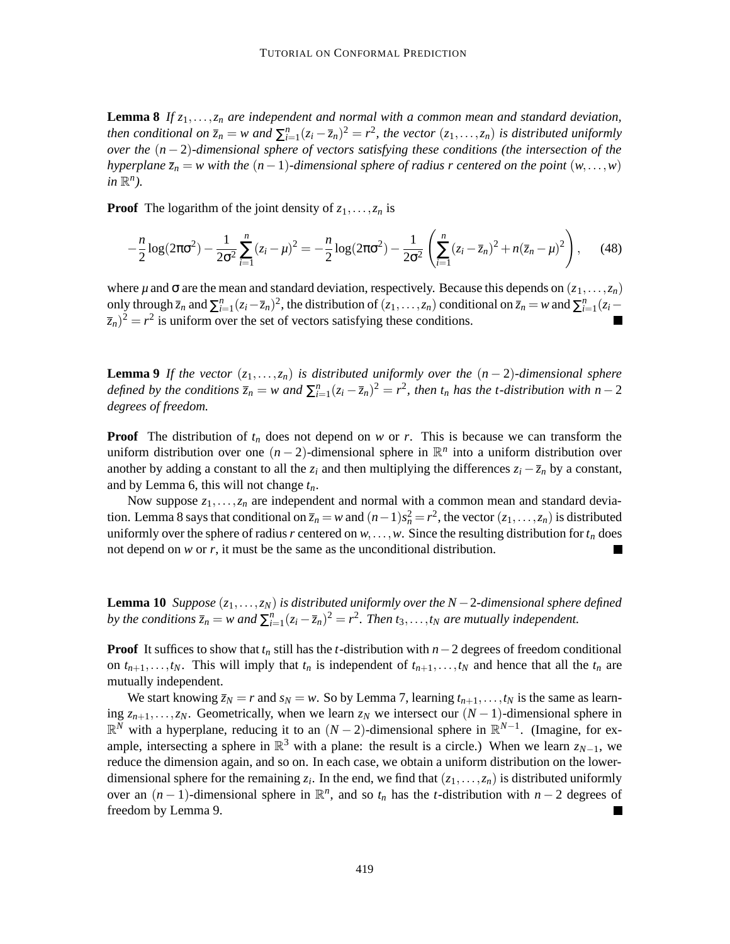**Lemma 8** *If z*1,...,*z<sup>n</sup> are independent and normal with a common mean and standard deviation,* then conditional on  $\bar{z}_n = w$  and  $\sum_{i=1}^n (z_i - \bar{z}_n)^2 = r^2$ , the vector  $(z_1, \ldots, z_n)$  is distributed uniformly *over the* (*n* − 2)*-dimensional sphere of vectors satisfying these conditions (the intersection of the hyperplane*  $\overline{z}_n = w$  *with the*  $(n-1)$ *-dimensional sphere of radius r centered on the point*  $(w, \ldots, w)$  $in \mathbb{R}^n$ ).

**Proof** The logarithm of the joint density of  $z_1, \ldots, z_n$  is

$$
-\frac{n}{2}\log(2\pi\sigma^2) - \frac{1}{2\sigma^2}\sum_{i=1}^n(z_i-\mu)^2 = -\frac{n}{2}\log(2\pi\sigma^2) - \frac{1}{2\sigma^2}\left(\sum_{i=1}^n(z_i-\overline{z}_n)^2 + n(\overline{z}_n-\mu)^2\right),\qquad(48)
$$

where  $\mu$  and  $\sigma$  are the mean and standard deviation, respectively. Because this depends on  $(z_1, \ldots, z_n)$ only through  $\overline{z}_n$  and  $\sum_{i=1}^n (z_i - \overline{z}_n)^2$ , the distribution of  $(z_1, \ldots, z_n)$  conditional on  $\overline{z}_n = w$  and  $\sum_{i=1}^n (z_i - \overline{z}_n)^2$  $(\overline{z}_n)^2 = r^2$  is uniform over the set of vectors satisfying these conditions.

**Lemma 9** If the vector  $(z_1, \ldots, z_n)$  is distributed uniformly over the  $(n-2)$ *-dimensional sphere* defined by the conditions  $\overline{z}_n = w$  and  $\sum_{i=1}^n (z_i - \overline{z}_n)^2 = r^2$ , then  $t_n$  has the t-distribution with  $n-2$ *degrees of freedom.*

**Proof** The distribution of  $t_n$  does not depend on *w* or *r*. This is because we can transform the uniform distribution over one  $(n-2)$ -dimensional sphere in  $\mathbb{R}^n$  into a uniform distribution over another by adding a constant to all the  $z_i$  and then multiplying the differences  $z_i - \overline{z}_n$  by a constant, and by Lemma 6, this will not change *tn*.

Now suppose  $z_1, \ldots, z_n$  are independent and normal with a common mean and standard deviation. Lemma 8 says that conditional on  $\overline{z}_n = w$  and  $(n-1)s_n^2 = r^2$ , the vector  $(z_1, \ldots, z_n)$  is distributed uniformly over the sphere of radius *r* centered on  $w$ ,...,*w*. Since the resulting distribution for  $t_n$  does not depend on *w* or *r*, it must be the same as the unconditional distribution.

**Lemma 10** *Suppose*  $(z_1, \ldots, z_N)$  *is distributed uniformly over the*  $N-2$ *-dimensional sphere defined* by the conditions  $\overline{z}_n = w$  and  $\sum_{i=1}^n (z_i - \overline{z}_n)^2 = r^2$ . Then  $t_3, \ldots, t_N$  are mutually independent.

**Proof** It suffices to show that  $t_n$  still has the *t*-distribution with  $n-2$  degrees of freedom conditional on  $t_{n+1}, \ldots, t_N$ . This will imply that  $t_n$  is independent of  $t_{n+1}, \ldots, t_N$  and hence that all the  $t_n$  are mutually independent.

We start knowing  $\overline{z}_N = r$  and  $s_N = w$ . So by Lemma 7, learning  $t_{n+1}, \ldots, t_N$  is the same as learning  $z_{n+1},...,z_N$ . Geometrically, when we learn  $z_N$  we intersect our  $(N-1)$ -dimensional sphere in R *<sup>N</sup>* with a hyperplane, reducing it to an (*N* − 2)-dimensional sphere in R *N*−1 . (Imagine, for example, intersecting a sphere in  $\mathbb{R}^3$  with a plane: the result is a circle.) When we learn  $z_{N-1}$ , we reduce the dimension again, and so on. In each case, we obtain a uniform distribution on the lowerdimensional sphere for the remaining  $z_i$ . In the end, we find that  $(z_1,...,z_n)$  is distributed uniformly over an  $(n-1)$ -dimensional sphere in  $\mathbb{R}^n$ , and so  $t_n$  has the *t*-distribution with  $n-2$  degrees of freedom by Lemma 9.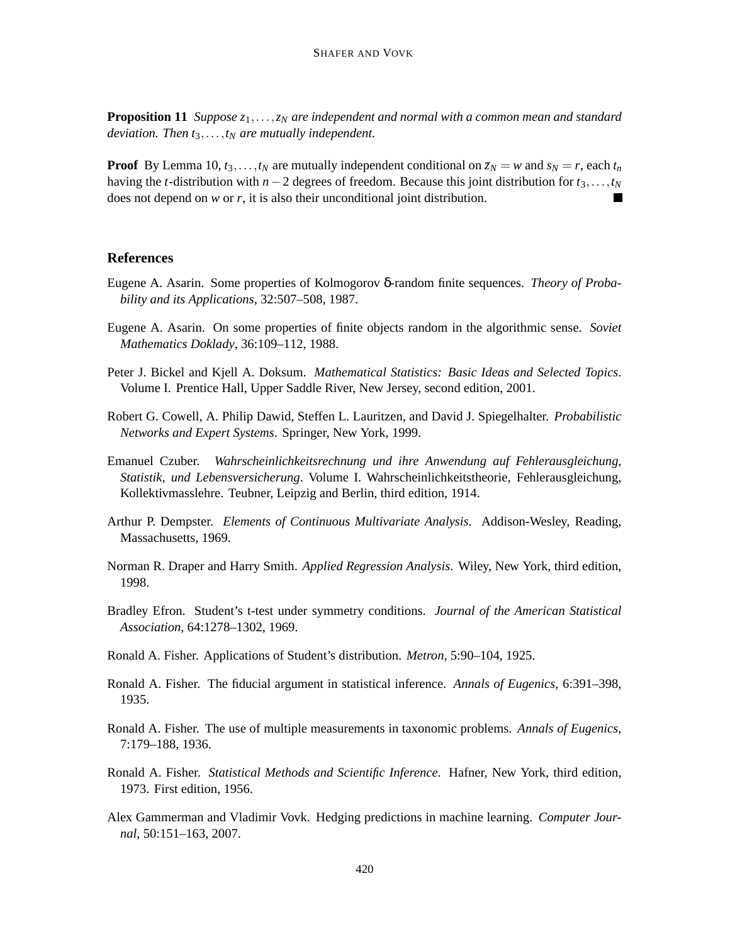**Proposition 11** *Suppose z*1,...,*z<sup>N</sup> are independent and normal with a common mean and standard deviation. Then t*3,...,*t<sup>N</sup> are mutually independent.*

**Proof** By Lemma 10,  $t_3, \ldots, t_N$  are mutually independent conditional on  $\overline{z}_N = w$  and  $s_N = r$ , each  $t_n$ having the *t*-distribution with *n*−2 degrees of freedom. Because this joint distribution for *t*3,...,*t<sup>N</sup>* does not depend on *w* or *r*, it is also their unconditional joint distribution.

# **References**

- Eugene A. Asarin. Some properties of Kolmogorov δ-random finite sequences. *Theory of Probability and its Applications*, 32:507–508, 1987.
- Eugene A. Asarin. On some properties of finite objects random in the algorithmic sense. *Soviet Mathematics Doklady*, 36:109–112, 1988.
- Peter J. Bickel and Kjell A. Doksum. *Mathematical Statistics: Basic Ideas and Selected Topics*. Volume I. Prentice Hall, Upper Saddle River, New Jersey, second edition, 2001.
- Robert G. Cowell, A. Philip Dawid, Steffen L. Lauritzen, and David J. Spiegelhalter. *Probabilistic Networks and Expert Systems*. Springer, New York, 1999.
- Emanuel Czuber. *Wahrscheinlichkeitsrechnung und ihre Anwendung auf Fehlerausgleichung, Statistik, und Lebensversicherung*. Volume I. Wahrscheinlichkeitstheorie, Fehlerausgleichung, Kollektivmasslehre. Teubner, Leipzig and Berlin, third edition, 1914.
- Arthur P. Dempster. *Elements of Continuous Multivariate Analysis*. Addison-Wesley, Reading, Massachusetts, 1969.
- Norman R. Draper and Harry Smith. *Applied Regression Analysis*. Wiley, New York, third edition, 1998.
- Bradley Efron. Student's t-test under symmetry conditions. *Journal of the American Statistical Association*, 64:1278–1302, 1969.
- Ronald A. Fisher. Applications of Student's distribution. *Metron*, 5:90–104, 1925.
- Ronald A. Fisher. The fiducial argument in statistical inference. *Annals of Eugenics*, 6:391–398, 1935.
- Ronald A. Fisher. The use of multiple measurements in taxonomic problems. *Annals of Eugenics*, 7:179–188, 1936.
- Ronald A. Fisher. *Statistical Methods and Scientific Inference*. Hafner, New York, third edition, 1973. First edition, 1956.
- Alex Gammerman and Vladimir Vovk. Hedging predictions in machine learning. *Computer Journal*, 50:151–163, 2007.